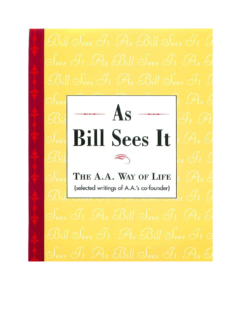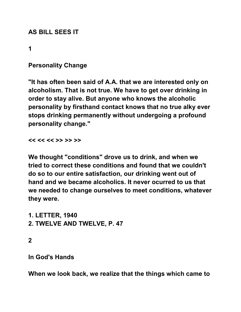# **AS BILL SEES IT**

**1** 

# **Personality Change**

**"It has often been said of A.A. that we are interested only on alcoholism. That is not true. We have to get over drinking in order to stay alive. But anyone who knows the alcoholic personality by firsthand contact knows that no true alky ever stops drinking permanently without undergoing a profound personality change."** 

**<< << << >> >> >>** 

**We thought "conditions" drove us to drink, and when we tried to correct these conditions and found that we couldn't do so to our entire satisfaction, our drinking went out of hand and we became alcoholics. It never ocurred to us that we needed to change ourselves to meet conditions, whatever they were.** 

**1. LETTER, 1940 2. TWELVE AND TWELVE, P. 47** 

**2** 

**In God's Hands** 

**When we look back, we realize that the things which came to**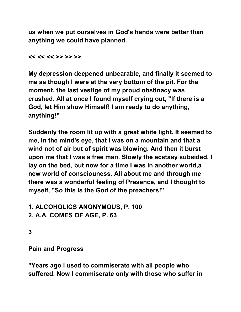**us when we put ourselves in God's hands were better than anything we could have planned.** 

**<< << << >> >> >>** 

**My depression deepened unbearable, and finally it seemed to me as though I were at the very bottom of the pit. For the moment, the last vestige of my proud obstinacy was crushed. All at once I found myself crying out, "If there is a God, let Him show Himself! I am ready to do anything, anything!"** 

**Suddenly the room lit up with a great white light. It seemed to me, in the mind's eye, that I was on a mountain and that a wind not of air but of spirit was blowing. And then it burst upon me that I was a free man. Slowly the ecstasy subsided. I lay on the bed, but now for a time I was in another world,a new world of consciouness. All about me and through me there was a wonderful feeling of Presence, and I thought to myself, "So this is the God of the preachers!"** 

**1. ALCOHOLICS ANONYMOUS, P. 100 2. A.A. COMES OF AGE, P. 63** 

**3** 

**Pain and Progress** 

**"Years ago I used to commiserate with all people who suffered. Now I commiserate only with those who suffer in**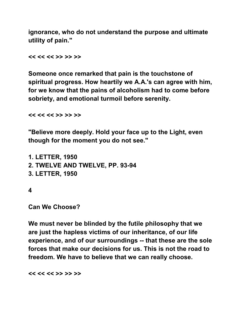**ignorance, who do not understand the purpose and ultimate utility of pain."** 

**<< << << >> >> >>** 

**Someone once remarked that pain is the touchstone of spiritual progress. How heartily we A.A.'s can agree with him, for we know that the pains of alcoholism had to come before sobriety, and emotional turmoil before serenity.** 

**<< << << >> >> >>** 

**"Believe more deeply. Hold your face up to the Light, even though for the moment you do not see."** 

```
1. LETTER, 1950 
2. TWELVE AND TWELVE, PP. 93-94 
3. LETTER, 1950
```
**4** 

**Can We Choose?** 

**We must never be blinded by the futile philosophy that we are just the hapless victims of our inheritance, of our life experience, and of our surroundings -- that these are the sole forces that make our decisions for us. This is not the road to freedom. We have to believe that we can really choose.** 

**<< << << >> >> >>**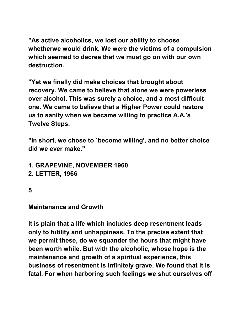**"As active alcoholics, we lost our ability to choose whetherwe would drink. We were the victims of a compulsion which seemed to decree that we must go on with our own destruction.** 

**"Yet we finally did make choices that brought about recovery. We came to believe that alone we were powerless over alcohol. This was surely a choice, and a most difficult one. We came to believe that a Higher Power could restore us to sanity when we became willing to practice A.A.'s Twelve Steps.** 

**"In short, we chose to `become willing', and no better choice did we ever make."** 

- **1. GRAPEVINE, NOVEMBER 1960**
- **2. LETTER, 1966**
- **5**

#### **Maintenance and Growth**

**It is plain that a life which includes deep resentment leads only to futility and unhappiness. To the precise extent that we permit these, do we squander the hours that might have been worth while. But with the alcoholic, whose hope is the maintenance and growth of a spiritual experience, this business of resentment is infinitely grave. We found that it is fatal. For when harboring such feelings we shut ourselves off**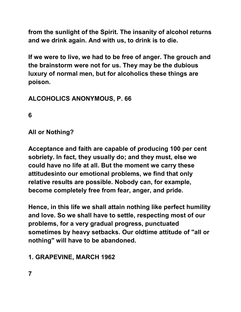**from the sunlight of the Spirit. The insanity of alcohol returns and we drink again. And with us, to drink is to die.** 

**If we were to live, we had to be free of anger. The grouch and the brainstorm were not for us. They may be the dubious luxury of normal men, but for alcoholics these things are poison.** 

# **ALCOHOLICS ANONYMOUS, P. 66**

**6** 

**All or Nothing?** 

**Acceptance and faith are capable of producing 100 per cent sobriety. In fact, they usually do; and they must, else we could have no life at all. But the moment we carry these attitudesinto our emotional problems, we find that only relative results are possible. Nobody can, for example, become completely free from fear, anger, and pride.**

**Hence, in this life we shall attain nothing like perfect humility and love. So we shall have to settle, respecting most of our problems, for a very gradual progress, punctuated sometimes by heavy setbacks. Our oldtime attitude of "all or nothing" will have to be abandoned.** 

# **1. GRAPEVINE, MARCH 1962**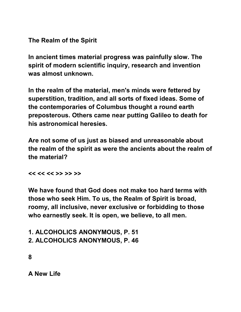**The Realm of the Spirit** 

**In ancient times material progress was painfully slow. The spirit of modern scientific inquiry, research and invention was almost unknown.** 

**In the realm of the material, men's minds were fettered by superstition, tradition, and all sorts of fixed ideas. Some of the contemporaries of Columbus thought a round earth preposterous. Others came near putting Galileo to death for his astronomical heresies.** 

**Are not some of us just as biased and unreasonable about the realm of the spirit as were the ancients about the realm of the material?** 

**<< << << >> >> >>** 

**We have found that God does not make too hard terms with those who seek Him. To us, the Realm of Spirit is broad, roomy, all inclusive, never exclusive or forbidding to those who earnestly seek. It is open, we believe, to all men.** 

**1. ALCOHOLICS ANONYMOUS, P. 51 2. ALCOHOLICS ANONYMOUS, P. 46** 

**8** 

**A New Life**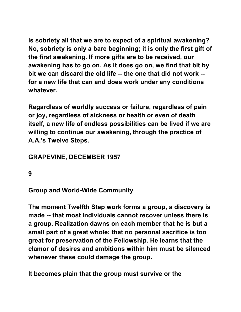**Is sobriety all that we are to expect of a spiritual awakening? No, sobriety is only a bare beginning; it is only the first gift of the first awakening. If more gifts are to be received, our awakening has to go on. As it does go on, we find that bit by bit we can discard the old life -- the one that did not work - for a new life that can and does work under any conditions whatever.** 

**Regardless of worldly success or failure, regardless of pain or joy, regardless of sickness or health or even of death itself, a new life of endless possibilities can be lived if we are willing to continue our awakening, through the practice of A.A.'s Twelve Steps.** 

# **GRAPEVINE, DECEMBER 1957**

**9** 

**Group and World-Wide Community** 

**The moment Twelfth Step work forms a group, a discovery is made -- that most individuals cannot recover unless there is a group. Realization dawns on each member that he is but a small part of a great whole; that no personal sacrifice is too great for preservation of the Fellowship. He learns that the clamor of desires and ambitions within him must be silenced whenever these could damage the group.** 

**It becomes plain that the group must survive or the**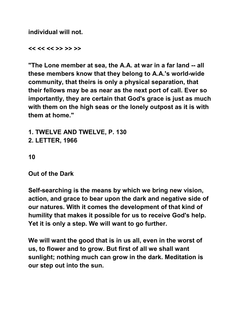**individual will not.** 

**<< << << >> >> >>** 

**"The Lone member at sea, the A.A. at war in a far land -- all these members know that they belong to A.A.'s world-wide community, that theirs is only a physical separation, that their fellows may be as near as the next port of call. Ever so importantly, they are certain that God's grace is just as much with them on the high seas or the lonely outpost as it is with them at home."** 

**1. TWELVE AND TWELVE, P. 130 2. LETTER, 1966** 

**10** 

**Out of the Dark** 

**Self-searching is the means by which we bring new vision, action, and grace to bear upon the dark and negative side of our natures. With it comes the development of that kind of humility that makes it possible for us to receive God's help. Yet it is only a step. We will want to go further.** 

**We will want the good that is in us all, even in the worst of us, to flower and to grow. But first of all we shall want sunlight; nothing much can grow in the dark. Meditation is our step out into the sun.**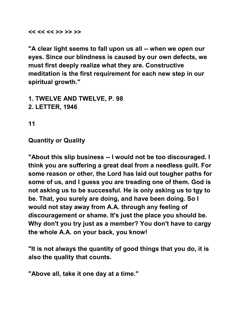**<< << << >> >> >>** 

**"A clear light seems to fall upon us all -- when we open our eyes. Since our blindness is caused by our own defects, we must first deeply realize what they are. Constructive meditation is the first requirement for each new step in our spiritual growth."** 

- **1. TWELVE AND TWELVE, P. 98**
- **2. LETTER, 1946**

**11** 

**Quantity or Quality** 

**"About this slip business -- I would not be too discouraged. I think you are suffering a great deal from a needless guilt. For some reason or other, the Lord has laid out tougher paths for some of us, and I guess you are treading one of them. God is not asking us to be successful. He is only asking us to tgy to be. That, you surely are doing, and have been doing. So I would not stay away from A.A. through any feeling of discouragement or shame. It's just the place you should be. Why don't you try just as a member? You don't have to cargy the whole A.A. on your back, you know!** 

**"It is not always the quantity of good things that you do, it is also the quality that counts.** 

**"Above all, take it one day at a time."**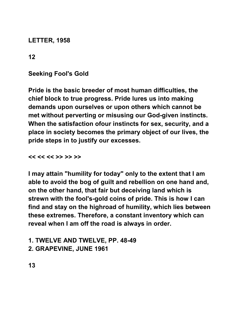**LETTER, 1958** 

**12** 

**Seeking Fool's Gold** 

**Pride is the basic breeder of most human difficulties, the chief block to true progress. Pride lures us into making demands upon ourselves or upon others which cannot be met without perverting or misusing our God-given instincts. When the satisfaction ofour instincts for sex, security, and a place in society becomes the primary object of our lives, the pride steps in to justify our excesses.** 

**<< << << >> >> >>** 

**I may attain "humility for today" only to the extent that I am able to avoid the bog of guilt and rebellion on one hand and, on the other hand, that fair but deceiving land which is strewn with the fool's-gold coins of pride. This is how I can find and stay on the highroad of humility, which lies between these extremes. Therefore, a constant inventory which can reveal when I am off the road is always in order.** 

# **1. TWELVE AND TWELVE, PP. 48-49 2. GRAPEVINE, JUNE 1961**

**13**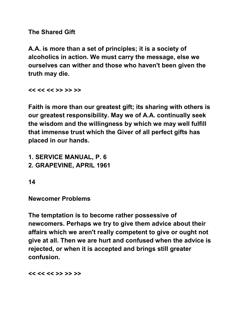**The Shared Gift** 

**A.A. is more than a set of principles; it is a society of alcoholics in action. We must carry the message, else we ourselves can wither and those who haven't been given the truth may die.** 

**<< << << >> >> >>** 

**Faith is more than our greatest gift; its sharing with others is our greatest responsibility. May we of A.A. continually seek the wisdom and the willingness by which we may well fulfill that immense trust which the Giver of all perfect gifts has placed in our hands.** 

**1. SERVICE MANUAL, P. 6** 

**2. GRAPEVINE, APRIL 1961** 

**14** 

**Newcomer Problems** 

**The temptation is to become rather possessive of newcomers. Perhaps we try to give them advice about their affairs which we aren't really competent to give or ought not give at all. Then we are hurt and confused when the advice is rejected, or when it is accepted and brings still greater confusion.** 

**<< << << >> >> >>**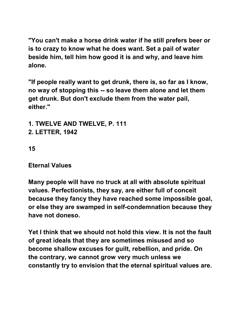**"You can't make a horse drink water if he still prefers beer or is to crazy to know what he does want. Set a pail of water beside him, tell him how good it is and why, and leave him alone.** 

**"If people really want to get drunk, there is, so far as I know, no way of stopping this -- so leave them alone and let them get drunk. But don't exclude them from the water pail, either."** 

**1. TWELVE AND TWELVE, P. 111 2. LETTER, 1942** 

**15** 

#### **Eternal Values**

**Many people will have no truck at all with absolute spiritual values. Perfectionists, they say, are either full of conceit because they fancy they have reached some impossible goal, or else they are swamped in self-condemnation because they have not doneso.** 

**Yet I think that we should not hold this view. It is not the fault of great ideals that they are sometimes misused and so become shallow excuses for guilt, rebellion, and pride. On the contrary, we cannot grow very much unless we constantly try to envision that the eternal spiritual values are.**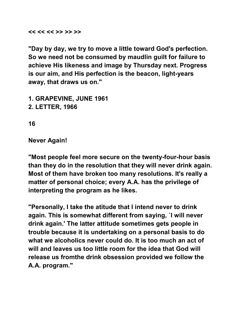**<< << << >> >> >>** 

**"Day by day, we try to move a little toward God's perfection. So we need not be consumed by maudlin guilt for failure to achieve His likeness and image by Thursday next. Progress is our aim, and His perfection is the beacon, light-years away, that draws us on."** 

**1. GRAPEVINE, JUNE 1961 2. LETTER, 1966** 

**16** 

**Never Again!** 

**"Most people feel more secure on the twenty-four-hour basis than they do in the resolution that they will never drink again. Most of them have broken too many resolutions. It's really a matter of personal choice; every A.A. has the privilege of interpreting the program as he likes.** 

**"Personally, I take the atitude that I intend never to drink again. This is somewhat different from saying, `I will never drink again.' The latter attitude sometimes gets people in trouble because it is undertaking on a personal basis to do what we alcoholics never could do. It is too much an act of will and leaves us too little room for the idea that God will release us fromthe drink obsession provided we follow the A.A. program."**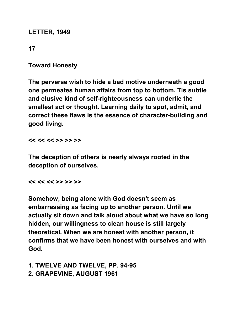#### **LETTER, 1949**

# **17**

**Toward Honesty** 

**The perverse wish to hide a bad motive underneath a good one permeates human affairs from top to bottom. Tis subtle and elusive kind of self-righteousness can underlie the smallest act or thought. Learning daily to spot, admit, and correct these flaws is the essence of character-building and good living.** 

**<< << << >> >> >>** 

**The deception of others is nearly always rooted in the deception of ourselves.** 

**<< << << >> >> >>** 

**Somehow, being alone with God doesn't seem as embarrassing as facing up to another person. Until we actually sit down and talk aloud about what we have so long hidden, our willingness to clean house is still largely theoretical. When we are honest with another person, it confirms that we have been honest with ourselves and with God.** 

**1. TWELVE AND TWELVE, PP. 94-95 2. GRAPEVINE, AUGUST 1961**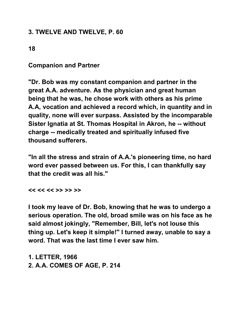# **3. TWELVE AND TWELVE, P. 60**

**18** 

**Companion and Partner** 

**"Dr. Bob was my constant companion and partner in the great A.A. adventure. As the physician and great human being that he was, he chose work with others as his prime A.A, vocation and achieved a record which, in quantity and in quality, none will ever surpass. Assisted by the incomparable Sister Ignatia at St. Thomas Hospital in Akron, he -- without charge -- medically treated and spiritually infused five thousand sufferers.** 

**"In all the stress and strain of A.A.'s pioneering time, no hard word ever passed between us. For this, I can thankfully say that the credit was all his."** 

**<< << << >> >> >>** 

**I took my leave of Dr. Bob, knowing that he was to undergo a serious operation. The old, broad smile was on his face as he said almost jokingly, "Remember, Bill, let's not louse this thing up. Let's keep it simple!" I turned away, unable to say a word. That was the last time I ever saw him.** 

**1. LETTER, 1966 2. A.A. COMES OF AGE, P. 214**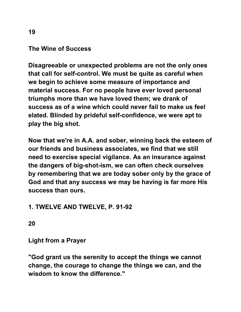#### **The Wine of Success**

**Disagreeable or unexpected problems are not the only ones that call for self-control. We must be quite as careful when we begin to achieve some measure of importance and material success. For no people have ever loved personal triumphs more than we have loved them; we drank of success as of a wine which could never fail to make us feel elated. Blinded by prideful self-confidence, we were apt to play the big shot.** 

**Now that we're in A.A. and sober, winning back the esteem of our friends and business associates, we find that we still need to exercise special vigilance. As an insurance against the dangers of big-shot-ism, we can often check ourselves by remembering that we are today sober only by the grace of God and that any success we may be having is far more His success than ours.** 

# **1. TWELVE AND TWELVE, P. 91-92**

**20** 

**Light from a Prayer** 

**"God grant us the serenity to accept the things we cannot change, the courage to change the things we can, and the wisdom to know the difference."**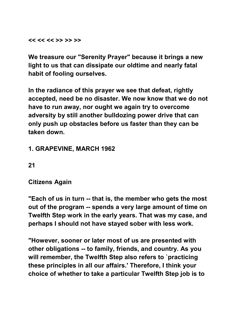**<< << << >> >> >>** 

**We treasure our "Serenity Prayer" because it brings a new light to us that can dissipate our oldtime and nearly fatal habit of fooling ourselves.** 

**In the radiance of this prayer we see that defeat, rightly accepted, need be no disaster. We now know that we do not have to run away, nor ought we again try to overcome adversity by still another bulldozing power drive that can only push up obstacles before us faster than they can be taken down.** 

# **1. GRAPEVINE, MARCH 1962**

**21** 

#### **Citizens Again**

**"Each of us in turn -- that is, the member who gets the most out of the program -- spends a very large amount of time on Twelfth Step work in the early years. That was my case, and perhaps I should not have stayed sober with less work.** 

**"However, sooner or later most of us are presented with other obligations -- to family, friends, and country. As you will remember, the Twelfth Step also refers to `practicing these principles in all our affairs.' Therefore, I think your choice of whether to take a particular Twelfth Step job is to**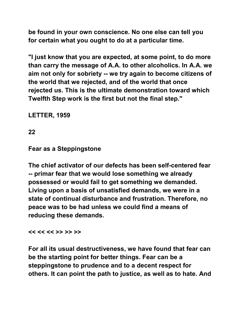**be found in your own conscience. No one else can tell you for certain what you ought to do at a particular time.** 

**"I just know that you are expected, at some point, to do more than carry the message of A.A. to other alcoholics. In A.A. we aim not only for sobriety -- we try again to become citizens of the world that we rejected, and of the world that once rejected us. This is the ultimate demonstration toward which Twelfth Step work is the first but not the final step."** 

**LETTER, 1959** 

**22** 

#### **Fear as a Steppingstone**

**The chief activator of our defects has been self-centered fear -- primar fear that we would lose something we already possessed or would fail to get something we demanded. Living upon a basis of unsatisfied demands, we were in a state of continual disturbance and frustration. Therefore, no peace was to be had unless we could find a means of reducing these demands.** 

#### **<< << << >> >> >>**

**For all its usual destructiveness, we have found that fear can be the starting point for better things. Fear can be a steppingstone to prudence and to a decent respect for others. It can point the path to justice, as well as to hate. And**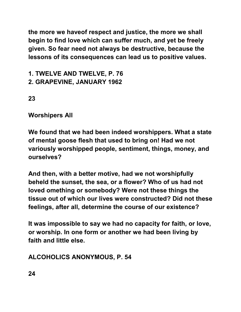**the more we haveof respect and justice, the more we shall begin to find love which can suffer much, and yet be freely given. So fear need not always be destructive, because the lessons of its consequences can lead us to positive values.** 

**1. TWELVE AND TWELVE, P. 76 2. GRAPEVINE, JANUARY 1962** 

**23** 

**Worshipers All** 

**We found that we had been indeed worshippers. What a state of mental goose flesh that used to bring on! Had we not variously worshipped people, sentiment, things, money, and ourselves?** 

**And then, with a better motive, had we not worshipfully beheld the sunset, the sea, or a flower? Who of us had not loved omething or somebody? Were not these things the tissue out of which our lives were constructed? Did not these feelings, after all, determine the course of our existence?** 

**It was impossible to say we had no capacity for faith, or love, or worship. In one form or another we had been living by faith and little else.** 

**ALCOHOLICS ANONYMOUS, P. 54**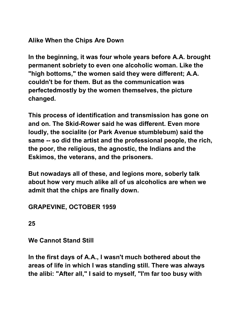# **Alike When the Chips Are Down**

**In the beginning, it was four whole years before A.A. brought permanent sobriety to even one alcoholic woman. Like the "high bottoms," the women said they were different; A.A. couldn't be for them. But as the communication was perfectedmostly by the women themselves, the picture changed.** 

**This process of identification and transmission has gone on and on. The Skid-Rower said he was different. Even more loudly, the socialite (or Park Avenue stumblebum) said the same -- so did the artist and the professional people, the rich, the poor, the religious, the agnostic, the Indians and the Eskimos, the veterans, and the prisoners.** 

**But nowadays all of these, and legions more, soberly talk about how very much alike all of us alcoholics are when we admit that the chips are finally down.** 

# **GRAPEVINE, OCTOBER 1959**

**25** 

# **We Cannot Stand Still**

**In the first days of A.A., I wasn't much bothered about the areas of life in which I was standing still. There was always the alibi: "After all," I said to myself, "I'm far too busy with**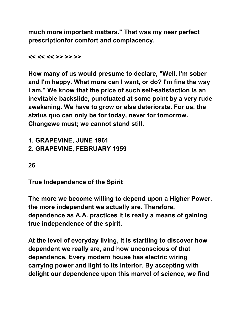**much more important matters." That was my near perfect prescriptionfor comfort and complacency.** 

**<< << << >> >> >>** 

**How many of us would presume to declare, "Well, I'm sober and I'm happy. What more can I want, or do? I'm fine the way I am." We know that the price of such self-satisfaction is an inevitable backslide, punctuated at some point by a very rude awakening. We have to grow or else deteriorate. For us, the status quo can only be for today, never for tomorrow. Changewe must; we cannot stand still.** 

**1. GRAPEVINE, JUNE 1961 2. GRAPEVINE, FEBRUARY 1959** 

**26** 

**True Independence of the Spirit** 

**The more we become willing to depend upon a Higher Power, the more independent we actually are. Therefore, dependence as A.A. practices it is really a means of gaining true independence of the spirit.** 

**At the level of everyday living, it is startling to discover how dependent we really are, and how unconscious of that dependence. Every modern house has electric wiring carrying power and light to its interior. By accepting with delight our dependence upon this marvel of science, we find**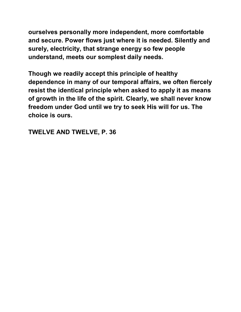**ourselves personally more independent, more comfortable and secure. Power flows just where it is needed. Silently and surely, electricity, that strange energy so few people understand, meets our somplest daily needs.** 

**Though we readily accept this principle of healthy dependence in many of our temporal affairs, we often fiercely resist the identical principle when asked to apply it as means of growth in the life of the spirit. Clearly, we shall never know freedom under God until we try to seek His will for us. The choice is ours.** 

**TWELVE AND TWELVE, P. 36**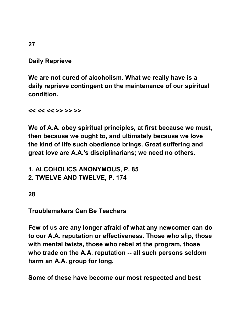**Daily Reprieve** 

**We are not cured of alcoholism. What we really have is a daily reprieve contingent on the maintenance of our spiritual condition.** 

**<< << << >> >> >>** 

**We of A.A. obey spiritual principles, at first because we must, then because we ought to, and ultimately because we love the kind of life such obedience brings. Great suffering and great love are A.A.'s disciplinarians; we need no others.** 

**1. ALCOHOLICS ANONYMOUS, P. 85 2. TWELVE AND TWELVE, P. 174** 

**28** 

**Troublemakers Can Be Teachers** 

**Few of us are any longer afraid of what any newcomer can do to our A.A. reputation or effectiveness. Those who slip, those with mental twists, those who rebel at the program, those who trade on the A.A. reputation -- all such persons seldom harm an A.A. group for long.** 

**Some of these have become our most respected and best** 

**27**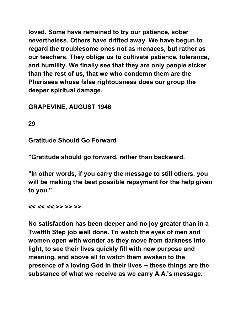**loved. Some have remained to try our patience, sober nevertheless. Others have drifted away. We have begun to regard the troublesome ones not as menaces, but rather as our teachers. They oblige us to cultivate patience, tolerance, and humility. We finally see that they are only people sicker than the rest of us, that we who condemn them are the Pharisees whose false rightousness does our group the deeper spiritual damage.** 

**GRAPEVINE, AUGUST 1946** 

**29** 

**Gratitude Should Go Forward** 

**"Gratitude should go forward, rather than backward.**

**"In other words, if you carry the message to still others, you will be making the best possible repayment for the help given to you."** 

**<< << << >> >> >>** 

**No satisfaction has been deeper and no joy greater than in a Twelfth Step job well done. To watch the eyes of men and women open with wonder as they move from darkness into light, to see their lives quickly fill with new purpose and meaning, and above all to watch them awaken to the presence of a loving God in their lives -- these things are the substance of what we receive as we carry A.A.'s message.**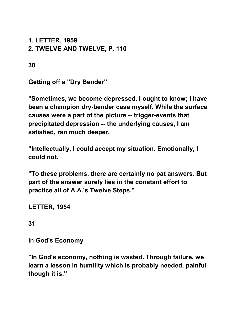**1. LETTER, 1959 2. TWELVE AND TWELVE, P. 110** 

**30** 

**Getting off a "Dry Bender"** 

**"Sometimes, we become depressed. I ought to know; I have been a champion dry-bender case myself. While the surface causes were a part of the picture -- trigger-events that precipitated depression -- the underlying causes, I am satisfied, ran much deeper.** 

**"Intellectually, I could accept my situation. Emotionally, I could not.** 

**"To these problems, there are certainly no pat answers. But part of the answer surely lies in the constant effort to practice all of A.A.'s Twelve Steps."** 

**LETTER, 1954** 

**31** 

**In God's Economy** 

**"In God's economy, nothing is wasted. Through failure, we learn a lesson in humility which is probably needed, painful though it is."**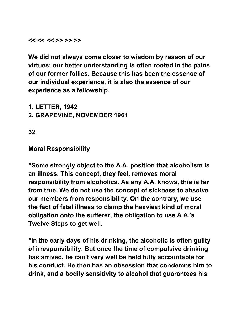**<< << << >> >> >>** 

**We did not always come closer to wisdom by reason of our virtues; our better understanding is often rooted in the pains of our former follies. Because this has been the essence of our individual experience, it is also the essence of our experience as a fellowship.** 

**1. LETTER, 1942** 

**2. GRAPEVINE, NOVEMBER 1961** 

**32** 

#### **Moral Responsibility**

**"Some strongly object to the A.A. position that alcoholism is an illness. This concept, they feel, removes moral responsibility from alcoholics. As any A.A. knows, this is far from true. We do not use the concept of sickness to absolve our members from responsibility. On the contrary, we use the fact of fatal illness to clamp the heaviest kind of moral obligation onto the sufferer, the obligation to use A.A.'s Twelve Steps to get well.** 

**"In the early days of his drinking, the alcoholic is often guilty of irresponsibility. But once the time of compulsive drinking has arrived, he can't very well be held fully accountable for his conduct. He then has an obsession that condemns him to drink, and a bodily sensitivity to alcohol that guarantees his**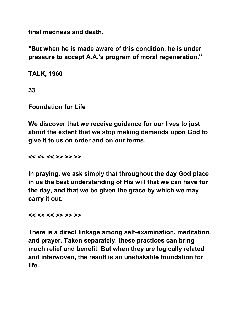**final madness and death.** 

**"But when he is made aware of this condition, he is under pressure to accept A.A.'s program of moral regeneration."** 

**TALK, 1960** 

**33** 

**Foundation for Life** 

**We discover that we receive guidance for our lives to just about the extent that we stop making demands upon God to give it to us on order and on our terms.** 

**<< << << >> >> >>** 

**In praying, we ask simply that throughout the day God place in us the best understanding of His will that we can have for the day, and that we be given the grace by which we may carry it out.** 

**<< << << >> >> >>** 

**There is a direct linkage among self-examination, meditation, and prayer. Taken separately, these practices can bring much relief and benefit. But when they are logically related and interwoven, the result is an unshakable foundation for life.**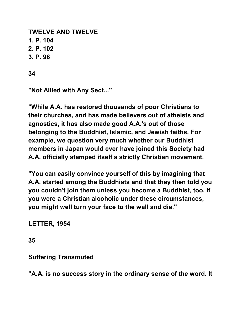**TWELVE AND TWELVE 1. P. 104 2. P. 102 3. P. 98** 

**34** 

**"Not Allied with Any Sect..."** 

**"While A.A. has restored thousands of poor Christians to their churches, and has made believers out of atheists and agnostics, it has also made good A.A.'s out of those belonging to the Buddhist, Islamic, and Jewish faiths. For example, we question very much whether our Buddhist members in Japan would ever have joined this Society had A.A. officially stamped itself a strictly Christian movement.** 

**"You can easily convince yourself of this by imagining that A.A. started among the Buddhists and that they then told you you couldn't join them unless you become a Buddhist, too. If you were a Christian alcoholic under these circumstances, you might well turn your face to the wall and die."**

**LETTER, 1954** 

**35** 

**Suffering Transmuted** 

**"A.A. is no success story in the ordinary sense of the word. It**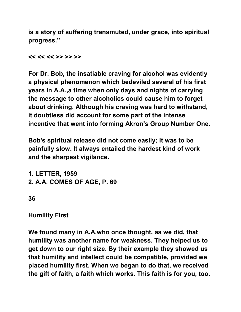**is a story of suffering transmuted, under grace, into spiritual progress."** 

**<< << << >> >> >>** 

**For Dr. Bob, the insatiable craving for alcohol was evidently a physical phenomenon which bedeviled several of his first years in A.A.,a time when only days and nights of carrying the message to other alcoholics could cause him to forget about drinking. Although his craving was hard to withstand, it doubtless did account for some part of the intense incentive that went into forming Akron's Group Number One.** 

**Bob's spiritual release did not come easily; it was to be painfully slow. It always entailed the hardest kind of work and the sharpest vigilance.** 

**1. LETTER, 1959 2. A.A. COMES OF AGE, P. 69** 

**36** 

**Humility First** 

**We found many in A.A.who once thought, as we did, that humility was another name for weakness. They helped us to get down to our right size. By their example they showed us that humility and intellect could be compatible, provided we placed humility first. When we began to do that, we received the gift of faith, a faith which works. This faith is for you, too.**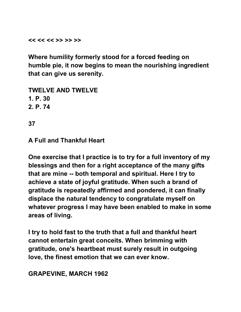**<< << << >> >> >>** 

**Where humility formerly stood for a forced feeding on humble pie, it now begins to mean the nourishing ingredient that can give us serenity.** 

**TWELVE AND TWELVE 1. P. 30 2. P. 74** 

**37** 

**A Full and Thankful Heart** 

**One exercise that I practice is to try for a full inventory of my blessings and then for a right acceptance of the many gifts that are mine -- both temporal and spiritual. Here I try to achieve a state of joyful gratitude. When such a brand of gratitude is repeatedly affirmed and pondered, it can finally displace the natural tendency to congratulate myself on whatever progress I may have been enabled to make in some areas of living.** 

**I try to hold fast to the truth that a full and thankful heart cannot entertain great conceits. When brimming with gratitude, one's heartbeat must surely result in outgoing love, the finest emotion that we can ever know.** 

**GRAPEVINE, MARCH 1962**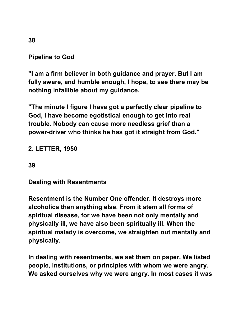**Pipeline to God** 

**"I am a firm believer in both guidance and prayer. But I am fully aware, and humble enough, I hope, to see there may be nothing infallible about my guidance.** 

**"The minute I figure I have got a perfectly clear pipeline to God, I have become egotistical enough to get into real trouble. Nobody can cause more needless grief than a power-driver who thinks he has got it straight from God."** 

#### **2. LETTER, 1950**

**39** 

**Dealing with Resentments** 

**Resentment is the Number One offender. It destroys more alcoholics than anything else. From it stem all forms of spiritual disease, for we have been not only mentally and physically ill, we have also been spiritually ill. When the spiritual malady is overcome, we straighten out mentally and physically.** 

**In dealing with resentments, we set them on paper. We listed people, institutions, or principles with whom we were angry. We asked ourselves why we were angry. In most cases it was**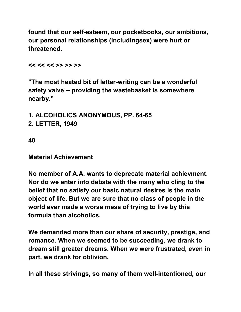**found that our self-esteem, our pocketbooks, our ambitions, our personal relationships (includingsex) were hurt or threatened.** 

**<< << << >> >> >>** 

**"The most heated bit of letter-writing can be a wonderful safety valve -- providing the wastebasket is somewhere nearby."** 

**1. ALCOHOLICS ANONYMOUS, PP. 64-65 2. LETTER, 1949** 

**40** 

**Material Achievement** 

**No member of A.A. wants to deprecate material achievment. Nor do we enter into debate with the many who cling to the belief that no satisfy our basic natural desires is the main object of life. But we are sure that no class of people in the world ever made a worse mess of trying to live by this formula than alcoholics.** 

**We demanded more than our share of security, prestige, and romance. When we seemed to be succeeding, we drank to dream still greater dreams. When we were frustrated, even in part, we drank for oblivion.** 

**In all these strivings, so many of them well-intentioned, our**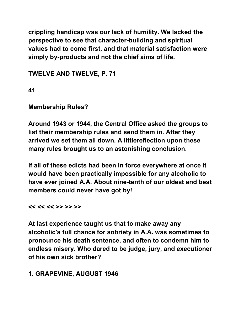**crippling handicap was our lack of humility. We lacked the perspective to see that character-building and spiritual values had to come first, and that material satisfaction were simply by-products and not the chief aims of life.** 

**TWELVE AND TWELVE, P. 71** 

**41** 

**Membership Rules?** 

**Around 1943 or 1944, the Central Office asked the groups to list their membership rules and send them in. After they arrived we set them all down. A littlereflection upon these many rules brought us to an astonishing conclusion.**

**If all of these edicts had been in force everywhere at once it would have been practically impossible for any alcoholic to have ever joined A.A. About nine-tenth of our oldest and best members could never have got by!** 

**<< << << >> >> >>** 

**At last experience taught us that to make away any alcoholic's full chance for sobriety in A.A. was sometimes to pronounce his death sentence, and often to condemn him to endless misery. Who dared to be judge, jury, and executioner of his own sick brother?** 

**1. GRAPEVINE, AUGUST 1946**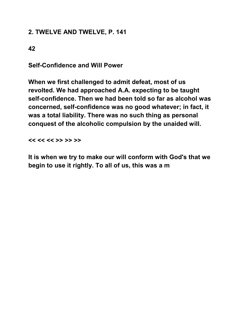# **2. TWELVE AND TWELVE, P. 141**

**42** 

**Self-Confidence and Will Power** 

**When we first challenged to admit defeat, most of us revolted. We had approached A.A. expecting to be taught self-confidence. Then we had been told so far as alcohol was concerned, self-confidence was no good whatever; in fact, it was a total liability. There was no such thing as personal conquest of the alcoholic compulsion by the unaided will.** 

**<< << << >> >> >>** 

**It is when we try to make our will conform with God's that we begin to use it rightly. To all of us, this was a m**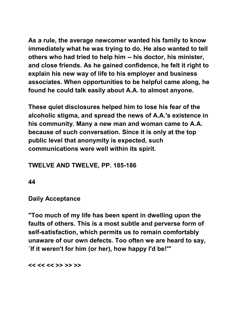**As a rule, the average newcomer wanted his family to know immediately what he was trying to do. He also wanted to tell others who had tried to help him -- his doctor, his minister, and close friends. As he gained confidence, he felt it right to explain his new way of life to his employer and business associates. When opportunities to be helpful came along, he found he could talk easily about A.A. to almost anyone.** 

**These quiet disclosures helped him to lose his fear of the alcoholic stigma, and spread the news of A.A.'s existence in his community. Many a new man and woman came to A.A. because of such conversation. Since it is only at the top public level that anonymity is expected, such communications were well within its spirit.** 

#### **TWELVE AND TWELVE, PP. 185-186**

**44** 

#### **Daily Acceptance**

**"Too much of my life has been spent in dwelling upon the faults of others. This is a most subtle and perverse form of self-satisfaction, which permits us to remain comfortably unaware of our own defects. Too often we are heard to say, `If it weren't for him (or her), how happy I'd be!'"** 

**<< << << >> >> >>**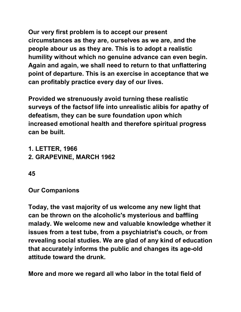**Our very first problem is to accept our present circumstances as they are, ourselves as we are, and the people abour us as they are. This is to adopt a realistic humility without which no genuine advance can even begin. Again and again, we shall need to return to that unflattering point of departure. This is an exercise in acceptance that we can profitably practice every day of our lives.** 

**Provided we strenuously avoid turning these realistic surveys of the factsof life into unrealistic alibis for apathy of defeatism, they can be sure foundation upon which increased emotional health and therefore spiritual progress can be built.** 

- **1. LETTER, 1966 2. GRAPEVINE, MARCH 1962**
- **45**

**Our Companions** 

**Today, the vast majority of us welcome any new light that can be thrown on the alcoholic's mysterious and baffling malady. We welcome new and valuable knowledge whether it issues from a test tube, from a psychiatrist's couch, or from revealing social studies. We are glad of any kind of education that accurately informs the public and changes its age-old attitude toward the drunk.** 

**More and more we regard all who labor in the total field of**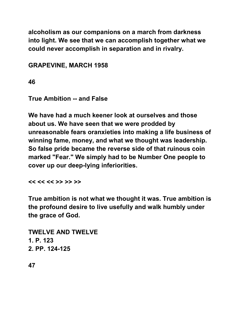**alcoholism as our companions on a march from darkness into light. We see that we can accomplish together what we could never accomplish in separation and in rivalry.** 

**GRAPEVINE, MARCH 1958** 

**46** 

**True Ambition -- and False** 

**We have had a much keener look at ourselves and those about us. We have seen that we were prodded by unreasonable fears oranxieties into making a life business of winning fame, money, and what we thought was leadership. So false pride became the reverse side of that ruinous coin marked "Fear." We simply had to be Number One people to cover up our deep-lying inferiorities.** 

**<< << << >> >> >>** 

**True ambition is not what we thought it was. True ambition is the profound desire to live usefully and walk humbly under the grace of God.** 

**TWELVE AND TWELVE 1. P. 123 2. PP. 124-125**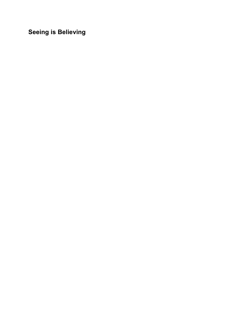**Seeing is Believing**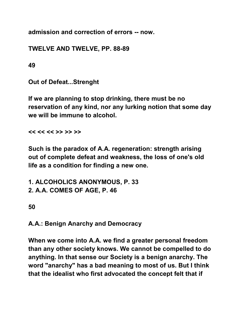**admission and correction of errors -- now.** 

**TWELVE AND TWELVE, PP. 88-89** 

**49** 

**Out of Defeat...Strenght** 

**If we are planning to stop drinking, there must be no reservation of any kind, nor any lurking notion that some day we will be immune to alcohol.** 

**<< << << >> >> >>** 

**Such is the paradox of A.A. regeneration: strength arising out of complete defeat and weakness, the loss of one's old life as a condition for finding a new one.** 

**1. ALCOHOLICS ANONYMOUS, P. 33 2. A.A. COMES OF AGE, P. 46** 

**50** 

**A.A.: Benign Anarchy and Democracy** 

**When we come into A.A. we find a greater personal freedom than any other society knows. We cannot be compelled to do anything. In that sense our Society is a benign anarchy. The word "anarchy" has a bad meaning to most of us. But I think that the idealist who first advocated the concept felt that if**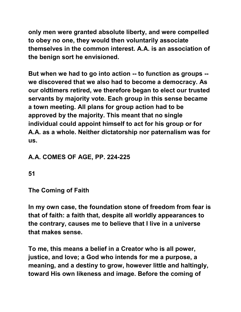**only men were granted absolute liberty, and were compelled to obey no one, they would then voluntarily associate themselves in the common interest. A.A. is an association of the benign sort he envisioned.** 

**But when we had to go into action -- to function as groups - we discovered that we also had to become a democracy. As our oldtimers retired, we therefore began to elect our trusted servants by majority vote. Each group in this sense became a town meeting. All plans for group action had to be approved by the majority. This meant that no single individual could appoint himself to act for his group or for A.A. as a whole. Neither dictatorship nor paternalism was for us.** 

# **A.A. COMES OF AGE, PP. 224-225**

**51** 

**The Coming of Faith** 

**In my own case, the foundation stone of freedom from fear is that of faith: a faith that, despite all worldly appearances to the contrary, causes me to believe that I live in a universe that makes sense.** 

**To me, this means a belief in a Creator who is all power, justice, and love; a God who intends for me a purpose, a meaning, and a destiny to grow, however little and haltingly, toward His own likeness and image. Before the coming of**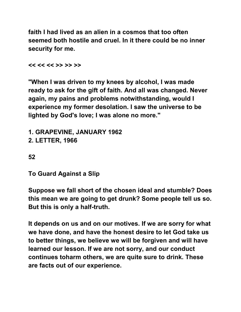**faith I had lived as an alien in a cosmos that too often seemed both hostile and cruel. In it there could be no inner security for me.** 

**<< << << >> >> >>** 

**"When I was driven to my knees by alcohol, I was made ready to ask for the gift of faith. And all was changed. Never again, my pains and problems notwithstanding, would I experience my former desolation. I saw the universe to be lighted by God's love; I was alone no more."** 

```
1. GRAPEVINE, JANUARY 1962 
2. LETTER, 1966
```
**52** 

**To Guard Against a Slip** 

**Suppose we fall short of the chosen ideal and stumble? Does this mean we are going to get drunk? Some people tell us so. But this is only a half-truth.** 

**It depends on us and on our motives. If we are sorry for what we have done, and have the honest desire to let God take us to better things, we believe we will be forgiven and will have learned our lesson. If we are not sorry, and our conduct continues toharm others, we are quite sure to drink. These are facts out of our experience.**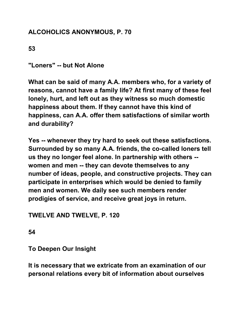## **ALCOHOLICS ANONYMOUS, P. 70**

**53** 

**"Loners" -- but Not Alone** 

**What can be said of many A.A. members who, for a variety of reasons, cannot have a family life? At first many of these feel lonely, hurt, and left out as they witness so much domestic happiness about them. If they cannot have this kind of happiness, can A.A. offer them satisfactions of similar worth and durability?** 

**Yes -- whenever they try hard to seek out these satisfactions. Surrounded by so many A.A. friends, the co-called loners tell us they no longer feel alone. In partnership with others - women and men -- they can devote themselves to any number of ideas, people, and constructive projects. They can participate in enterprises which would be denied to family men and women. We daily see such members render prodigies of service, and receive great joys in return.** 

**TWELVE AND TWELVE, P. 120** 

**54** 

**To Deepen Our Insight** 

**It is necessary that we extricate from an examination of our personal relations every bit of information about ourselves**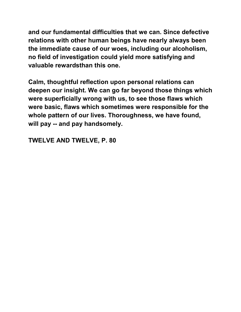**and our fundamental difficulties that we can. Since defective relations with other human beings have nearly always been the immediate cause of our woes, including our alcoholism, no field of investigation could yield more satisfying and valuable rewardsthan this one.** 

**Calm, thoughtful reflection upon personal relations can deepen our insight. We can go far beyond those things which were superficially wrong with us, to see those flaws which were basic, flaws which sometimes were responsible for the whole pattern of our lives. Thoroughness, we have found, will pay -- and pay handsomely.** 

**TWELVE AND TWELVE, P. 80**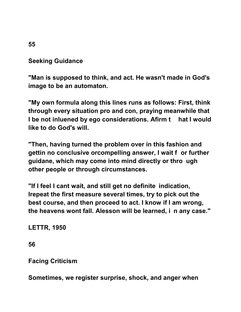#### **Seeking Guidance**

**"Man is supposed to think, and act. He wasn't made in God's image to be an automaton.** 

**"My own formula along this lines runs as follows: First, think through every situation pro and con, praying meanwhile that I be not inluened by ego considerations. Afirm t hat I would like to do God's will.** 

**"Then, having turned the problem over in this fashion and gettin no conclusive orcompelling answer, I wait f or further guidane, which may come into mind directly or thro ugh other people or through circumstances.** 

**"If I feel I cant wait, and still get no definite indication, Irepeat the first measure several times, try to pick out the best course, and then proceed to act. I know if I am wrong, the heavens wont fall. Alesson will be learned, i n any case."** 

**LETTR, 1950** 

**56** 

**Facing Criticism** 

**Sometimes, we register surprise, shock, and anger when** 

**55**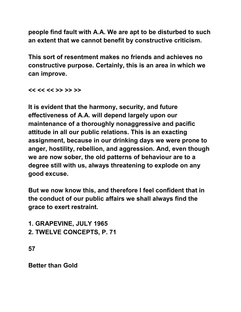**people find fault with A.A. We are apt to be disturbed to such an extent that we cannot benefit by constructive criticism.** 

**This sort of resentment makes no friends and achieves no constructive purpose. Certainly, this is an area in which we can improve.** 

**<< << << >> >> >>** 

**It is evident that the harmony, security, and future effectiveness of A.A. will depend largely upon our maintenance of a thoroughly nonaggressive and pacific attitude in all our public relations. This is an exacting assignment, because in our drinking days we were prone to anger, hostility, rebellion, and aggression. And, even though we are now sober, the old patterns of behaviour are to a degree still with us, always threatening to explode on any good excuse.** 

**But we now know this, and therefore I feel confident that in the conduct of our public affairs we shall always find the grace to exert restraint.** 

**1. GRAPEVINE, JULY 1965 2. TWELVE CONCEPTS, P. 71** 

**57** 

**Better than Gold**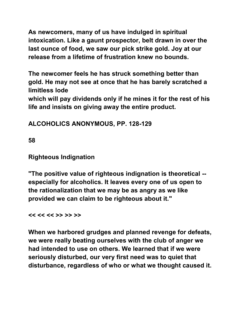**As newcomers, many of us have indulged in spiritual intoxication. Like a gaunt prospector, belt drawn in over the last ounce of food, we saw our pick strike gold. Joy at our release from a lifetime of frustration knew no bounds.** 

**The newcomer feels he has struck something better than gold. He may not see at once that he has barely scratched a limitless lode** 

**which will pay dividends only if he mines it for the rest of his life and insists on giving away the entire product.**

**ALCOHOLICS ANONYMOUS, PP. 128-129** 

**58** 

**Righteous Indignation** 

**"The positive value of righteous indignation is theoretical - especially for alcoholics. It leaves every one of us open to the rationalization that we may be as angry as we like provided we can claim to be righteous about it."** 

**<< << << >> >> >>** 

**When we harbored grudges and planned revenge for defeats, we were really beating ourselves with the club of anger we had intended to use on others. We learned that if we were seriously disturbed, our very first need was to quiet that disturbance, regardless of who or what we thought caused it.**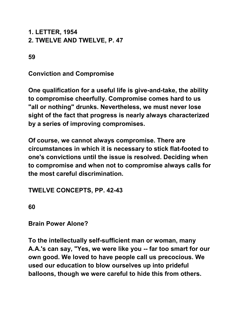# **1. LETTER, 1954 2. TWELVE AND TWELVE, P. 47**

**59** 

**Conviction and Compromise** 

**One qualification for a useful life is give-and-take, the ability to compromise cheerfully. Compromise comes hard to us "all or nothing" drunks. Nevertheless, we must never lose sight of the fact that progress is nearly always characterized by a series of improving compromises.** 

**Of course, we cannot always compromise. There are circumstances in which it is necessary to stick flat-footed to one's convictions until the issue is resolved. Deciding when to compromise and when not to compromise always calls for the most careful discrimination.** 

**TWELVE CONCEPTS, PP. 42-43** 

**60** 

**Brain Power Alone?** 

**To the intellectually self-sufficient man or woman, many A.A.'s can say, "Yes, we were like you -- far too smart for our own good. We loved to have people call us precocious. We used our education to blow ourselves up into prideful balloons, though we were careful to hide this from others.**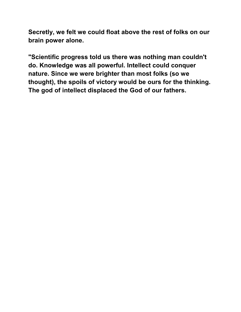**Secretly, we felt we could float above the rest of folks on our brain power alone.** 

**"Scientific progress told us there was nothing man couldn't do. Knowledge was all powerful. Intellect could conquer nature. Since we were brighter than most folks (so we thought), the spoils of victory would be ours for the thinking. The god of intellect displaced the God of our fathers.**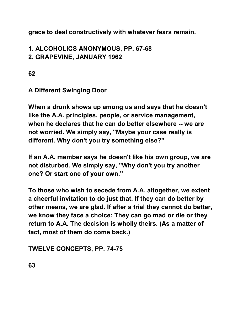**grace to deal constructively with whatever fears remain.** 

### **1. ALCOHOLICS ANONYMOUS, PP. 67-68 2. GRAPEVINE, JANUARY 1962**

**62** 

# **A Different Swinging Door**

**When a drunk shows up among us and says that he doesn't like the A.A. principles, people, or service management, when he declares that he can do better elsewhere -- we are not worried. We simply say, "Maybe your case really is different. Why don't you try something else?"** 

**If an A.A. member says he doesn't like his own group, we are not disturbed. We simply say, "Why don't you try another one? Or start one of your own."** 

**To those who wish to secede from A.A. altogether, we extent a cheerful invitation to do just that. If they can do better by other means, we are glad. If after a trial they cannot do better, we know they face a choice: They can go mad or die or they return to A.A. The decision is wholly theirs. (As a matter of fact, most of them do come back.)** 

**TWELVE CONCEPTS, PP. 74-75**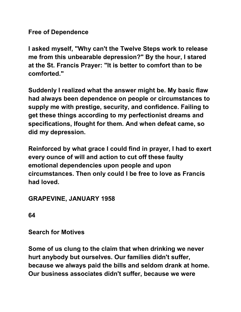**Free of Dependence** 

**I asked myself, "Why can't the Twelve Steps work to release me from this unbearable depression?" By the hour, I stared at the St. Francis Prayer: "It is better to comfort than to be comforted."** 

**Suddenly I realized what the answer might be. My basic flaw had always been dependence on people or circumstances to supply me with prestige, security, and confidence. Failing to get these things according to my perfectionist dreams and specifications, Ifought for them. And when defeat came, so did my depression.** 

**Reinforced by what grace I could find in prayer, I had to exert every ounce of will and action to cut off these faulty emotional dependencies upon people and upon circumstances. Then only could I be free to love as Francis had loved.** 

## **GRAPEVINE, JANUARY 1958**

**64** 

**Search for Motives** 

**Some of us clung to the claim that when drinking we never hurt anybody but ourselves. Our families didn't suffer, because we always paid the bills and seldom drank at home. Our business associates didn't suffer, because we were**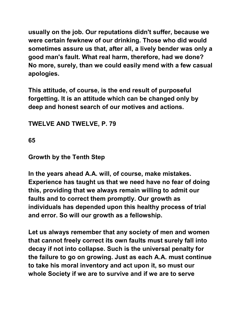**usually on the job. Our reputations didn't suffer, because we were certain fewknew of our drinking. Those who did would sometimes assure us that, after all, a lively bender was only a good man's fault. What real harm, therefore, had we done? No more, surely, than we could easily mend with a few casual apologies.** 

**This attitude, of course, is the end result of purposeful forgetting. It is an attitude which can be changed only by deep and honest search of our motives and actions.** 

**TWELVE AND TWELVE, P. 79** 

**65** 

### **Growth by the Tenth Step**

**In the years ahead A.A. will, of course, make mistakes. Experience has taught us that we need have no fear of doing this, providing that we always remain willing to admit our faults and to correct them promptly. Our growth as individuals has depended upon this healthy process of trial and error. So will our growth as a fellowship.** 

**Let us always remember that any society of men and women that cannot freely correct its own faults must surely fall into decay if not into collapse. Such is the universal penalty for the failure to go on growing. Just as each A.A. must continue to take his moral inventory and act upon it, so must our whole Society if we are to survive and if we are to serve**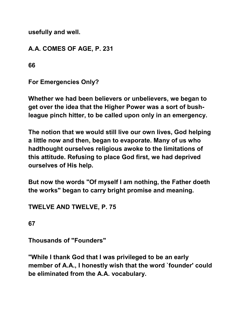**usefully and well.** 

**A.A. COMES OF AGE, P. 231** 

**66** 

**For Emergencies Only?** 

**Whether we had been believers or unbelievers, we began to get over the idea that the Higher Power was a sort of bushleague pinch hitter, to be called upon only in an emergency.** 

**The notion that we would still live our own lives, God helping a little now and then, began to evaporate. Many of us who hadthought ourselves religious awoke to the limitations of this attitude. Refusing to place God first, we had deprived ourselves of His help.** 

**But now the words "Of myself I am nothing, the Father doeth the works" began to carry bright promise and meaning.** 

**TWELVE AND TWELVE, P. 75** 

**67** 

**Thousands of "Founders"** 

**"While I thank God that I was privileged to be an early member of A.A., I honestly wish that the word `founder' could be eliminated from the A.A. vocabulary.**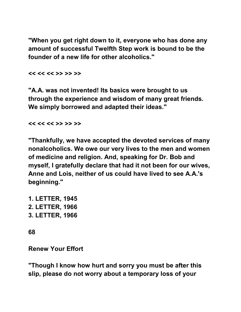**"When you get right down to it, everyone who has done any amount of successful Twelfth Step work is bound to be the founder of a new life for other alcoholics."** 

**<< << << >> >> >>** 

**"A.A. was not invented! Its basics were brought to us through the experience and wisdom of many great friends. We simply borrowed and adapted their ideas."** 

**<< << << >> >> >>** 

**"Thankfully, we have accepted the devoted services of many nonalcoholics. We owe our very lives to the men and women of medicine and religion. And, speaking for Dr. Bob and myself, I gratefully declare that had it not been for our wives, Anne and Lois, neither of us could have lived to see A.A.'s beginning."** 

**1. LETTER, 1945 2. LETTER, 1966 3. LETTER, 1966** 

**68** 

**Renew Your Effort** 

**"Though I know how hurt and sorry you must be after this slip, please do not worry about a temporary loss of your**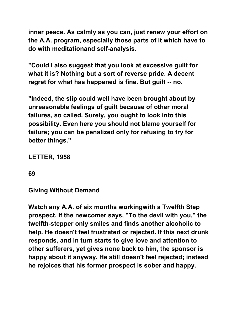**inner peace. As calmly as you can, just renew your effort on the A.A. program, especially those parts of it which have to do with meditationand self-analysis.** 

**"Could I also suggest that you look at excessive guilt for what it is? Nothing but a sort of reverse pride. A decent regret for what has happened is fine. But guilt -- no.** 

**"Indeed, the slip could well have been brought about by unreasonable feelings of guilt because of other moral failures, so called. Surely, you ought to look into this possibility. Even here you should not blame yourself for failure; you can be penalized only for refusing to try for better things."** 

**LETTER, 1958** 

**69** 

**Giving Without Demand** 

**Watch any A.A. of six months workingwith a Twelfth Step prospect. If the newcomer says, "To the devil with you," the twelfth-stepper only smiles and finds another alcoholic to help. He doesn't feel frustrated or rejected. If this next drunk responds, and in turn starts to give love and attention to other sufferers, yet gives none back to him, the sponsor is happy about it anyway. He still doesn't feel rejected; instead he rejoices that his former prospect is sober and happy.**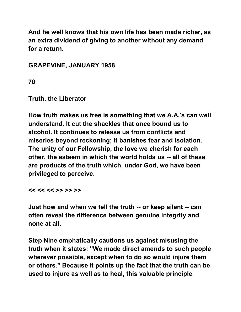**And he well knows that his own life has been made richer, as an extra dividend of giving to another without any demand for a return.** 

**GRAPEVINE, JANUARY 1958** 

**70** 

**Truth, the Liberator** 

**How truth makes us free is something that we A.A.'s can well understand. It cut the shackles that once bound us to alcohol. It continues to release us from conflicts and miseries beyond reckoning; it banishes fear and isolation. The unity of our Fellowship, the love we cherish for each other, the esteem in which the world holds us -- all of these are products of the truth which, under God, we have been privileged to perceive.** 

**<< << << >> >> >>** 

**Just how and when we tell the truth -- or keep silent -- can often reveal the difference between genuine integrity and none at all.** 

**Step Nine emphatically cautions us against misusing the truth when it states: "We made direct amends to such people wherever possible, except when to do so would injure them or others." Because it points up the fact that the truth can be used to injure as well as to heal, this valuable principle**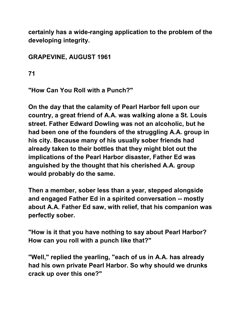**certainly has a wide-ranging application to the problem of the developing integrity.** 

# **GRAPEVINE, AUGUST 1961**

**71** 

**"How Can You Roll with a Punch?"** 

**On the day that the calamity of Pearl Harbor fell upon our country, a great friend of A.A. was walking alone a St. Louis street. Father Edward Dowling was not an alcoholic, but he had been one of the founders of the struggling A.A. group in his city. Because many of his usually sober friends had already taken to their bottles that they might blot out the implications of the Pearl Harbor disaster, Father Ed was anguished by the thought that his cherished A.A. group would probably do the same.** 

**Then a member, sober less than a year, stepped alongside and engaged Father Ed in a spirited conversation -- mostly about A.A. Father Ed saw, with relief, that his companion was perfectly sober.** 

**"How is it that you have nothing to say about Pearl Harbor? How can you roll with a punch like that?"** 

**"Well," replied the yearling, "each of us in A.A. has already had his own private Pearl Harbor. So why should we drunks crack up over this one?"**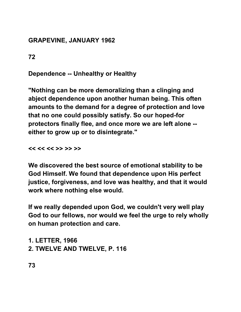## **GRAPEVINE, JANUARY 1962**

**72** 

**Dependence -- Unhealthy or Healthy** 

**"Nothing can be more demoralizing than a clinging and abject dependence upon another human being. This often amounts to the demand for a degree of protection and love that no one could possibly satisfy. So our hoped-for protectors finally flee, and once more we are left alone - either to grow up or to disintegrate."** 

**<< << << >> >> >>** 

**We discovered the best source of emotional stability to be God Himself. We found that dependence upon His perfect justice, forgiveness, and love was healthy, and that it would work where nothing else would.** 

**If we really depended upon God, we couldn't very well play God to our fellows, nor would we feel the urge to rely wholly on human protection and care.** 

**1. LETTER, 1966 2. TWELVE AND TWELVE, P. 116** 

**73**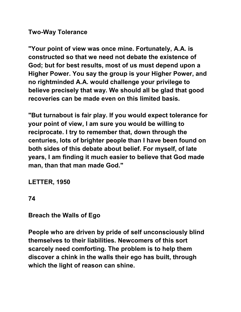#### **Two-Way Tolerance**

**"Your point of view was once mine. Fortunately, A.A. is constructed so that we need not debate the existence of God; but for best results, most of us must depend upon a Higher Power. You say the group is your Higher Power, and no rightminded A.A. would challenge your privilege to believe precisely that way. We should all be glad that good recoveries can be made even on this limited basis.** 

**"But turnabout is fair play. If you would expect tolerance for your point of view, I am sure you would be willing to reciprocate. I try to remember that, down through the centuries, lots of brighter people than I have been found on both sides of this debate about belief. For myself, of late years, I am finding it much easier to believe that God made man, than that man made God."** 

**LETTER, 1950** 

**74** 

**Breach the Walls of Ego** 

**People who are driven by pride of self unconsciously blind themselves to their liabilities. Newcomers of this sort scarcely need comforting. The problem is to help them discover a chink in the walls their ego has built, through which the light of reason can shine.**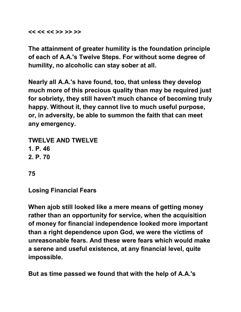**<< << << >> >> >>** 

**The attainment of greater humility is the foundation principle of each of A.A.'s Twelve Steps. For without some degree of humility, no alcoholic can stay sober at all.** 

**Nearly all A.A.'s have found, too, that unless they develop much more of this precious quality than may be required just for sobriety, they still haven't much chance of becoming truly happy. Without it, they cannot live to much useful purpose, or, in adversity, be able to summon the faith that can meet any emergency.** 

**TWELVE AND TWELVE 1. P. 46 2. P. 70** 

**75** 

**Losing Financial Fears** 

**When ajob still looked like a mere means of getting money rather than an opportunity for service, when the acquisition of money for financial independence looked more important than a right dependence upon God, we were the victims of unreasonable fears. And these were fears which would make a serene and useful existence, at any financial level, quite impossible.** 

**But as time passed we found that with the help of A.A.'s**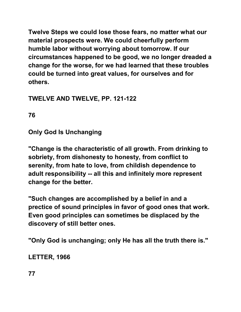**Twelve Steps we could lose those fears, no matter what our material prospects were. We could cheerfully perform humble labor without worrying about tomorrow. If our circumstances happened to be good, we no longer dreaded a change for the worse, for we had learned that these troubles could be turned into great values, for ourselves and for others.** 

# **TWELVE AND TWELVE, PP. 121-122**

**76** 

**Only God Is Unchanging** 

**"Change is the characteristic of all growth. From drinking to sobriety, from dishonesty to honesty, from conflict to serenity, from hate to love, from childish dependence to adult responsibility -- all this and infinitely more represent change for the better.** 

**"Such changes are accomplished by a belief in and a prectice of sound principles in favor of good ones that work. Even good principles can sometimes be displaced by the discovery of still better ones.** 

**"Only God is unchanging; only He has all the truth there is."** 

**LETTER, 1966** 

**77**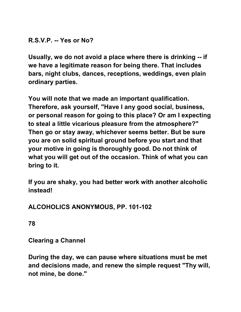### **R.S.V.P. -- Yes or No?**

**Usually, we do not avoid a place where there is drinking -- if we have a legitimate reason for being there. That includes bars, night clubs, dances, receptions, weddings, even plain ordinary parties.** 

**You will note that we made an important qualification. Therefore, ask yourself, "Have I any good social, business, or personal reason for going to this place? Or am I expecting to steal a little vicarious pleasure from the atmosphere?" Then go or stay away, whichever seems better. But be sure you are on solid spiritual ground before you start and that your motive in going is thoroughly good. Do not think of what you will get out of the occasion. Think of what you can bring to it.** 

**If you are shaky, you had better work with another alcoholic instead!** 

## **ALCOHOLICS ANONYMOUS, PP. 101-102**

**78** 

**Clearing a Channel** 

**During the day, we can pause where situations must be met and decisions made, and renew the simple request "Thy will, not mine, be done."**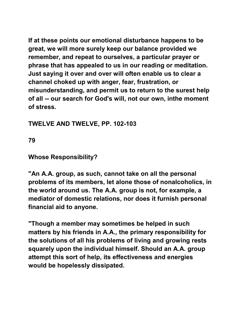**If at these points our emotional disturbance happens to be great, we will more surely keep our balance provided we remember, and repeat to ourselves, a particular prayer or phrase that has appealed to us in our reading or meditation. Just saying it over and over will often enable us to clear a channel choked up with anger, fear, frustration, or misunderstanding, and permit us to return to the surest help of all -- our search for God's will, not our own, inthe moment of stress.** 

### **TWELVE AND TWELVE, PP. 102-103**

**79** 

#### **Whose Responsibility?**

**"An A.A. group, as such, cannot take on all the personal problems of its members, let alone those of nonalcoholics, in the world around us. The A.A. group is not, for example, a mediator of domestic relations, nor does it furnish personal financial aid to anyone.** 

**"Though a member may sometimes be helped in such matters by his friends in A.A., the primary responsibility for the solutions of all his problems of living and growing rests squarely upon the individual himself. Should an A.A. group attempt this sort of help, its effectiveness and energies would be hopelessly dissipated.**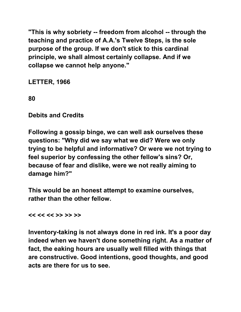**"This is why sobriety -- freedom from alcohol -- through the teaching and practice of A.A.'s Twelve Steps, is the sole purpose of the group. If we don't stick to this cardinal principle, we shall almost certainly collapse. And if we collapse we cannot help anyone."** 

**LETTER, 1966** 

**80** 

**Debits and Credits** 

**Following a gossip binge, we can well ask ourselves these questions: "Why did we say what we did? Were we only trying to be helpful and informative? Or were we not trying to feel superior by confessing the other fellow's sins? Or, because of fear and dislike, were we not really aiming to damage him?"** 

**This would be an honest attempt to examine ourselves, rather than the other fellow.** 

**<< << << >> >> >>** 

**Inventory-taking is not always done in red ink. It's a poor day indeed when we haven't done something right. As a matter of fact, the eaking hours are usually well filled with things that are constructive. Good intentions, good thoughts, and good acts are there for us to see.**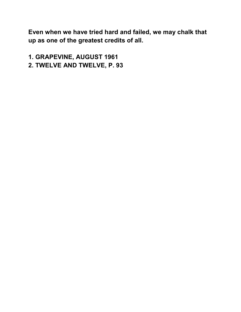**Even when we have tried hard and failed, we may chalk that up as one of the greatest credits of all.** 

**1. GRAPEVINE, AUGUST 1961 2. TWELVE AND TWELVE, P. 93**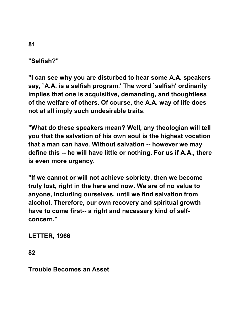**"Selfish?"** 

**"I can see why you are disturbed to hear some A.A. speakers say, `A.A. is a selfish program.' The word `selfish' ordinarily implies that one is acquisitive, demanding, and thoughtless of the welfare of others. Of course, the A.A. way of life does not at all imply such undesirable traits.** 

**"What do these speakers mean? Well, any theologian will tell you that the salvation of his own soul is the highest vocation that a man can have. Without salvation -- however we may define this -- he will have little or nothing. For us if A.A., there is even more urgency.** 

**"If we cannot or will not achieve sobriety, then we become truly lost, right in the here and now. We are of no value to anyone, including ourselves, until we find salvation from alcohol. Therefore, our own recovery and spiritual growth have to come first-- a right and necessary kind of selfconcern."** 

**LETTER, 1966** 

**82** 

**Trouble Becomes an Asset**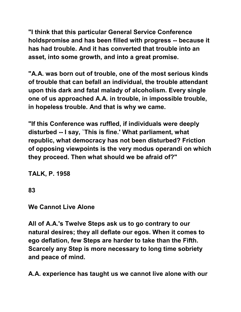**"I think that this particular General Service Conference holdspromise and has been filled with progress -- because it has had trouble. And it has converted that trouble into an asset, into some growth, and into a great promise.** 

**"A.A. was born out of trouble, one of the most serious kinds of trouble that can befall an individual, the trouble attendant upon this dark and fatal malady of alcoholism. Every single one of us approached A.A. in trouble, in impossible trouble, in hopeless trouble. And that is why we came.** 

**"If this Conference was ruffled, if individuals were deeply disturbed -- I say, `This is fine.' What parliament, what republic, what democracy has not been disturbed? Friction of opposing viewpoints is the very modus operandi on which they proceed. Then what should we be afraid of?"** 

**TALK, P. 1958** 

**83** 

**We Cannot Live Alone** 

**All of A.A.'s Twelve Steps ask us to go contrary to our natural desires; they all deflate our egos. When it comes to ego deflation, few Steps are harder to take than the Fifth. Scarcely any Step is more necessary to long time sobriety and peace of mind.** 

**A.A. experience has taught us we cannot live alone with our**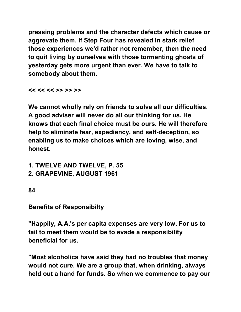**pressing problems and the character defects which cause or aggrevate them. If Step Four has revealed in stark relief those experiences we'd rather not remember, then the need to quit living by ourselves with those tormenting ghosts of yesterday gets more urgent than ever. We have to talk to somebody about them.** 

**<< << << >> >> >>** 

**We cannot wholly rely on friends to solve all our difficulties. A good adviser will never do all our thinking for us. He knows that each final choice must be ours. He will therefore help to eliminate fear, expediency, and self-deception, so enabling us to make choices which are loving, wise, and honest.** 

**1. TWELVE AND TWELVE, P. 55** 

**2. GRAPEVINE, AUGUST 1961** 

**84** 

**Benefits of Responsibilty** 

**"Happily, A.A.'s per capita expenses are very low. For us to fail to meet them would be to evade a responsibility beneficial for us.** 

**"Most alcoholics have said they had no troubles that money would not cure. We are a group that, when drinking, always held out a hand for funds. So when we commence to pay our**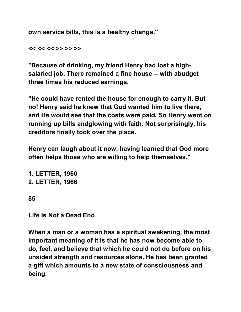**own service bills, this is a healthy change."** 

**<< << << >> >> >>** 

**"Because of drinking, my friend Henry had lost a highsalaried job. There remained a fine house -- with abudget three times his reduced earnings.** 

**"He could have rented the house for enough to carry it. But no! Henry said he knew that God wanted him to live there, and He would see that the costs were paid. So Henry went on running up bills andglowing with faith. Not surprisingly, his creditors finally took over the place.** 

**Henry can laugh about it now, having learned that God more often helps those who are willing to help themselves."** 

**1. LETTER, 1960 2. LETTER, 1966** 

**85** 

**Life Is Not a Dead End** 

**When a man or a woman has a spiritual awakening, the most important meaning of it is that he has now become able to do, feel, and believe that which he could not do before on his unaided strength and resources alone. He has been granted a gift which amounts to a new state of consciousness and being.**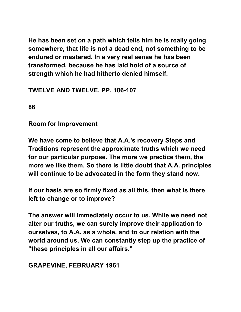**He has been set on a path which tells him he is really going somewhere, that life is not a dead end, not something to be endured or mastered. In a very real sense he has been transformed, because he has laid hold of a source of strength which he had hitherto denied himself.** 

## **TWELVE AND TWELVE, PP. 106-107**

**86** 

**Room for Improvement** 

**We have come to believe that A.A.'s recovery Steps and Traditions represent the approximate truths which we need for our particular purpose. The more we practice them, the more we like them. So there is little doubt that A.A. principles will continue to be advocated in the form they stand now.** 

**If our basis are so firmly fixed as all this, then what is there left to change or to improve?** 

**The answer will immediately occur to us. While we need not alter our truths, we can surely improve their application to ourselves, to A.A. as a whole, and to our relation with the world around us. We can constantly step up the practice of "these principles in all our affairs."** 

**GRAPEVINE, FEBRUARY 1961**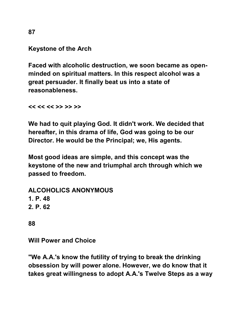**Keystone of the Arch** 

**Faced with alcoholic destruction, we soon became as openminded on spiritual matters. In this respect alcohol was a great persuader. It finally beat us into a state of reasonableness.** 

**<< << << >> >> >>** 

**We had to quit playing God. It didn't work. We decided that hereafter, in this drama of life, God was going to be our Director. He would be the Principal; we, His agents.** 

**Most good ideas are simple, and this concept was the keystone of the new and triumphal arch through which we passed to freedom.** 

**ALCOHOLICS ANONYMOUS 1. P. 48 2. P. 62** 

**88** 

**Will Power and Choice** 

**"We A.A.'s know the futility of trying to break the drinking obsession by will power alone. However, we do know that it takes great willingness to adopt A.A.'s Twelve Steps as a way** 

**87**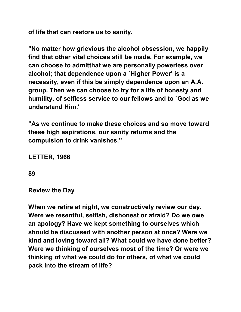**of life that can restore us to sanity.** 

**"No matter how grievious the alcohol obsession, we happily find that other vital choices still be made. For example, we can choose to admitthat we are personally powerless over alcohol; that dependence upon a `Higher Power' is a necessity, even if this be simply dependence upon an A.A. group. Then we can choose to try for a life of honesty and humility, of selfless service to our fellows and to `God as we understand Him.'** 

**"As we continue to make these choices and so move toward these high aspirations, our sanity returns and the compulsion to drink vanishes."** 

**LETTER, 1966** 

**89** 

**Review the Day** 

**When we retire at night, we constructively review our day. Were we resentful, selfish, dishonest or afraid? Do we owe an apology? Have we kept something to ourselves which should be discussed with another person at once? Were we kind and loving toward all? What could we have done better? Were we thinking of ourselves most of the time? Or were we thinking of what we could do for others, of what we could pack into the stream of life?**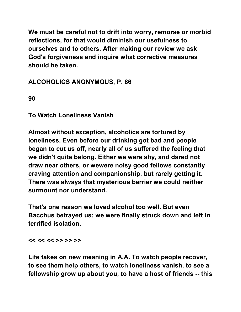**We must be careful not to drift into worry, remorse or morbid reflections, for that would diminish our usefulness to ourselves and to others. After making our review we ask God's forgiveness and inquire what corrective measures should be taken.** 

**ALCOHOLICS ANONYMOUS, P. 86** 

**90** 

**To Watch Loneliness Vanish** 

**Almost without exception, alcoholics are tortured by loneliness. Even before our drinking got bad and people began to cut us off, nearly all of us suffered the feeling that we didn't quite belong. Either we were shy, and dared not draw near others, or wewere noisy good fellows constantly craving attention and companionship, but rarely getting it. There was always that mysterious barrier we could neither surmount nor understand.** 

**That's one reason we loved alcohol too well. But even Bacchus betrayed us; we were finally struck down and left in terrified isolation.** 

**<< << << >> >> >>** 

**Life takes on new meaning in A.A. To watch people recover, to see them help others, to watch loneliness vanish, to see a fellowship grow up about you, to have a host of friends -- this**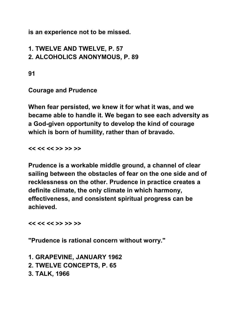**is an experience not to be missed.** 

# **1. TWELVE AND TWELVE, P. 57 2. ALCOHOLICS ANONYMOUS, P. 89**

**91** 

**Courage and Prudence** 

**When fear persisted, we knew it for what it was, and we became able to handle it. We began to see each adversity as a God-given opportunity to develop the kind of courage which is born of humility, rather than of bravado.** 

**<< << << >> >> >>** 

**Prudence is a workable middle ground, a channel of clear sailing between the obstacles of fear on the one side and of recklessness on the other. Prudence in practice creates a definite climate, the only climate in which harmony, effectiveness, and consistent spiritual progress can be achieved.** 

**<< << << >> >> >>** 

**"Prudence is rational concern without worry."** 

**1. GRAPEVINE, JANUARY 1962 2. TWELVE CONCEPTS, P. 65 3. TALK, 1966**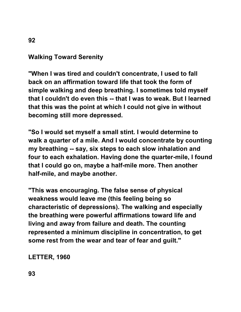## **Walking Toward Serenity**

**"When I was tired and couldn't concentrate, I used to fall back on an affirmation toward life that took the form of simple walking and deep breathing. I sometimes told myself that I couldn't do even this -- that I was to weak. But I learned that this was the point at which I could not give in without becoming still more depressed.** 

**"So I would set myself a small stint. I would determine to walk a quarter of a mile. And I would concentrate by counting my breathing -- say, six steps to each slow inhalation and four to each exhalation. Having done the quarter-mile, I found that I could go on, maybe a half-mile more. Then another half-mile, and maybe another.** 

**"This was encouraging. The false sense of physical weakness would leave me (this feeling being so characteristic of depressions). The walking and especially the breathing were powerful affirmations toward life and living and away from failure and death. The counting represented a minimum discipline in concentration, to get some rest from the wear and tear of fear and guilt."** 

**LETTER, 1960** 

**92**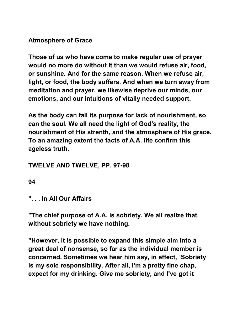**Atmosphere of Grace** 

**Those of us who have come to make regular use of prayer would no more do without it than we would refuse air, food, or sunshine. And for the same reason. When we refuse air, light, or food, the body suffers. And when we turn away from meditation and prayer, we likewise deprive our minds, our emotions, and our intuitions of vitally needed support.** 

**As the body can fail its purpose for lack of nourishment, so can the soul. We all need the light of God's reality, the nourishment of His strenth, and the atmosphere of His grace. To an amazing extent the facts of A.A. life confirm this ageless truth.** 

### **TWELVE AND TWELVE, PP. 97-98**

**94** 

**". . . In All Our Affairs** 

**"The chief purpose of A.A. is sobriety. We all realize that without sobriety we have nothing.** 

**"However, it is possible to expand this simple aim into a great deal of nonsense, so far as the individual member is concerned. Sometimes we hear him say, in effect, `Sobriety is my sole responsibility. After all, I'm a pretty fine chap, expect for my drinking. Give me sobriety, and I've got it**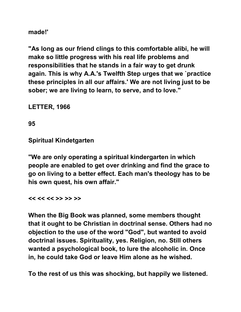**made!'** 

**"As long as our friend clings to this comfortable alibi, he will make so little progress with his real life problems and responsibilities that he stands in a fair way to get drunk again. This is why A.A.'s Twelfth Step urges that we `practice these principles in all our affairs.' We are not living just to be sober; we are living to learn, to serve, and to love."** 

**LETTER, 1966** 

**95** 

**Spiritual Kindetgarten** 

**"We are only operating a spiritual kindergarten in which people are enabled to get over drinking and find the grace to go on living to a better effect. Each man's theology has to be his own quest, his own affair."** 

**<< << << >> >> >>** 

**When the Big Book was planned, some members thought that it ought to be Christian in doctrinal sense. Others had no objection to the use of the word "God", but wanted to avoid doctrinal issues. Spirituality, yes. Religion, no. Still others wanted a psychological book, to lure the alcoholic in. Once in, he could take God or leave Him alone as he wished.** 

**To the rest of us this was shocking, but happily we listened.**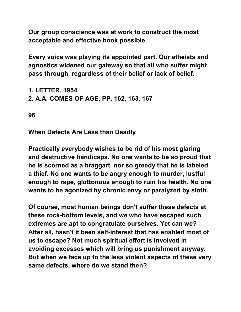**Our group conscience was at work to construct the most acceptable and effective book possible.** 

**Every voice was playing its appointed part. Our atheists and agnostics widened our gateway so that all who suffer might pass through, regardless of their belief or lack of belief.** 

**1. LETTER, 1954 2. A.A. COMES OF AGE, PP. 162, 163, 167** 

**96** 

**When Defects Are Less than Deadly** 

**Practically everybody wishes to be rid of his most glaring and destructive handicaps. No one wants to be so proud that he is scorned as a braggart, nor so greedy that he is labeled a thief. No one wants to be angry enough to murder, lustful enough to rape, gluttonous enough to ruin his health. No one wants to be agonized by chronic envy or paralyzed by sloth.** 

**Of course, most human beings don't suffer these defects at these rock-bottom levels, and we who have escaped such extremes are apt to congratulate ourselves. Yet can we? After all, hasn't it been self-interest that has enabled most of us to escape? Not much spiritual effort is involved in avoiding excesses which will bring us punishment anyway. But when we face up to the less violent aspects of these very same defects, where do we stand then?**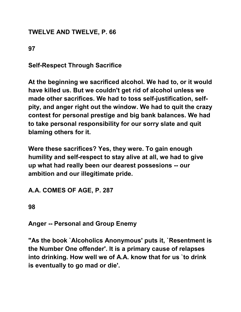### **TWELVE AND TWELVE, P. 66**

**97** 

**Self-Respect Through Sacrifice** 

**At the beginning we sacrificed alcohol. We had to, or it would have killed us. But we couldn't get rid of alcohol unless we made other sacrifices. We had to toss self-justification, selfpity, and anger right out the window. We had to quit the crazy contest for personal prestige and big bank balances. We had to take personal responsibility for our sorry slate and quit blaming others for it.** 

**Were these sacrifices? Yes, they were. To gain enough humility and self-respect to stay alive at all, we had to give up what had really been our dearest possesions -- our ambition and our illegitimate pride.** 

### **A.A. COMES OF AGE, P. 287**

**98** 

**Anger -- Personal and Group Enemy** 

**"As the book `Alcoholics Anonymous' puts it, `Resentment is the Number One offender'. It is a primary cause of relapses into drinking. How well we of A.A. know that for us `to drink is eventually to go mad or die'.**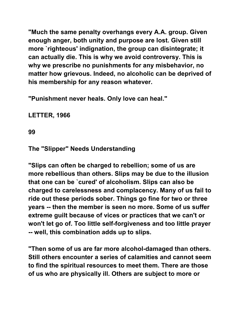**"Much the same penalty overhangs every A.A. group. Given enough anger, both unity and purpose are lost. Given still more `righteous' indignation, the group can disintegrate; it can actually die. This is why we avoid controversy. This is why we prescribe no punishments for any misbehavior, no matter how grievous. Indeed, no alcoholic can be deprived of his membership for any reason whatever.** 

**"Punishment never heals. Only love can heal."** 

**LETTER, 1966** 

**99** 

#### **The "Slipper" Needs Understanding**

**"Slips can often be charged to rebellion; some of us are more rebellious than others. Slips may be due to the illusion that one can be `cured' of alcoholism. Slips can also be charged to carelessness and complacency. Many of us fail to ride out these periods sober. Things go fine for two or three years -- then the member is seen no more. Some of us suffer extreme guilt because of vices or practices that we can't or won't let go of. Too little self-forgiveness and too little prayer -- well, this combination adds up to slips.** 

**"Then some of us are far more alcohol-damaged than others. Still others encounter a series of calamities and cannot seem to find the spiritual resources to meet them. There are those of us who are physically ill. Others are subject to more or**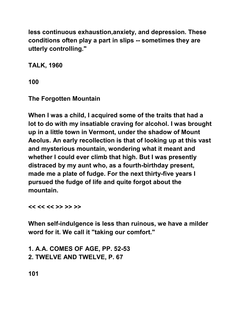**less continuous exhaustion,anxiety, and depression. These conditions often play a part in slips -- sometimes they are utterly controlling."** 

**TALK, 1960** 

**100** 

**The Forgotten Mountain** 

**When I was a child, I acquired some of the traits that had a lot to do with my insatiable craving for alcohol. I was brought up in a little town in Vermont, under the shadow of Mount Aeolus. An early recollection is that of looking up at this vast and mysterious mountain, wondering what it meant and whether I could ever climb that high. But I was presently distraced by my aunt who, as a fourth-birthday present, made me a plate of fudge. For the next thirty-five years I pursued the fudge of life and quite forgot about the mountain.** 

**<< << << >> >> >>** 

**When self-indulgence is less than ruinous, we have a milder word for it. We call it "taking our comfort."** 

**1. A.A. COMES OF AGE, PP. 52-53 2. TWELVE AND TWELVE, P. 67** 

**101**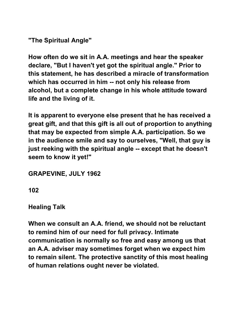**"The Spiritual Angle"** 

**How often do we sit in A.A. meetings and hear the speaker declare, "But I haven't yet got the spiritual angle." Prior to this statement, he has described a miracle of transformation which has occurred in him -- not only his release from alcohol, but a complete change in his whole attitude toward life and the living of it.** 

**It is apparent to everyone else present that he has received a great gift, and that this gift is all out of proportion to anything that may be expected from simple A.A. participation. So we in the audience smile and say to ourselves, "Well, that guy is just reeking with the spiritual angle -- except that he doesn't seem to know it yet!"** 

**GRAPEVINE, JULY 1962** 

**102** 

**Healing Talk** 

**When we consult an A.A. friend, we should not be reluctant to remind him of our need for full privacy. Intimate communication is normally so free and easy among us that an A.A. adviser may sometimes forget when we expect him to remain silent. The protective sanctity of this most healing of human relations ought never be violated.**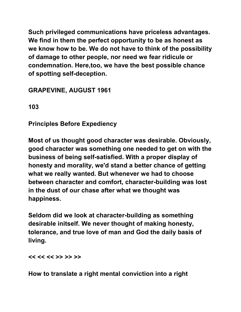**Such privileged communications have priceless advantages. We find in them the perfect opportunity to be as honest as we know how to be. We do not have to think of the possibility of damage to other people, nor need we fear ridicule or condemnation. Here,too, we have the best possible chance of spotting self-deception.** 

**GRAPEVINE, AUGUST 1961** 

**103** 

**Principles Before Expediency** 

**Most of us thought good character was desirable. Obviously, good character was something one needed to get on with the business of being self-satisfied. With a proper display of honesty and morality, we'd stand a better chance of getting what we really wanted. But whenever we had to choose between character and comfort, character-building was lost in the dust of our chase after what we thought was happiness.** 

**Seldom did we look at character-building as something desirable initself. We never thought of making honesty, tolerance, and true love of man and God the daily basis of living.** 

**<< << << >> >> >>** 

**How to translate a right mental conviction into a right**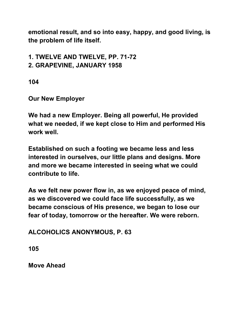**emotional result, and so into easy, happy, and good living, is the problem of life itself.** 

**1. TWELVE AND TWELVE, PP. 71-72 2. GRAPEVINE, JANUARY 1958** 

**104** 

**Our New Employer** 

**We had a new Employer. Being all powerful, He provided what we needed, if we kept close to Him and performed His work well.** 

**Established on such a footing we became less and less interested in ourselves, our little plans and designs. More and more we became interested in seeing what we could contribute to life.** 

**As we felt new power flow in, as we enjoyed peace of mind, as we discovered we could face life successfully, as we became conscious of His presence, we began to lose our fear of today, tomorrow or the hereafter. We were reborn.** 

**ALCOHOLICS ANONYMOUS, P. 63** 

**105** 

**Move Ahead**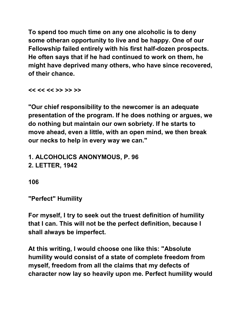**To spend too much time on any one alcoholic is to deny some otheran opportunity to live and be happy. One of our Fellowship failed entirely with his first half-dozen prospects. He often says that if he had continued to work on them, he might have deprived many others, who have since recovered, of their chance.** 

**<< << << >> >> >>** 

**"Our chief responsibility to the newcomer is an adequate presentation of the program. If he does nothing or argues, we do nothing but maintain our own sobriety. If he starts to move ahead, even a little, with an open mind, we then break our necks to help in every way we can."** 

**1. ALCOHOLICS ANONYMOUS, P. 96 2. LETTER, 1942** 

**106** 

**"Perfect" Humility** 

**For myself, I try to seek out the truest definition of humility that I can. This will not be the perfect definition, because I shall always be imperfect.** 

**At this writing, I would choose one like this: "Absolute humility would consist of a state of complete freedom from myself, freedom from all the claims that my defects of character now lay so heavily upon me. Perfect humility would**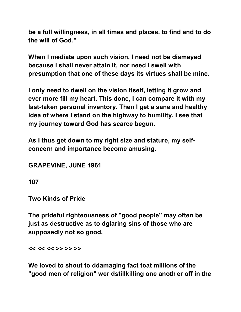**be a full willingness, in all times and places, to find and to do the will of God."** 

**When I mediate upon such vision, I need not be dismayed because I shall never attain it, nor need I swell with presumption that one of these days its virtues shall be mine.** 

**I only need to dwell on the vision itself, letting it grow and ever more fill my heart. This done, I can compare it with my last-taken personal inventory. Then I get a sane and healthy idea of where I stand on the highway to humility. I see that my journey toward God has scarce begun.** 

**As I thus get down to my right size and stature, my selfconcern and importance become amusing.** 

**GRAPEVINE, JUNE 1961** 

**107** 

**Two Kinds of Pride** 

**The prideful righteousness of "good people" may often be just as destructive as to dglaring sins of those who are supposedly not so good.** 

**<< << << >> >> >>** 

**We loved to shout to ddamaging fact toat millions of the "good men of religion" wer dstillkilling one anoth er off in the**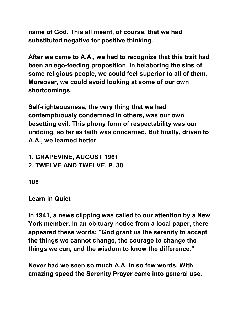**name of God. This all meant, of course, that we had substituted negative for positive thinking.** 

**After we came to A.A., we had to recognize that this trait had been an ego-feeding proposition. In belaboring the sins of some religious people, we could feel superior to all of them. Moreover, we could avoid looking at some of our own shortcomings.** 

**Self-righteousness, the very thing that we had contemptuously condemned in others, was our own besetting evil. This phony form of respectability was our undoing, so far as faith was concerned. But finally, driven to A.A., we learned better.** 

**1. GRAPEVINE, AUGUST 1961 2. TWELVE AND TWELVE, P. 30** 

**108** 

### **Learn in Quiet**

**In 1941, a news clipping was called to our attention by a New York member. In an obituary notice from a local paper, there appeared these words: "God grant us the serenity to accept the things we cannot change, the courage to change the things we can, and the wisdom to know the difference."** 

**Never had we seen so much A.A. in so few words. With amazing speed the Serenity Prayer came into general use.**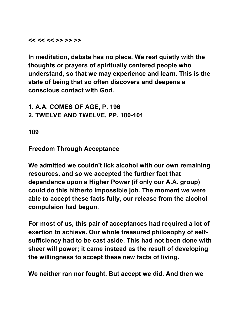**<< << << >> >> >>** 

**In meditation, debate has no place. We rest quietly with the thoughts or prayers of spiritually centered people who understand, so that we may experience and learn. This is the state of being that so often discovers and deepens a conscious contact with God.** 

**1. A.A. COMES OF AGE, P. 196 2. TWELVE AND TWELVE, PP. 100-101** 

**109** 

**Freedom Through Acceptance** 

**We admitted we couldn't lick alcohol with our own remaining resources, and so we accepted the further fact that dependence upon a Higher Power (if only our A.A. group) could do this hitherto impossible job. The moment we were able to accept these facts fully, our release from the alcohol compulsion had begun.** 

**For most of us, this pair of acceptances had required a lot of exertion to achieve. Our whole treasured philosophy of selfsufficiency had to be cast aside. This had not been done with sheer will power; it came instead as the result of developing the willingness to accept these new facts of living.** 

**We neither ran nor fought. But accept we did. And then we**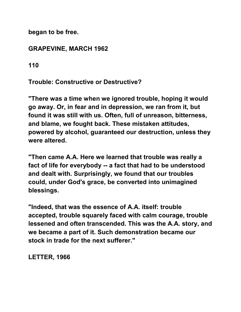**began to be free.** 

**GRAPEVINE, MARCH 1962** 

**110** 

**Trouble: Constructive or Destructive?** 

**"There was a time when we ignored trouble, hoping it would go away. Or, in fear and in depression, we ran from it, but found it was still with us. Often, full of unreason, bitterness, and blame, we fought back. These mistaken attitudes, powered by alcohol, guaranteed our destruction, unless they were altered.** 

**"Then came A.A. Here we learned that trouble was really a fact of life for everybody -- a fact that had to be understood and dealt with. Surprisingly, we found that our troubles could, under God's grace, be converted into unimagined blessings.** 

**"Indeed, that was the essence of A.A. itself: trouble accepted, trouble squarely faced with calm courage, trouble lessened and often transcended. This was the A.A. story, and we became a part of it. Such demonstration became our stock in trade for the next sufferer."** 

**LETTER, 1966**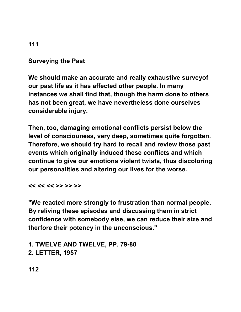**Surveying the Past** 

**We should make an accurate and really exhaustive surveyof our past life as it has affected other people. In many instances we shall find that, though the harm done to others has not been great, we have nevertheless done ourselves considerable injury.** 

**Then, too, damaging emotional conflicts persist below the level of consciouness, very deep, sometimes quite forgotten. Therefore, we should try hard to recall and review those past events which originally induced these conflicts and which continue to give our emotions violent twists, thus discoloring our personalities and altering our lives for the worse.** 

**<< << << >> >> >>** 

**"We reacted more strongly to frustration than normal people. By reliving these episodes and discussing them in strict confidence with somebody else, we can reduce their size and therfore their potency in the unconscious."** 

**1. TWELVE AND TWELVE, PP. 79-80 2. LETTER, 1957** 

**112**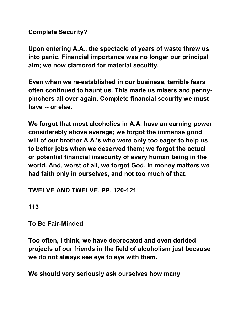**Complete Security?** 

**Upon entering A.A., the spectacle of years of waste threw us into panic. Financial importance was no longer our principal aim; we now clamored for material secutity.** 

**Even when we re-established in our business, terrible fears often continued to haunt us. This made us misers and pennypinchers all over again. Complete financial security we must have -- or else.** 

**We forgot that most alcoholics in A.A. have an earning power considerably above average; we forgot the immense good will of our brother A.A.'s who were only too eager to help us to better jobs when we deserved them; we forgot the actual or potential financial insecurity of every human being in the world. And, worst of all, we forgot God. In money matters we had faith only in ourselves, and not too much of that.** 

### **TWELVE AND TWELVE, PP. 120-121**

**113** 

**To Be Fair-Minded** 

**Too often, I think, we have deprecated and even derided projects of our friends in the field of alcoholism just because we do not always see eye to eye with them.** 

**We should very seriously ask ourselves how many**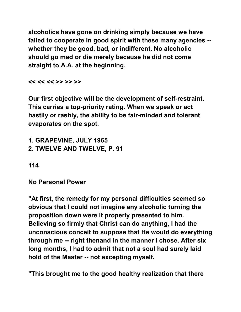**alcoholics have gone on drinking simply because we have failed to cooperate in good spirit with these many agencies - whether they be good, bad, or indifferent. No alcoholic should go mad or die merely because he did not come straight to A.A. at the beginning.** 

**<< << << >> >> >>** 

**Our first objective will be the development of self-restraint. This carries a top-priority rating. When we speak or act hastily or rashly, the ability to be fair-minded and tolerant evaporates on the spot.** 

**1. GRAPEVINE, JULY 1965 2. TWELVE AND TWELVE, P. 91** 

**114** 

**No Personal Power** 

**"At first, the remedy for my personal difficulties seemed so obvious that I could not imagine any alcoholic turning the proposition down were it properly presented to him. Believing so firmly that Christ can do anything, I had the unconscious conceit to suppose that He would do everything through me -- right thenand in the manner I chose. After six long months, I had to admit that not a soul had surely laid hold of the Master -- not excepting myself.** 

**"This brought me to the good healthy realization that there**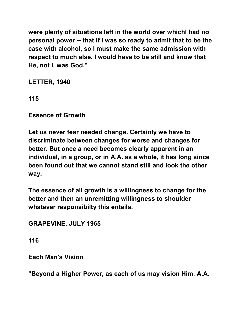**were plenty of situations left in the world over whichI had no personal power -- that if I was so ready to admit that to be the case with alcohol, so I must make the same admission with respect to much else. I would have to be still and know that He, not I, was God."** 

**LETTER, 1940** 

**115** 

**Essence of Growth** 

**Let us never fear needed change. Certainly we have to discriminate between changes for worse and changes for better. But once a need becomes clearly apparent in an individual, in a group, or in A.A. as a whole, it has long since been found out that we cannot stand still and look the other way.** 

**The essence of all growth is a willingness to change for the better and then an unremitting willingness to shoulder whatever responsibilty this entails.** 

**GRAPEVINE, JULY 1965** 

**116** 

**Each Man's Vision** 

**"Beyond a Higher Power, as each of us may vision Him, A.A.**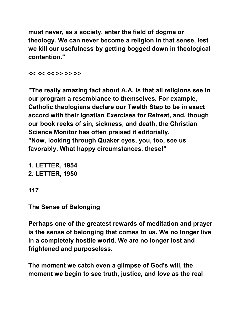**must never, as a society, enter the field of dogma or theology. We can never become a religion in that sense, lest we kill our usefulness by getting bogged down in theological contention."** 

**<< << << >> >> >>** 

**"The really amazing fact about A.A. is that all religions see in our program a resemblance to themselves. For example, Catholic theologians declare our Twelth Step to be in exact accord with their Ignatian Exercises for Retreat, and, though our book reeks of sin, sickness, and death, the Christian Science Monitor has often praised it editorially. "Now, looking through Quaker eyes, you, too, see us favorably. What happy circumstances, these!"** 

**1. LETTER, 1954 2. LETTER, 1950** 

**117** 

**The Sense of Belonging** 

**Perhaps one of the greatest rewards of meditation and prayer is the sense of belonging that comes to us. We no longer live in a completely hostile world. We are no longer lost and frightened and purposeless.** 

**The moment we catch even a glimpse of God's will, the moment we begin to see truth, justice, and love as the real**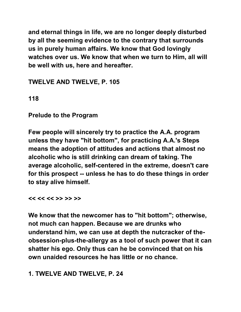**and eternal things in life, we are no longer deeply disturbed by all the seeming evidence to the contrary that surrounds us in purely human affairs. We know that God lovingly watches over us. We know that when we turn to Him, all will be well with us, here and hereafter.** 

**TWELVE AND TWELVE, P. 105** 

**118** 

**Prelude to the Program** 

**Few people will sincerely try to practice the A.A. program unless they have "hit bottom", for practicing A.A.'s Steps means the adoption of attitudes and actions that almost no alcoholic who is still drinking can dream of taking. The average alcoholic, self-centered in the extreme, doesn't care for this prospect -- unless he has to do these things in order to stay alive himself.** 

**<< << << >> >> >>** 

**We know that the newcomer has to "hit bottom"; otherwise, not much can happen. Because we are drunks who understand him, we can use at depth the nutcracker of theobsession-plus-the-allergy as a tool of such power that it can shatter his ego. Only thus can he be convinced that on his own unaided resources he has little or no chance.** 

**1. TWELVE AND TWELVE, P. 24**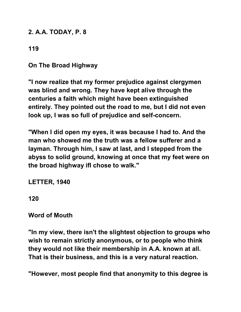#### **2. A.A. TODAY, P. 8**

## **119**

**On The Broad Highway** 

**"I now realize that my former prejudice against clergymen was blind and wrong. They have kept alive through the centuries a faith which might have been extinguished entirely. They pointed out the road to me, but I did not even look up, I was so full of prejudice and self-concern.** 

**"When I did open my eyes, it was because I had to. And the man who showed me the truth was a fellow sufferer and a layman. Through him, I saw at last, and I stepped from the abyss to solid ground, knowing at once that my feet were on the broad highway ifI chose to walk."** 

**LETTER, 1940** 

**120** 

#### **Word of Mouth**

**"In my view, there isn't the slightest objection to groups who wish to remain strictly anonymous, or to people who think they would not like their membership in A.A. known at all. That is their business, and this is a very natural reaction.** 

**"However, most people find that anonymity to this degree is**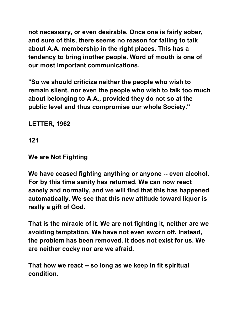**not necessary, or even desirable. Once one is fairly sober, and sure of this, there seems no reason for failing to talk about A.A. membership in the right places. This has a tendency to bring inother people. Word of mouth is one of our most important communications.** 

**"So we should criticize neither the people who wish to remain silent, nor even the people who wish to talk too much about belonging to A.A., provided they do not so at the public level and thus compromise our whole Society."** 

**LETTER, 1962** 

**121** 

**We are Not Fighting** 

**We have ceased fighting anything or anyone -- even alcohol. For by this time sanity has returned. We can now react sanely and normally, and we will find that this has happened automatically. We see that this new attitude toward liquor is really a gift of God.** 

**That is the miracle of it. We are not fighting it, neither are we avoiding temptation. We have not even sworn off. Instead, the problem has been removed. It does not exist for us. We are neither cocky nor are we afraid.** 

**That how we react -- so long as we keep in fit spiritual condition.**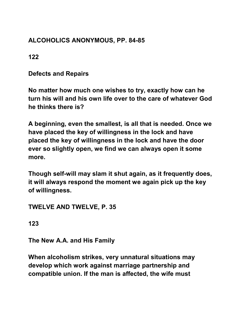## **ALCOHOLICS ANONYMOUS, PP. 84-85**

**122** 

**Defects and Repairs** 

**No matter how much one wishes to try, exactly how can he turn his will and his own life over to the care of whatever God he thinks there is?** 

**A beginning, even the smallest, is all that is needed. Once we have placed the key of willingness in the lock and have placed the key of willingness in the lock and have the door ever so slightly open, we find we can always open it some more.** 

**Though self-will may slam it shut again, as it frequently does, it will always respond the moment we again pick up the key of willingness.** 

**TWELVE AND TWELVE, P. 35** 

**123** 

**The New A.A. and His Family** 

**When alcoholism strikes, very unnatural situations may develop which work against marriage partnership and compatible union. If the man is affected, the wife must**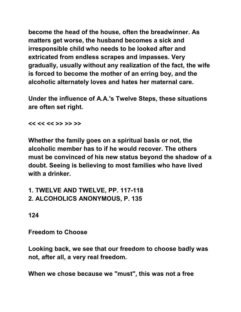**become the head of the house, often the breadwinner. As matters get worse, the husband becomes a sick and irresponsible child who needs to be looked after and extricated from endless scrapes and impasses. Very gradually, usually without any realization of the fact, the wife is forced to become the mother of an erring boy, and the alcoholic alternately loves and hates her maternal care.** 

**Under the influence of A.A.'s Twelve Steps, these situations are often set right.** 

**<< << << >> >> >>** 

**Whether the family goes on a spiritual basis or not, the alcoholic member has to if he would recover. The others must be convinced of his new status beyond the shadow of a doubt. Seeing is believing to most families who have lived with a drinker.** 

**1. TWELVE AND TWELVE, PP. 117-118 2. ALCOHOLICS ANONYMOUS, P. 135** 

**124** 

**Freedom to Choose** 

**Looking back, we see that our freedom to choose badly was not, after all, a very real freedom.** 

**When we chose because we "must", this was not a free**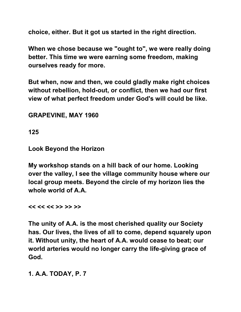**choice, either. But it got us started in the right direction.** 

**When we chose because we "ought to", we were really doing better. This time we were earning some freedom, making ourselves ready for more.** 

**But when, now and then, we could gladly make right choices without rebellion, hold-out, or conflict, then we had our first view of what perfect freedom under God's will could be like.** 

**GRAPEVINE, MAY 1960** 

**125** 

**Look Beyond the Horizon** 

**My workshop stands on a hill back of our home. Looking over the valley, I see the village community house where our local group meets. Beyond the circle of my horizon lies the whole world of A.A.** 

**<< << << >> >> >>** 

**The unity of A.A. is the most cherished quality our Society has. Our lives, the lives of all to come, depend squarely upon it. Without unity, the heart of A.A. would cease to beat; our world arteries would no longer carry the life-giving grace of God.** 

**1. A.A. TODAY, P. 7**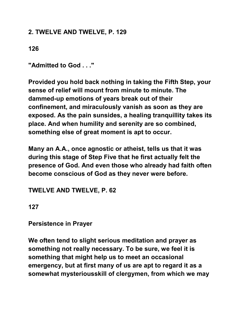### **2. TWELVE AND TWELVE, P. 129**

**126** 

**"Admitted to God . . ."** 

**Provided you hold back nothing in taking the Fifth Step, your sense of relief will mount from minute to minute. The dammed-up emotions of years break out of their confinement, and miraculously vanish as soon as they are exposed. As the pain sunsides, a healing tranquillity takes its place. And when humility and serenity are so combined, something else of great moment is apt to occur.** 

**Many an A.A., once agnostic or atheist, tells us that it was during this stage of Step Five that he first actually felt the presence of God. And even those who already had faith often become conscious of God as they never were before.** 

**TWELVE AND TWELVE, P. 62** 

**127** 

**Persistence in Prayer** 

**We often tend to slight serious meditation and prayer as something not really necessary. To be sure, we feel it is something that might help us to meet an occasional emergency, but at first many of us are apt to regard it as a somewhat mysteriousskill of clergymen, from which we may**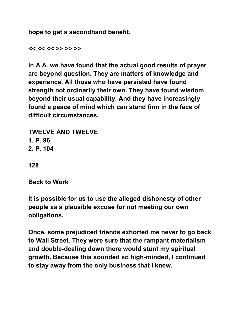**hope to get a secondhand benefit.** 

**<< << << >> >> >>** 

**In A.A. we have found that the actual good results of prayer are beyond question. They are matters of knowledge and experience. All those who have persisted have found strength not ordinarily their own. They have found wisdom beyond their usual capability. And they have increasingly found a peace of mind which can stand firm in the face of difficult circumstances.** 

**TWELVE AND TWELVE 1. P. 96 2. P. 104** 

**128** 

**Back to Work** 

**It is possible for us to use the alleged dishonesty of other people as a plausible excuse for not meeting our own obligations.** 

**Once, some prejudiced friends exhorted me never to go back to Wall Street. They were sure that the rampant materialism and double-dealing down there would stunt my spiritual growth. Because this sounded so high-minded, I continued to stay away from the only business that I knew.**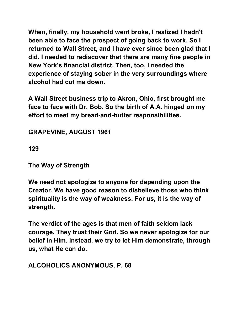**When, finally, my household went broke, I realized I hadn't been able to face the prospect of going back to work. So I returned to Wall Street, and I have ever since been glad that I did. I needed to rediscover that there are many fine people in New York's financial district. Then, too, I needed the experience of staying sober in the very surroundings where alcohol had cut me down.** 

**A Wall Street business trip to Akron, Ohio, first brought me face to face with Dr. Bob. So the birth of A.A. hinged on my effort to meet my bread-and-butter responsibilities.** 

**GRAPEVINE, AUGUST 1961** 

**129** 

**The Way of Strength** 

**We need not apologize to anyone for depending upon the Creator. We have good reason to disbelieve those who think spirituality is the way of weakness. For us, it is the way of strength.** 

**The verdict of the ages is that men of faith seldom lack courage. They trust their God. So we never apologize for our belief in Him. Instead, we try to let Him demonstrate, through us, what He can do.** 

**ALCOHOLICS ANONYMOUS, P. 68**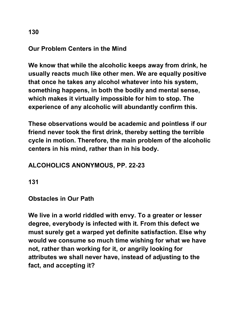#### **Our Problem Centers in the Mind**

**We know that while the alcoholic keeps away from drink, he usually reacts much like other men. We are equally positive that once he takes any alcohol whatever into his system, something happens, in both the bodily and mental sense, which makes it virtually impossible for him to stop. The experience of any alcoholic will abundantly confirm this.** 

**These observations would be academic and pointless if our friend never took the first drink, thereby setting the terrible cycle in motion. Therefore, the main problem of the alcoholic centers in his mind, rather than in his body.** 

# **ALCOHOLICS ANONYMOUS, PP. 22-23**

**131** 

#### **Obstacles in Our Path**

**We live in a world riddled with envy. To a greater or lesser degree, everybody is infected with it. From this defect we must surely get a warped yet definite satisfaction. Else why would we consume so much time wishing for what we have not, rather than working for it, or angrily looking for attributes we shall never have, instead of adjusting to the fact, and accepting it?**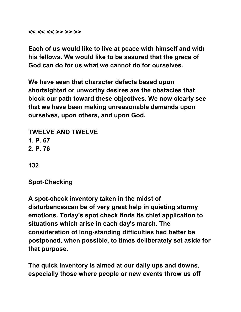**<< << << >> >> >>** 

**Each of us would like to live at peace with himself and with his fellows. We would like to be assured that the grace of God can do for us what we cannot do for ourselves.** 

**We have seen that character defects based upon shortsighted or unworthy desires are the obstacles that block our path toward these objectives. We now clearly see that we have been making unreasonable demands upon ourselves, upon others, and upon God.** 

**TWELVE AND TWELVE 1. P. 67 2. P. 76** 

**132** 

**Spot-Checking** 

**A spot-check inventory taken in the midst of disturbancescan be of very great help in quieting stormy emotions. Today's spot check finds its chief application to situations which arise in each day's march. The consideration of long-standing difficulties had better be postponed, when possible, to times deliberately set aside for that purpose.** 

**The quick inventory is aimed at our daily ups and downs, especially those where people or new events throw us off**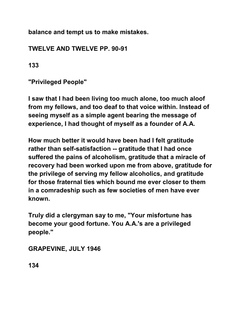**balance and tempt us to make mistakes.** 

# **TWELVE AND TWELVE PP. 90-91**

**133** 

**"Privileged People"** 

**I saw that I had been living too much alone, too much aloof from my fellows, and too deaf to that voice within. Instead of seeing myself as a simple agent bearing the message of experience, I had thought of myself as a founder of A.A.** 

**How much better it would have been had I felt gratitude rather than self-satisfaction -- gratitude that I had once suffered the pains of alcoholism, gratitude that a miracle of recovery had been worked upon me from above, gratitude for the privilege of serving my fellow alcoholics, and gratitude for those fraternal ties which bound me ever closer to them in a comradeship such as few societies of men have ever known.** 

**Truly did a clergyman say to me, "Your misfortune has become your good fortune. You A.A.'s are a privileged people."** 

**GRAPEVINE, JULY 1946** 

**134**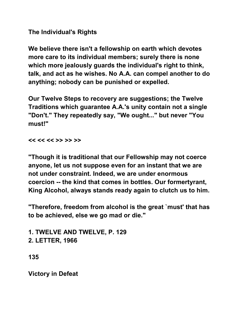**The Individual's Rights** 

**We believe there isn't a fellowship on earth which devotes more care to its individual members; surely there is none which more jealously guards the individual's right to think, talk, and act as he wishes. No A.A. can compel another to do anything; nobody can be punished or expelled.** 

**Our Twelve Steps to recovery are suggestions; the Twelve Traditions which guarantee A.A.'s unity contain not a single "Don't." They repeatedly say, "We ought..." but never "You must!"** 

**<< << << >> >> >>** 

**"Though it is traditional that our Fellowship may not coerce anyone, let us not suppose even for an instant that we are not under constraint. Indeed, we are under enormous coercion -- the kind that comes in bottles. Our formertyrant, King Alcohol, always stands ready again to clutch us to him.** 

**"Therefore, freedom from alcohol is the great `must' that has to be achieved, else we go mad or die."** 

**1. TWELVE AND TWELVE, P. 129 2. LETTER, 1966** 

**135** 

**Victory in Defeat**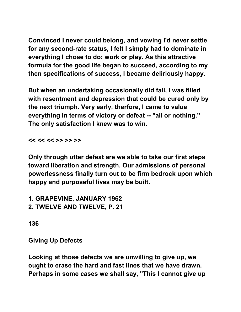**Convinced I never could belong, and vowing I'd never settle for any second-rate status, I felt I simply had to dominate in everything I chose to do: work or play. As this attractive formula for the good life began to succeed, according to my then specifications of success, I became deliriously happy.** 

**But when an undertaking occasionally did fail, I was filled with resentment and depression that could be cured only by the next triumph. Very early, therfore, I came to value everything in terms of victory or defeat -- "all or nothing." The only satisfaction I knew was to win.** 

**<< << << >> >> >>** 

**Only through utter defeat are we able to take our first steps toward liberation and strength. Our admissions of personal powerlessness finally turn out to be firm bedrock upon which happy and purposeful lives may be built.** 

**1. GRAPEVINE, JANUARY 1962 2. TWELVE AND TWELVE, P. 21** 

**136** 

**Giving Up Defects** 

**Looking at those defects we are unwilling to give up, we ought to erase the hard and fast lines that we have drawn. Perhaps in some cases we shall say, "This I cannot give up**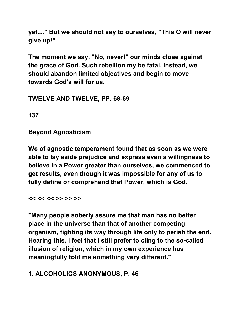**yet...." But we should not say to ourselves, "This O will never give up!"** 

**The moment we say, "No, never!" our minds close against the grace of God. Such rebellion my be fatal. Instead, we should abandon limited objectives and begin to move towards God's will for us.** 

### **TWELVE AND TWELVE, PP. 68-69**

**137** 

**Beyond Agnosticism** 

**We of agnostic temperament found that as soon as we were able to lay aside prejudice and express even a willingness to believe in a Power greater than ourselves, we commenced to get results, even though it was impossible for any of us to fully define or comprehend that Power, which is God.** 

**<< << << >> >> >>** 

**"Many people soberly assure me that man has no better place in the universe than that of another competing organism, fighting its way through life only to perish the end. Hearing this, I feel that I still prefer to cling to the so-called illusion of religion, which in my own experience has meaningfully told me something very different."** 

# **1. ALCOHOLICS ANONYMOUS, P. 46**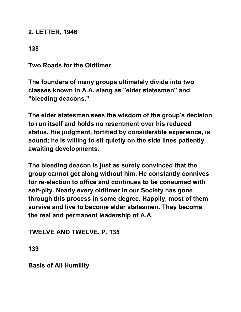#### **2. LETTER, 1946**

## **138**

**Two Roads for the Oldtimer** 

**The founders of many groups ultimately divide into two classes known in A.A. slang as "elder statesmen" and "bleeding deacons."** 

**The elder statesmen sees the wisdom of the group's decision to run itself and holds no resentment over his reduced status. His judgment, fortified by considerable experience, is sound; he is willing to sit quietly on the side lines patiently awaiting developments.** 

**The bleeding deacon is just as surely convinced that the group cannot get along without him. He constantly connives for re-election to office and continues to be consumed with self-pity. Nearly every oldtimer in our Society has gone through this process in some degree. Happily, most of them survive and live to become elder statesmen. They become the real and permanent leadership of A.A.** 

**TWELVE AND TWELVE, P. 135** 

**139** 

**Basis of All Humility**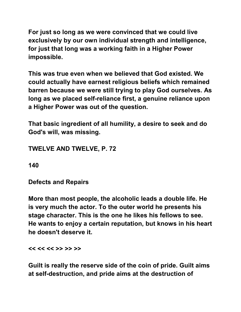**For just so long as we were convinced that we could live exclusively by our own individual strength and intelligence, for just that long was a working faith in a Higher Power impossible.** 

**This was true even when we believed that God existed. We could actually have earnest religious beliefs which remained barren because we were still trying to play God ourselves. As long as we placed self-reliance first, a genuine reliance upon a Higher Power was out of the question.** 

**That basic ingredient of all humility, a desire to seek and do God's will, was missing.** 

**TWELVE AND TWELVE, P. 72** 

**140** 

**Defects and Repairs** 

**More than most people, the alcoholic leads a double life. He is very much the actor. To the outer world he presents his stage character. This is the one he likes his fellows to see. He wants to enjoy a certain reputation, but knows in his heart he doesn't deserve it.** 

**<< << << >> >> >>** 

**Guilt is really the reserve side of the coin of pride. Guilt aims at self-destruction, and pride aims at the destruction of**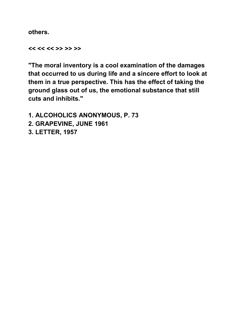**others.** 

**<< << << >> >> >>** 

**"The moral inventory is a cool examination of the damages that occurred to us during life and a sincere effort to look at them in a true perspective. This has the effect of taking the ground glass out of us, the emotional substance that still cuts and inhibits."** 

**1. ALCOHOLICS ANONYMOUS, P. 73 2. GRAPEVINE, JUNE 1961 3. LETTER, 1957**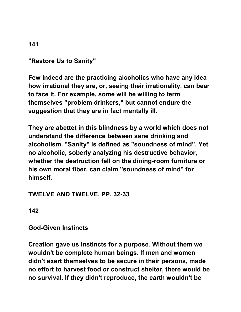## **"Restore Us to Sanity"**

**Few indeed are the practicing alcoholics who have any idea how irrational they are, or, seeing their irrationality, can bear to face it. For example, some will be willing to term themselves "problem drinkers," but cannot endure the suggestion that they are in fact mentally ill.** 

**They are abettet in this blindness by a world which does not understand the difference between sane drinking and alcoholism. "Sanity" is defined as "soundness of mind". Yet no alcoholic, soberly analyzing his destructive behavior, whether the destruction fell on the dining-room furniture or his own moral fiber, can claim "soundness of mind" for himself.** 

#### **TWELVE AND TWELVE, PP. 32-33**

**142** 

#### **God-Given Instincts**

**Creation gave us instincts for a purpose. Without them we wouldn't be complete human beings. If men and women didn't exert themselves to be secure in their persons, made no effort to harvest food or construct shelter, there would be no survival. If they didn't reproduce, the earth wouldn't be**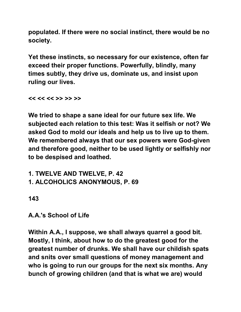**populated. If there were no social instinct, there would be no society.** 

**Yet these instincts, so necessary for our existence, often far exceed their proper functions. Powerfully, blindly, many times subtly, they drive us, dominate us, and insist upon ruling our lives.** 

**<< << << >> >> >>** 

**We tried to shape a sane ideal for our future sex life. We subjected each relation to this test: Was it selfish or not? We asked God to mold our ideals and help us to live up to them. We remembered always that our sex powers were God-given and therefore good, neither to be used lightly or selfishly nor to be despised and loathed.** 

**1. TWELVE AND TWELVE, P. 42 1. ALCOHOLICS ANONYMOUS, P. 69** 

**143** 

**A.A.'s School of Life** 

**Within A.A., I suppose, we shall always quarrel a good bit. Mostly, I think, about how to do the greatest good for the greatest number of drunks. We shall have our childish spats and snits over small questions of money management and who is going to run our groups for the next six months. Any bunch of growing children (and that is what we are) would**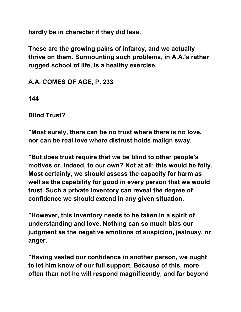**hardly be in character if they did less.** 

**These are the growing pains of infancy, and we actually thrive on them. Surmounting such problems, in A.A.'s rather rugged school of life, is a healthy exercise.** 

**A.A. COMES OF AGE, P. 233** 

**144** 

**Blind Trust?** 

**"Most surely, there can be no trust where there is no love, nor can be real love where distrust holds malign sway.** 

**"But does trust require that we be blind to other people's motives or, indeed, to our own? Not at all; this would be folly. Most certainly, we should assess the capacity for harm as well as the capability for good in every person that we would trust. Such a private inventory can reveal the degree of confidence we should extend in any given situation.**

**"However, this inventory needs to be taken in a spirit of understanding and love. Nothing can so much bias our judgment as the negative emotions of suspicion, jealousy, or anger.** 

**"Having vested our confidence in another person, we ought to let him know of our full support. Because of this, more often than not he will respond magnificently, and far beyond**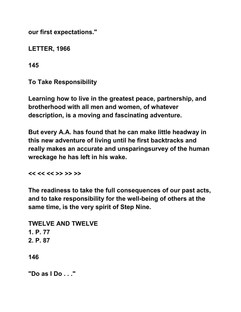**our first expectations."** 

**LETTER, 1966** 

**145** 

**To Take Responsibility** 

**Learning how to live in the greatest peace, partnership, and brotherhood with all men and women, of whatever description, is a moving and fascinating adventure.**

**But every A.A. has found that he can make little headway in this new adventure of living until he first backtracks and really makes an accurate and unsparingsurvey of the human wreckage he has left in his wake.** 

**<< << << >> >> >>** 

**The readiness to take the full consequences of our past acts, and to take responsibility for the well-being of others at the same time, is the very spirit of Step Nine.** 

**TWELVE AND TWELVE 1. P. 77 2. P. 87 146** 

**"Do as I Do . . ."**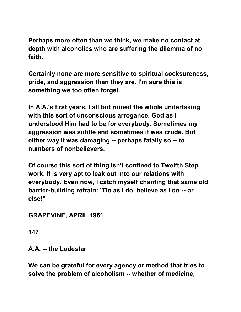**Perhaps more often than we think, we make no contact at depth with alcoholics who are suffering the dilemma of no faith.** 

**Certainly none are more sensitive to spiritual cocksureness, pride, and aggression than they are. I'm sure this is something we too often forget.** 

**In A.A.'s first years, I all but ruined the whole undertaking with this sort of unconscious arrogance. God as I understood Him had to be for everybody. Sometimes my aggression was subtle and sometimes it was crude. But either way it was damaging -- perhaps fatally so -- to numbers of nonbelievers.** 

**Of course this sort of thing isn't confined to Twelfth Step work. It is very apt to leak out into our relations with everybody. Even now, I catch myself chanting that same old barrier-building refrain: "Do as I do, believe as I do -- or else!"** 

**GRAPEVINE, APRIL 1961** 

**147** 

**A.A. -- the Lodestar** 

**We can be grateful for every agency or method that tries to solve the problem of alcoholism -- whether of medicine,**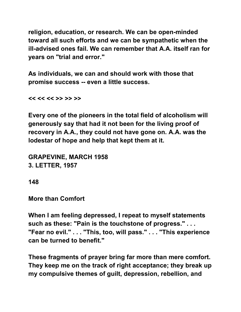**religion, education, or research. We can be open-minded toward all such efforts and we can be sympathetic when the ill-advised ones fail. We can remember that A.A. itself ran for years on "trial and error."** 

**As individuals, we can and should work with those that promise success -- even a little success.** 

**<< << << >> >> >>** 

**Every one of the pioneers in the total field of alcoholism will generously say that had it not been for the living proof of recovery in A.A., they could not have gone on. A.A. was the lodestar of hope and help that kept them at it.** 

**GRAPEVINE, MARCH 1958 3. LETTER, 1957** 

**148** 

**More than Comfort** 

**When I am feeling depressed, I repeat to myself statements such as these: "Pain is the touchstone of progress." . . . "Fear no evil." . . . "This, too, will pass." . . . "This experience can be turned to benefit."** 

**These fragments of prayer bring far more than mere comfort. They keep me on the track of right acceptance; they break up my compulsive themes of guilt, depression, rebellion, and**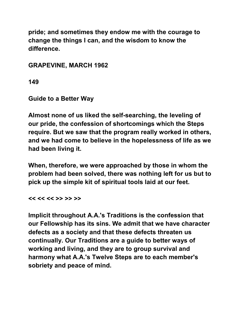**pride; and sometimes they endow me with the courage to change the things I can, and the wisdom to know the difference.** 

**GRAPEVINE, MARCH 1962** 

**149** 

**Guide to a Better Way** 

**Almost none of us liked the self-searching, the leveling of our pride, the confession of shortcomings which the Steps require. But we saw that the program really worked in others, and we had come to believe in the hopelessness of life as we had been living it.** 

**When, therefore, we were approached by those in whom the problem had been solved, there was nothing left for us but to pick up the simple kit of spiritual tools laid at our feet.** 

**<< << << >> >> >>** 

**Implicit throughout A.A.'s Traditions is the confession that our Fellowship has its sins. We admit that we have character defects as a society and that these defects threaten us continually. Our Traditions are a guide to better ways of working and living, and they are to group survival and harmony what A.A.'s Twelve Steps are to each member's sobriety and peace of mind.**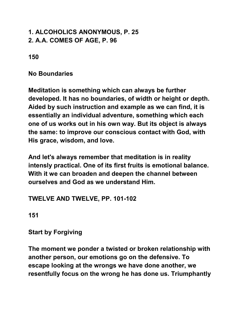## **1. ALCOHOLICS ANONYMOUS, P. 25 2. A.A. COMES OF AGE, P. 96**

**150** 

**No Boundaries** 

**Meditation is something which can always be further developed. It has no boundaries, of width or height or depth. Aided by such instruction and example as we can find, it is essentially an individual adventure, something which each one of us works out in his own way. But its object is always the same: to improve our conscious contact with God, with His grace, wisdom, and love.** 

**And let's always remember that meditation is in reality intensly practical. One of its first fruits is emotional balance. With it we can broaden and deepen the channel between ourselves and God as we understand Him.** 

#### **TWELVE AND TWELVE, PP. 101-102**

**151** 

**Start by Forgiving** 

**The moment we ponder a twisted or broken relationship with another person, our emotions go on the defensive. To escape looking at the wrongs we have done another, we resentfully focus on the wrong he has done us. Triumphantly**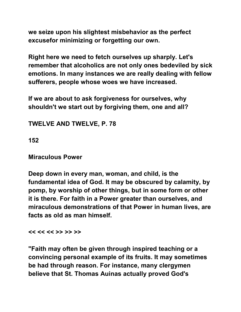**we seize upon his slightest misbehavior as the perfect excusefor minimizing or forgetting our own.** 

**Right here we need to fetch ourselves up sharply. Let's remember that alcoholics are not only ones bedeviled by sick emotions. In many instances we are really dealing with fellow sufferers, people whose woes we have increased.** 

**If we are about to ask forgiveness for ourselves, why shouldn't we start out by forgiving them, one and all?** 

**TWELVE AND TWELVE, P. 78** 

**152** 

**Miraculous Power** 

**Deep down in every man, woman, and child, is the fundamental idea of God. It may be obscured by calamity, by pomp, by worship of other things, but in some form or other it is there. For faith in a Power greater than ourselves, and miraculous demonstrations of that Power in human lives, are facts as old as man himself.** 

**<< << << >> >> >>** 

**"Faith may often be given through inspired teaching or a convincing personal example of its fruits. It may sometimes be had through reason. For instance, many clergymen believe that St. Thomas Auinas actually proved God's**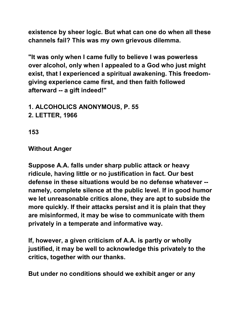**existence by sheer logic. But what can one do when all these channels fail? This was my own grievous dilemma.** 

**"It was only when I came fully to believe I was powerless over alcohol, only when I appealed to a God who just might exist, that I experienced a spiritual awakening. This freedomgiving experience came first, and then faith followed afterward -- a gift indeed!"** 

**1. ALCOHOLICS ANONYMOUS, P. 55 2. LETTER, 1966** 

**153** 

### **Without Anger**

**Suppose A.A. falls under sharp public attack or heavy ridicule, having little or no justification in fact. Our best defense in these situations would be no defense whatever - namely, complete silence at the public level. If in good humor we let unreasonable critics alone, they are apt to subside the more quickly. If their attacks persist and it is plain that they are misinformed, it may be wise to communicate with them privately in a temperate and informative way.** 

**If, however, a given criticism of A.A. is partly or wholly justified, it may be well to acknowledge this privately to the critics, together with our thanks.** 

**But under no conditions should we exhibit anger or any**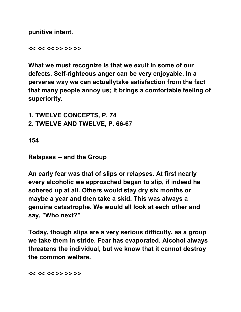**punitive intent.** 

**<< << << >> >> >>** 

**What we must recognize is that we exult in some of our defects. Self-righteous anger can be very enjoyable. In a perverse way we can actuallytake satisfaction from the fact that many people annoy us; it brings a comfortable feeling of superiority.** 

**1. TWELVE CONCEPTS, P. 74 2. TWELVE AND TWELVE, P. 66-67** 

**154** 

**Relapses -- and the Group** 

**An early fear was that of slips or relapses. At first nearly every alcoholic we approached began to slip, if indeed he sobered up at all. Others would stay dry six months or maybe a year and then take a skid. This was always a genuine catastrophe. We would all look at each other and say, "Who next?"** 

**Today, though slips are a very serious difficulty, as a group we take them in stride. Fear has evaporated. Alcohol always threatens the individual, but we know that it cannot destroy the common welfare.** 

**<< << << >> >> >>**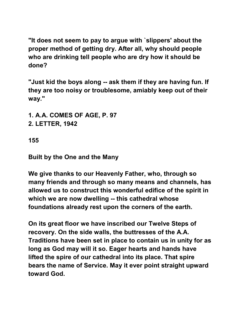**"It does not seem to pay to argue with `slippers' about the proper method of getting dry. After all, why should people who are drinking tell people who are dry how it should be done?** 

**"Just kid the boys along -- ask them if they are having fun. If they are too noisy or troublesome, amiably keep out of their way."** 

**1. A.A. COMES OF AGE, P. 97 2. LETTER, 1942** 

**155** 

**Built by the One and the Many** 

**We give thanks to our Heavenly Father, who, through so many friends and through so many means and channels, has allowed us to construct this wonderful edifice of the spirit in which we are now dwelling -- this cathedral whose foundations already rest upon the corners of the earth.** 

**On its great floor we have inscribed our Twelve Steps of recovery. On the side walls, the buttresses of the A.A. Traditions have been set in place to contain us in unity for as long as God may will it so. Eager hearts and hands have lifted the spire of our cathedral into its place. That spire bears the name of Service. May it ever point straight upward toward God.**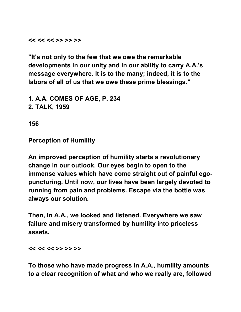**<< << << >> >> >>** 

**"It's not only to the few that we owe the remarkable developments in our unity and in our ability to carry A.A.'s message everywhere. It is to the many; indeed, it is to the labors of all of us that we owe these prime blessings."** 

**1. A.A. COMES OF AGE, P. 234 2. TALK, 1959** 

**156** 

**Perception of Humility** 

**An improved perception of humility starts a revolutionary change in our outlook. Our eyes begin to open to the immense values which have come straight out of painful egopuncturing. Until now, our lives have been largely devoted to running from pain and problems. Escape via the bottle was always our solution.** 

**Then, in A.A., we looked and listened. Everywhere we saw failure and misery transformed by humility into priceless assets.** 

**<< << << >> >> >>** 

**To those who have made progress in A.A., humility amounts to a clear recognition of what and who we really are, followed**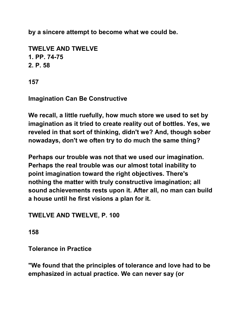**by a sincere attempt to become what we could be.** 

```
TWELVE AND TWELVE 
1. PP. 74-75 
2. P. 58
```
**157** 

**Imagination Can Be Constructive** 

**We recall, a little ruefully, how much store we used to set by imagination as it tried to create reality out of bottles. Yes, we reveled in that sort of thinking, didn't we? And, though sober nowadays, don't we often try to do much the same thing?** 

**Perhaps our trouble was not that we used our imagination. Perhaps the real trouble was our almost total inability to point imagination toward the right objectives. There's nothing the matter with truly constructive imagination; all sound achievements rests upon it. After all, no man can build a house until he first visions a plan for it.** 

**TWELVE AND TWELVE, P. 100** 

**158** 

**Tolerance in Practice** 

**"We found that the principles of tolerance and love had to be emphasized in actual practice. We can never say (or**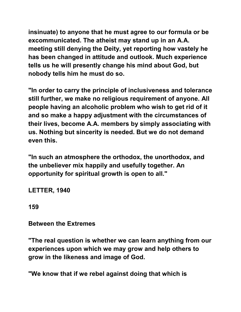**insinuate) to anyone that he must agree to our formula or be excommunicated. The atheist may stand up in an A.A. meeting still denying the Deity, yet reporting how vastely he has been changed in attitude and outlook. Much experience tells us he will presently change his mind about God, but nobody tells him he must do so.** 

**"In order to carry the principle of inclusiveness and tolerance still further, we make no religious requirement of anyone. All people having an alcoholic problem who wish to get rid of it and so make a happy adjustment with the circumstances of their lives, become A.A. members by simply associating with us. Nothing but sincerity is needed. But we do not demand even this.** 

**"In such an atmosphere the orthodox, the unorthodox, and the unbeliever mix happily and usefully together. An opportunity for spiritual growth is open to all."** 

**LETTER, 1940** 

**159** 

**Between the Extremes** 

**"The real question is whether we can learn anything from our experiences upon which we may grow and help others to grow in the likeness and image of God.** 

**"We know that if we rebel against doing that which is**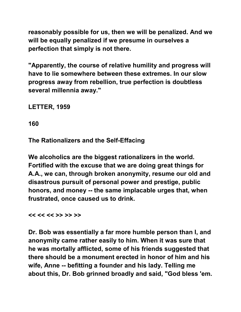**reasonably possible for us, then we will be penalized. And we will be equally penalized if we presume in ourselves a perfection that simply is not there.** 

**"Apparently, the course of relative humility and progress will have to lie somewhere between these extremes. In our slow progress away from rebellion, true perfection is doubtless several millennia away."** 

**LETTER, 1959** 

**160** 

**The Rationalizers and the Self-Effacing** 

**We alcoholics are the biggest rationalizers in the world. Fortified with the excuse that we are doing great things for A.A., we can, through broken anonymity, resume our old and disastrous pursuit of personal power and prestige, public honors, and money -- the same implacable urges that, when frustrated, once caused us to drink.** 

**<< << << >> >> >>** 

**Dr. Bob was essentially a far more humble person than I, and anonymity came rather easily to him. When it was sure that he was mortally afflicted, some of his friends suggested that there should be a monument erected in honor of him and his wife, Anne -- befitting a founder and his lady. Telling me about this, Dr. Bob grinned broadly and said, "God bless 'em.**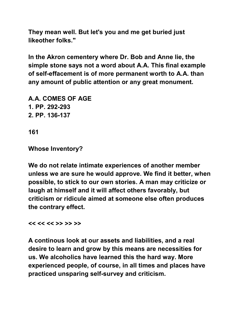**They mean well. But let's you and me get buried just likeother folks."** 

**In the Akron cementery where Dr. Bob and Anne lie, the simple stone says not a word about A.A. This final example of self-effacement is of more permanent worth to A.A. than any amount of public attention or any great monument.** 

**A.A. COMES OF AGE 1. PP. 292-293 2. PP. 136-137** 

**161** 

**Whose Inventory?** 

**We do not relate intimate experiences of another member unless we are sure he would approve. We find it better, when possible, to stick to our own stories. A man may criticize or laugh at himself and it will affect others favorably, but criticism or ridicule aimed at someone else often produces the contrary effect.** 

**<< << << >> >> >>** 

**A continous look at our assets and liabilities, and a real desire to learn and grow by this means are necessities for us. We alcoholics have learned this the hard way. More experienced people, of course, in all times and places have practiced unsparing self-survey and criticism.**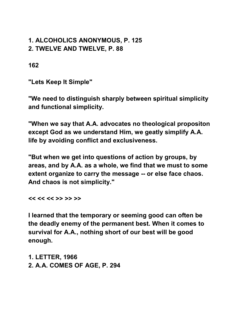### **1. ALCOHOLICS ANONYMOUS, P. 125 2. TWELVE AND TWELVE, P. 88**

**162** 

**"Lets Keep It Simple"** 

**"We need to distinguish sharply between spiritual simplicity and functional simplicity.** 

**"When we say that A.A. advocates no theological propositon except God as we understand Him, we geatly simplify A.A. life by avoiding conflict and exclusiveness.** 

**"But when we get into questions of action by groups, by areas, and by A.A. as a whole, we find that we must to some extent organize to carry the message -- or else face chaos. And chaos is not simplicity."** 

**<< << << >> >> >>** 

**I learned that the temporary or seeming good can often be the deadly enemy of the permanent best. When it comes to survival for A.A., nothing short of our best will be good enough.** 

**1. LETTER, 1966 2. A.A. COMES OF AGE, P. 294**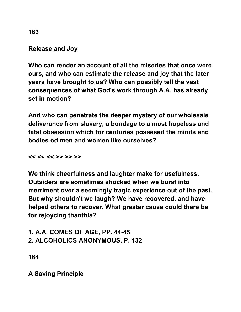**Release and Joy** 

**Who can render an account of all the miseries that once were ours, and who can estimate the release and joy that the later years have brought to us? Who can possibly tell the vast consequences of what God's work through A.A. has already set in motion?** 

**And who can penetrate the deeper mystery of our wholesale deliverance from slavery, a bondage to a most hopeless and fatal obsession which for centuries possesed the minds and bodies od men and women like ourselves?** 

**<< << << >> >> >>** 

**We think cheerfulness and laughter make for usefulness. Outsiders are sometimes shocked when we burst into merriment over a seemingly tragic experience out of the past. But why shouldn't we laugh? We have recovered, and have helped others to recover. What greater cause could there be for rejoycing thanthis?** 

**1. A.A. COMES OF AGE, PP. 44-45 2. ALCOHOLICS ANONYMOUS, P. 132** 

**164** 

**A Saving Principle** 

**163**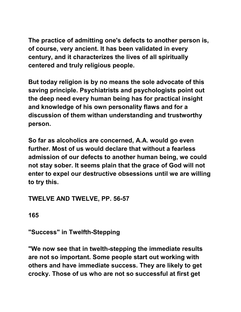**The practice of admitting one's defects to another person is, of course, very ancient. It has been validated in every century, and it characterizes the lives of all spiritually centered and truly religious people.** 

**But today religion is by no means the sole advocate of this saving principle. Psychiatrists and psychologists point out the deep need every human being has for practical insight and knowledge of his own personality flaws and for a discussion of them withan understanding and trustworthy person.** 

**So far as alcoholics are concerned, A.A. would go even further. Most of us would declare that without a fearless admission of our defects to another human being, we could not stay sober. It seems plain that the grace of God will not enter to expel our destructive obsessions until we are willing to try this.** 

## **TWELVE AND TWELVE, PP. 56-57**

**165** 

**"Success" in Twelfth-Stepping** 

**"We now see that in twelth-stepping the immediate results are not so important. Some people start out working with others and have immediate success. They are likely to get crocky. Those of us who are not so successful at first get**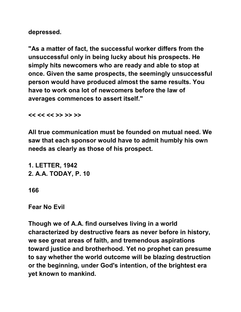**depressed.** 

**"As a matter of fact, the successful worker differs from the unsuccessful only in being lucky about his prospects. He simply hits newcomers who are ready and able to stop at once. Given the same prospects, the seemingly unsuccessful person would have produced almost the same results. You have to work ona lot of newcomers before the law of averages commences to assert itself."** 

**<< << << >> >> >>** 

**All true communication must be founded on mutual need. We saw that each sponsor would have to admit humbly his own needs as clearly as those of his prospect.** 

**1. LETTER, 1942 2. A.A. TODAY, P. 10** 

**166** 

**Fear No Evil** 

**Though we of A.A. find ourselves living in a world characterized by destructive fears as never before in history, we see great areas of faith, and tremendous aspirations toward justice and brotherhood. Yet no prophet can presume to say whether the world outcome will be blazing destruction or the beginning, under God's intention, of the brightest era yet known to mankind.**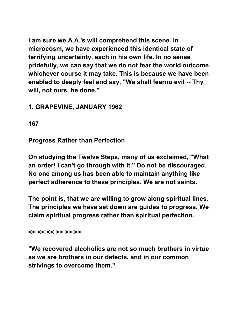**I am sure we A.A.'s will comprehend this scene. In microcosm, we have experienced this identical state of terrifying uncertainty, each in his own life. In no sense pridefully, we can say that we do not fear the world outcome, whichever course it may take. This is because we have been enabled to deeply feel and say, "We shall fearno evil -- Thy will, not ours, be done."** 

## **1. GRAPEVINE, JANUARY 1962**

**167** 

**Progress Rather than Perfection** 

**On studying the Twelve Steps, many of us exclaimed, "What an order! I can't go through with it." Do not be discouraged. No one among us has been able to maintain anything like perfect adherence to these principles. We are not saints.** 

**The point is, that we are willing to grow along spiritual lines. The principles we have set down are guides to progress. We claim spiritual progress rather than spiritual perfection.** 

**<< << << >> >> >>** 

**"We recovered alcoholics are not so much brothers in virtue as we are brothers in our defects, and in our common strivings to overcome them."**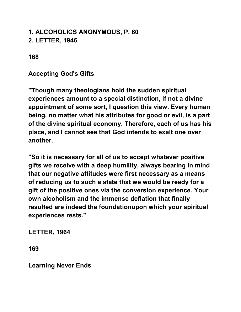# **1. ALCOHOLICS ANONYMOUS, P. 60 2. LETTER, 1946**

### **168**

## **Accepting God's Gifts**

**"Though many theologians hold the sudden spiritual experiences amount to a special distinction, if not a divine appointment of some sort, I question this view. Every human being, no matter what his attributes for good or evil, is a part of the divine spiritual economy. Therefore, each of us has his place, and I cannot see that God intends to exalt one over another.** 

**"So it is necessary for all of us to accept whatever positive gifts we receive with a deep humility, always bearing in mind that our negative attitudes were first necessary as a means of reducing us to such a state that we would be ready for a gift of the positive ones via the conversion experience. Your own alcoholism and the immense deflation that finally resulted are indeed the foundationupon which your spiritual experiences rests."** 

**LETTER, 1964** 

**169** 

**Learning Never Ends**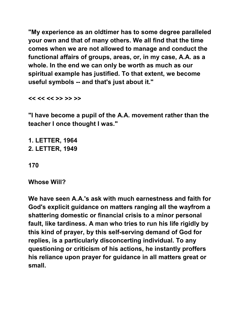**"My experience as an oldtimer has to some degree paralleled your own and that of many others. We all find that the time comes when we are not allowed to manage and conduct the functional affairs of groups, areas, or, in my case, A.A. as a whole. In the end we can only be worth as much as our spiritual example has justified. To that extent, we become useful symbols -- and that's just about it."** 

**<< << << >> >> >>** 

**"I have become a pupil of the A.A. movement rather than the teacher I once thought I was."** 

**1. LETTER, 1964 2. LETTER, 1949** 

**170** 

#### **Whose Will?**

**We have seen A.A.'s ask with much earnestness and faith for God's explicit guidance on matters ranging all the wayfrom a shattering domestic or financial crisis to a minor personal fault, like tardiness. A man who tries to run his life rigidly by this kind of prayer, by this self-serving demand of God for replies, is a particularly disconcerting individual. To any questioning or criticism of his actions, he instantly proffers his reliance upon prayer for guidance in all matters great or small.**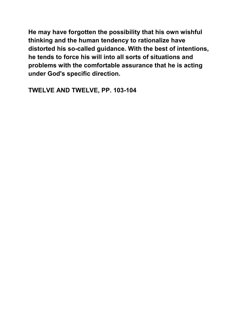**He may have forgotten the possibility that his own wishful thinking and the human tendency to rationalize have distorted his so-called guidance. With the best of intentions, he tends to force his will into all sorts of situations and problems with the comfortable assurance that he is acting under God's specific direction.** 

**TWELVE AND TWELVE, PP. 103-104**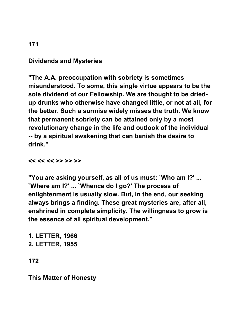### **Dividends and Mysteries**

**"The A.A. preoccupation with sobriety is sometimes misunderstood. To some, this single virtue appears to be the sole dividend of our Fellowship. We are thought to be driedup drunks who otherwise have changed little, or not at all, for the better. Such a surmise widely misses the truth. We know that permanent sobriety can be attained only by a most revolutionary change in the life and outlook of the individual -- by a spiritual awakening that can banish the desire to drink."** 

**<< << << >> >> >>** 

**"You are asking yourself, as all of us must: `Who am I?' ... `Where am I?' ... `Whence do I go?' The process of enlightenment is usually slow. But, in the end, our seeking always brings a finding. These great mysteries are, after all, enshrined in complete simplicity. The willingness to grow is the essence of all spiritual development."** 

**1. LETTER, 1966 2. LETTER, 1955** 

**172** 

**This Matter of Honesty**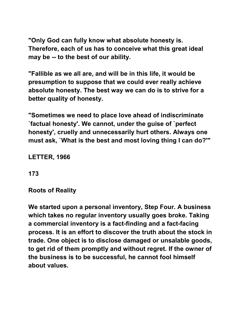**"Only God can fully know what absolute honesty is. Therefore, each of us has to conceive what this great ideal may be -- to the best of our ability.** 

**"Fallible as we all are, and will be in this life, it would be presumption to suppose that we could ever really achieve absolute honesty. The best way we can do is to strive for a better quality of honesty.** 

**"Sometimes we need to place love ahead of indiscriminate `factual honesty'. We cannot, under the guise of `perfect honesty', cruelly and unnecessarily hurt others. Always one must ask, `What is the best and most loving thing I can do?'"** 

**LETTER, 1966** 

**173** 

**Roots of Reality** 

**We started upon a personal inventory, Step Four. A business which takes no regular inventory usually goes broke. Taking a commercial inventory is a fact-finding and a fact-facing process. It is an effort to discover the truth about the stock in trade. One object is to disclose damaged or unsalable goods, to get rid of them promptly and without regret. If the owner of the business is to be successful, he cannot fool himself about values.**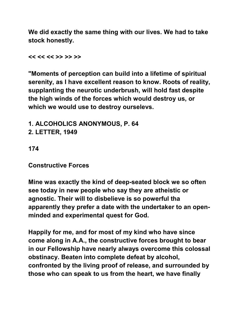**We did exactly the same thing with our lives. We had to take stock honestly.** 

**<< << << >> >> >>** 

**"Moments of perception can build into a lifetime of spiritual serenity, as I have excellent reason to know. Roots of reality, supplanting the neurotic underbrush, will hold fast despite the high winds of the forces which would destroy us, or which we would use to destroy ourselevs.** 

**1. ALCOHOLICS ANONYMOUS, P. 64 2. LETTER, 1949** 

**174** 

**Constructive Forces** 

**Mine was exactly the kind of deep-seated block we so often see today in new people who say they are atheistic or agnostic. Their will to disbelieve is so powerful tha apparently they prefer a date with the undertaker to an openminded and experimental quest for God.** 

**Happily for me, and for most of my kind who have since come along in A.A., the constructive forces brought to bear in our Fellowship have nearly always overcome this colossal obstinacy. Beaten into complete defeat by alcohol, confronted by the living proof of release, and surrounded by those who can speak to us from the heart, we have finally**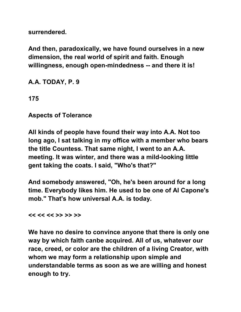**surrendered.** 

**And then, paradoxically, we have found ourselves in a new dimension, the real world of spirit and faith. Enough willingness, enough open-mindedness -- and there it is!** 

**A.A. TODAY, P. 9** 

**175** 

**Aspects of Tolerance** 

**All kinds of people have found their way into A.A. Not too long ago, I sat talking in my office with a member who bears the title Countess. That same night, I went to an A.A. meeting. It was winter, and there was a mild-looking little gent taking the coats. I said, "Who's that?"** 

**And somebody answered, "Oh, he's been around for a long time. Everybody likes him. He used to be one of Al Capone's mob." That's how universal A.A. is today.** 

**<< << << >> >> >>** 

**We have no desire to convince anyone that there is only one way by which faith canbe acquired. All of us, whatever our race, creed, or color are the children of a living Creator, with whom we may form a relationship upon simple and understandable terms as soon as we are willing and honest enough to try.**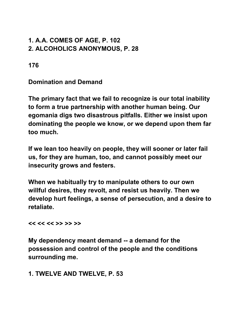### **1. A.A. COMES OF AGE, P. 102 2. ALCOHOLICS ANONYMOUS, P. 28**

**176** 

**Domination and Demand** 

**The primary fact that we fail to recognize is our total inability to form a true partnership with another human being. Our egomania digs two disastrous pitfalls. Either we insist upon dominating the people we know, or we depend upon them far too much.** 

**If we lean too heavily on people, they will sooner or later fail us, for they are human, too, and cannot possibly meet our insecurity grows and festers.** 

**When we habitually try to manipulate others to our own willful desires, they revolt, and resist us heavily. Then we develop hurt feelings, a sense of persecution, and a desire to retaliate.** 

**<< << << >> >> >>** 

**My dependency meant demand -- a demand for the possession and control of the people and the conditions surrounding me.** 

#### **1. TWELVE AND TWELVE, P. 53**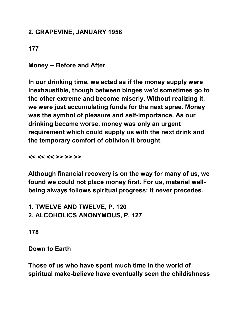### **2. GRAPEVINE, JANUARY 1958**

**177** 

**Money -- Before and After** 

**In our drinking time, we acted as if the money supply were inexhaustible, though between binges we'd sometimes go to the other extreme and become miserly. Without realizing it, we were just accumulating funds for the next spree. Money was the symbol of pleasure and self-importance. As our drinking became worse, money was only an urgent requirement which could supply us with the next drink and the temporary comfort of oblivion it brought.** 

**<< << << >> >> >>** 

**Although financial recovery is on the way for many of us, we found we could not place money first. For us, material wellbeing always follows spiritual progress; it never precedes.** 

**1. TWELVE AND TWELVE, P. 120 2. ALCOHOLICS ANONYMOUS, P. 127** 

**178** 

**Down to Earth** 

**Those of us who have spent much time in the world of spiritual make-believe have eventually seen the childishness**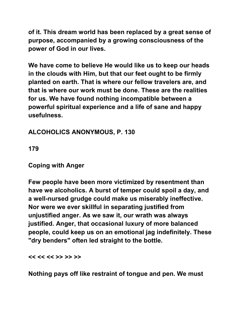**of it. This dream world has been replaced by a great sense of purpose, accompanied by a growing consciousness of the power of God in our lives.** 

**We have come to believe He would like us to keep our heads in the clouds with Him, but that our feet ought to be firmly planted on earth. That is where our fellow travelers are, and that is where our work must be done. These are the realities for us. We have found nothing incompatible between a powerful spiritual experience and a life of sane and happy usefulness.** 

**ALCOHOLICS ANONYMOUS, P. 130** 

**179** 

**Coping with Anger** 

**Few people have been more victimized by resentment than have we alcoholics. A burst of temper could spoil a day, and a well-nursed grudge could make us miserably ineffective. Nor were we ever skillful in separating justified from unjustified anger. As we saw it, our wrath was always justified. Anger, that occasional luxury of more balanced people, could keep us on an emotional jag indefinitely. These "dry benders" often led straight to the bottle.** 

**<< << << >> >> >>** 

**Nothing pays off like restraint of tongue and pen. We must**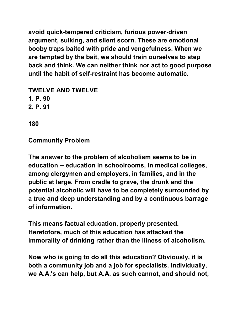**avoid quick-tempered criticism, furious power-driven argument, sulking, and silent scorn. These are emotional booby traps baited with pride and vengefulness. When we are tempted by the bait, we should train ourselves to step back and think. We can neither think nor act to good purpose until the habit of self-restraint has become automatic.** 

**TWELVE AND TWELVE 1. P. 90 2. P. 91** 

**180** 

**Community Problem** 

**The answer to the problem of alcoholism seems to be in education -- education in schoolrooms, in medical colleges, among clergymen and employers, in families, and in the public at large. From cradle to grave, the drunk and the potential alcoholic will have to be completely surrounded by a true and deep understanding and by a continuous barrage of information.** 

**This means factual education, properly presented. Heretofore, much of this education has attacked the immorality of drinking rather than the illness of alcoholism.** 

**Now who is going to do all this education? Obviously, it is both a community job and a job for specialists. Individually, we A.A.'s can help, but A.A. as such cannot, and should not,**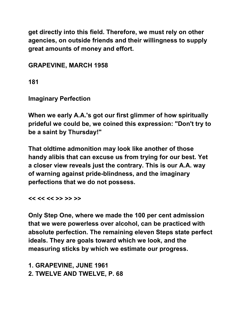**get directly into this field. Therefore, we must rely on other agencies, on outside friends and their willingness to supply great amounts of money and effort.** 

**GRAPEVINE, MARCH 1958** 

**181** 

**Imaginary Perfection** 

**When we early A.A.'s got our first glimmer of how spiritually prideful we could be, we coined this expression: "Don't try to be a saint by Thursday!"** 

**That oldtime admonition may look like another of those handy alibis that can excuse us from trying for our best. Yet a closer view reveals just the contrary. This is our A.A. way of warning against pride-blindness, and the imaginary perfections that we do not possess.** 

**<< << << >> >> >>** 

**Only Step One, where we made the 100 per cent admission that we were powerless over alcohol, can be practiced with absolute perfection. The remaining eleven Steps state perfect ideals. They are goals toward which we look, and the measuring sticks by which we estimate our progress.**

**1. GRAPEVINE, JUNE 1961 2. TWELVE AND TWELVE, P. 68**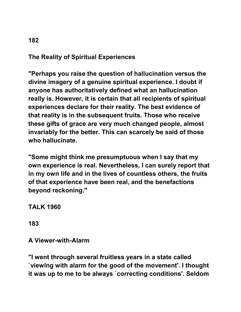# **The Reality of Spiritual Experiences**

**"Perhaps you raise the question of hallucination versus the divine imagery of a genuine spiritual experience. I doubt if anyone has authoritatively defined what an hallucination really is. However, it is certain that all recipients of spiritual experiences declare for their reality. The best evidence of that reality is in the subsequent fruits. Those who receive these gifts of grace are very much changed people, almost invariably for the better. This can scarcely be said of those who hallucinate.** 

**"Some might think me presumptuous when I say that my own experience is real. Nevertheless, I can surely report that in my own life and in the lives of countless others, the fruits of that experience have been real, and the benefactions beyond reckoning."** 

**TALK 1960** 

**183** 

#### **A Viewer-with-Alarm**

**"I went through several fruitless years in a state called `viewing with alarm for the good of the movement'. I thought it was up to me to be always `correcting conditions'. Seldom**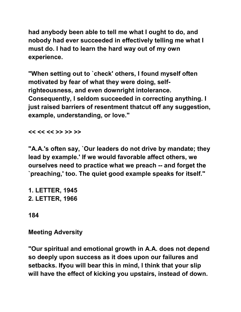**had anybody been able to tell me what I ought to do, and nobody had ever succeeded in effectively telling me what I must do. I had to learn the hard way out of my own experience.** 

**"When setting out to `check' others, I found myself often motivated by fear of what they were doing, selfrighteousness, and even downright intolerance. Consequently, I seldom succeeded in correcting anything. I just raised barriers of resentment thatcut off any suggestion, example, understanding, or love."** 

**<< << << >> >> >>** 

**"A.A.'s often say, `Our leaders do not drive by mandate; they lead by example.' If we would favorable affect others, we ourselves need to practice what we preach -- and forget the `preaching,' too. The quiet good example speaks for itself."** 

**1. LETTER, 1945 2. LETTER, 1966** 

**184** 

**Meeting Adversity** 

**"Our spiritual and emotional growth in A.A. does not depend so deeply upon success as it does upon our failures and setbacks. Ifyou will bear this in mind, I think that your slip will have the effect of kicking you upstairs, instead of down.**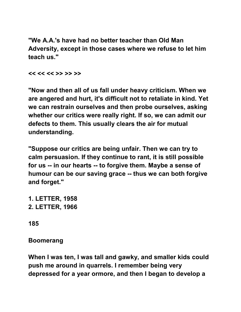**"We A.A.'s have had no better teacher than Old Man Adversity, except in those cases where we refuse to let him teach us."** 

**<< << << >> >> >>** 

**"Now and then all of us fall under heavy criticism. When we are angered and hurt, it's difficult not to retaliate in kind. Yet we can restrain ourselves and then probe ourselves, asking whether our critics were really right. If so, we can admit our defects to them. This usually clears the air for mutual understanding.** 

**"Suppose our critics are being unfair. Then we can try to calm persuasion. If they continue to rant, it is still possible for us -- in our hearts -- to forgive them. Maybe a sense of humour can be our saving grace -- thus we can both forgive and forget."** 

**1. LETTER, 1958 2. LETTER, 1966** 

**185** 

#### **Boomerang**

**When I was ten, I was tall and gawky, and smaller kids could push me around in quarrels. I remember being very depressed for a year ormore, and then I began to develop a**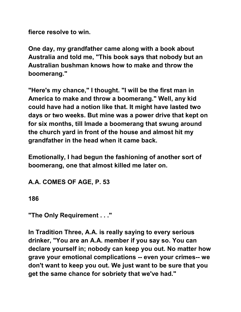**fierce resolve to win.** 

**One day, my grandfather came along with a book about Australia and told me, "This book says that nobody but an Australian bushman knows how to make and throw the boomerang."** 

**"Here's my chance," I thought. "I will be the first man in America to make and throw a boomerang." Well, any kid could have had a notion like that. It might have lasted two days or two weeks. But mine was a power drive that kept on for six months, till Imade a boomerang that swung around the church yard in front of the house and almost hit my grandfather in the head when it came back.** 

**Emotionally, I had begun the fashioning of another sort of boomerang, one that almost killed me later on.** 

**A.A. COMES OF AGE, P. 53** 

**186** 

**"The Only Requirement . . ."** 

**In Tradition Three, A.A. is really saying to every serious drinker, "You are an A.A. member if you say so. You can declare yourself in; nobody can keep you out. No matter how grave your emotional complications -- even your crimes-- we don't want to keep you out. We just want to be sure that you get the same chance for sobriety that we've had."**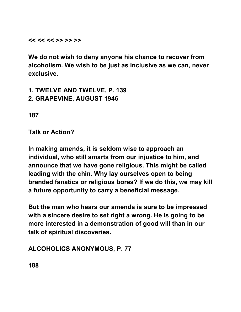**<< << << >> >> >>** 

**We do not wish to deny anyone his chance to recover from alcoholism. We wish to be just as inclusive as we can, never exclusive.** 

**1. TWELVE AND TWELVE, P. 139 2. GRAPEVINE, AUGUST 1946** 

**187** 

**Talk or Action?** 

**In making amends, it is seldom wise to approach an individual, who still smarts from our injustice to him, and announce that we have gone religious. This might be called leading with the chin. Why lay ourselves open to being branded fanatics or religious bores? If we do this, we may kill a future opportunity to carry a beneficial message.**

**But the man who hears our amends is sure to be impressed with a sincere desire to set right a wrong. He is going to be more interested in a demonstration of good will than in our talk of spiritual discoveries.** 

**ALCOHOLICS ANONYMOUS, P. 77** 

**188**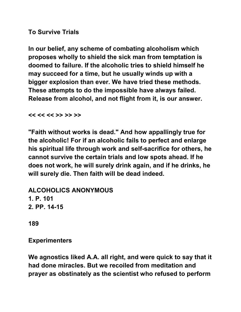### **To Survive Trials**

**In our belief, any scheme of combating alcoholism which proposes wholly to shield the sick man from temptation is doomed to failure. If the alcoholic tries to shield himself he may succeed for a time, but he usually winds up with a bigger explosion than ever. We have tried these methods. These attempts to do the impossible have always failed. Release from alcohol, and not flight from it, is our answer.** 

#### **<< << << >> >> >>**

**"Faith without works is dead." And how appallingly true for the alcoholic! For if an alcoholic fails to perfect and enlarge his spiritual life through work and self-sacrifice for others, he cannot survive the certain trials and low spots ahead. If he does not work, he will surely drink again, and if he drinks, he will surely die. Then faith will be dead indeed.** 

**ALCOHOLICS ANONYMOUS 1. P. 101 2. PP. 14-15** 

**189** 

#### **Experimenters**

**We agnostics liked A.A. all right, and were quick to say that it had done miracles. But we recoiled from meditation and prayer as obstinately as the scientist who refused to perform**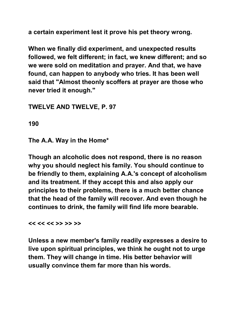**a certain experiment lest it prove his pet theory wrong.** 

**When we finally did experiment, and unexpected results followed, we felt different; in fact, we knew different; and so we were sold on meditation and prayer. And that, we have found, can happen to anybody who tries. It has been well said that "Almost theonly scoffers at prayer are those who never tried it enough."** 

#### **TWELVE AND TWELVE, P. 97**

**190** 

**The A.A. Way in the Home\*** 

**Though an alcoholic does not respond, there is no reason why you should neglect his family. You should continue to be friendly to them, explaining A.A.'s concept of alcoholism and its treatment. If they accept this and also apply our principles to their problems, there is a much better chance that the head of the family will recover. And even though he continues to drink, the family will find life more bearable.** 

**<< << << >> >> >>** 

**Unless a new member's family readily expresses a desire to live upon spiritual principles, we think he ought not to urge them. They will change in time. His better behavior will usually convince them far more than his words.**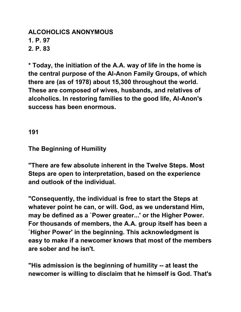#### **ALCOHOLICS ANONYMOUS 1. P. 97 2. P. 83**

**\* Today, the initiation of the A.A. way of life in the home is the central purpose of the Al-Anon Family Groups, of which there are (as of 1978) about 15,300 throughout the world. These are composed of wives, husbands, and relatives of alcoholics. In restoring families to the good life, Al-Anon's success has been enormous.** 

**191** 

**The Beginning of Humility** 

**"There are few absolute inherent in the Twelve Steps. Most Steps are open to interpretation, based on the experience and outlook of the individual.** 

**"Consequently, the individual is free to start the Steps at whatever point he can, or will. God, as we understand Him, may be defined as a `Power greater...' or the Higher Power. For thousands of members, the A.A. group itself has been a `Higher Power' in the beginning. This acknowledgment is easy to make if a newcomer knows that most of the members are sober and he isn't.** 

**"His admission is the beginning of humility -- at least the newcomer is willing to disclaim that he himself is God. That's**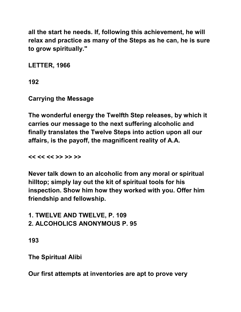**all the start he needs. If, following this achievement, he will relax and practice as many of the Steps as he can, he is sure to grow spiritually."** 

**LETTER, 1966** 

**192** 

**Carrying the Message** 

**The wonderful energy the Twelfth Step releases, by which it carries our message to the next suffering alcoholic and finally translates the Twelve Steps into action upon all our affairs, is the payoff, the magnificent reality of A.A.** 

**<< << << >> >> >>** 

**Never talk down to an alcoholic from any moral or spiritual hilltop; simply lay out the kit of spiritual tools for his inspection. Show him how they worked with you. Offer him friendship and fellowship.** 

**1. TWELVE AND TWELVE, P. 109 2. ALCOHOLICS ANONYMOUS P. 95** 

**193** 

**The Spiritual Alibi** 

**Our first attempts at inventories are apt to prove very**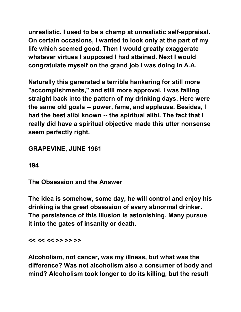**unrealistic. I used to be a champ at unrealistic self-appraisal. On certain occasions, I wanted to look only at the part of my life which seemed good. Then I would greatly exaggerate whatever virtues I supposed I had attained. Next I would congratulate myself on the grand job I was doing in A.A.** 

**Naturally this generated a terrible hankering for still more "accomplishments," and still more approval. I was falling straight back into the pattern of my drinking days. Here were the same old goals -- power, fame, and applause. Besides, I had the best alibi known -- the spiritual alibi. The fact that I really did have a spiritual objective made this utter nonsense seem perfectly right.** 

# **GRAPEVINE, JUNE 1961**

**194** 

**The Obsession and the Answer** 

**The idea is somehow, some day, he will control and enjoy his drinking is the great obsession of every abnormal drinker. The persistence of this illusion is astonishing. Many pursue it into the gates of insanity or death.** 

**<< << << >> >> >>** 

**Alcoholism, not cancer, was my illness, but what was the difference? Was not alcoholism also a consumer of body and mind? Alcoholism took longer to do its killing, but the result**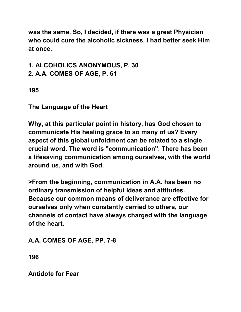**was the same. So, I decided, if there was a great Physician who could cure the alcoholic sickness, I had better seek Him at once.** 

**1. ALCOHOLICS ANONYMOUS, P. 30** 

**2. A.A. COMES OF AGE, P. 61** 

**195** 

**The Language of the Heart** 

**Why, at this particular point in history, has God chosen to communicate His healing grace to so many of us? Every aspect of this global unfoldment can be related to a single crucial word. The word is "communication". There has been a lifesaving communication among ourselves, with the world around us, and with God.** 

**>From the beginning, communication in A.A. has been no ordinary transmission of helpful ideas and attitudes. Because our common means of deliverance are effective for ourselves only when constantly carried to others, our channels of contact have always charged with the language of the heart.** 

**A.A. COMES OF AGE, PP. 7-8** 

**196** 

**Antidote for Fear**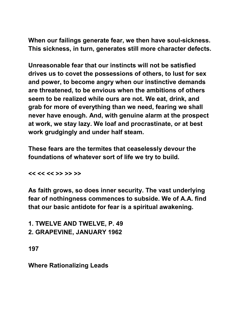**When our failings generate fear, we then have soul-sickness. This sickness, in turn, generates still more character defects.** 

**Unreasonable fear that our instincts will not be satisfied drives us to covet the possessions of others, to lust for sex and power, to become angry when our instinctive demands are threatened, to be envious when the ambitions of others seem to be realized while ours are not. We eat, drink, and grab for more of everything than we need, fearing we shall never have enough. And, with genuine alarm at the prospect at work, we stay lazy. We loaf and procrastinate, or at best work grudgingly and under half steam.** 

**These fears are the termites that ceaselessly devour the foundations of whatever sort of life we try to build.** 

**<< << << >> >> >>** 

**As faith grows, so does inner security. The vast underlying fear of nothingness commences to subside. We of A.A. find that our basic antidote for fear is a spiritual awakening.** 

**1. TWELVE AND TWELVE, P. 49** 

**2. GRAPEVINE, JANUARY 1962** 

**197** 

**Where Rationalizing Leads**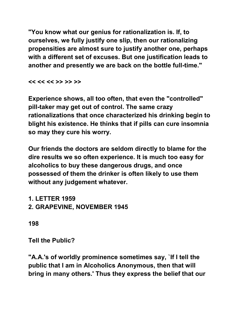**"You know what our genius for rationalization is. If, to ourselves, we fully justify one slip, then our rationalizing propensities are almost sure to justify another one, perhaps with a different set of excuses. But one justification leads to another and presently we are back on the bottle full-time."** 

**<< << << >> >> >>** 

**Experience shows, all too often, that even the "controlled" pill-taker may get out of control. The same crazy rationalizations that once characterized his drinking begin to blight his existence. He thinks that if pills can cure insomnia so may they cure his worry.** 

**Our friends the doctors are seldom directly to blame for the dire results we so often experience. It is much too easy for alcoholics to buy these dangerous drugs, and once possessed of them the drinker is often likely to use them without any judgement whatever.** 

**1. LETTER 1959 2. GRAPEVINE, NOVEMBER 1945** 

**198** 

**Tell the Public?** 

**"A.A.'s of worldly prominence sometimes say, `If I tell the public that I am in Alcoholics Anonymous, then that will bring in many others.' Thus they express the belief that our**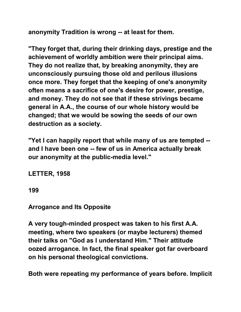**anonymity Tradition is wrong -- at least for them.** 

**"They forget that, during their drinking days, prestige and the achievement of worldly ambition were their principal aims. They do not realize that, by breaking anonymity, they are unconsciously pursuing those old and perilous illusions once more. They forget that the keeping of one's anonymity often means a sacrifice of one's desire for power, prestige, and money. They do not see that if these strivings became general in A.A., the course of our whole history would be changed; that we would be sowing the seeds of our own destruction as a society.** 

**"Yet I can happily report that while many of us are tempted - and I have been one -- few of us in America actually break our anonymity at the public-media level."** 

**LETTER, 1958** 

**199** 

# **Arrogance and Its Opposite**

**A very tough-minded prospect was taken to his first A.A. meeting, where two speakers (or maybe lecturers) themed their talks on "God as I understand Him." Their attitude oozed arrogance. In fact, the final speaker got far overboard on his personal theological convictions.** 

**Both were repeating my performance of years before. Implicit**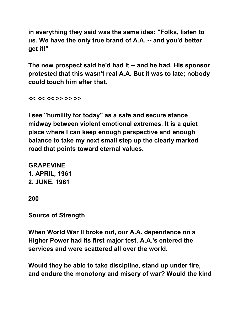**in everything they said was the same idea: "Folks, listen to us. We have the only true brand of A.A. -- and you'd better get it!"** 

**The new prospect said he'd had it -- and he had. His sponsor protested that this wasn't real A.A. But it was to late; nobody could touch him after that.** 

**<< << << >> >> >>** 

**I see "humility for today" as a safe and secure stance midway between violent emotional extremes. It is a quiet place where I can keep enough perspective and enough balance to take my next small step up the clearly marked road that points toward eternal values.** 

**GRAPEVINE 1. APRIL, 1961 2. JUNE, 1961** 

**200** 

**Source of Strength** 

**When World War II broke out, our A.A. dependence on a Higher Power had its first major test. A.A.'s entered the services and were scattered all over the world.** 

**Would they be able to take discipline, stand up under fire, and endure the monotony and misery of war? Would the kind**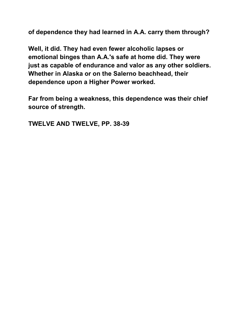**of dependence they had learned in A.A. carry them through?** 

**Well, it did. They had even fewer alcoholic lapses or emotional binges than A.A.'s safe at home did. They were just as capable of endurance and valor as any other soldiers. Whether in Alaska or on the Salerno beachhead, their dependence upon a Higher Power worked.** 

**Far from being a weakness, this dependence was their chief source of strength.** 

**TWELVE AND TWELVE, PP. 38-39**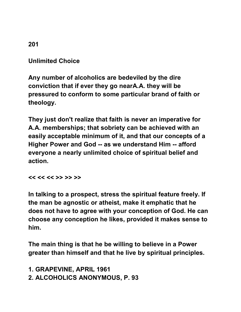**Unlimited Choice** 

**Any number of alcoholics are bedeviled by the dire conviction that if ever they go nearA.A. they will be pressured to conform to some particular brand of faith or theology.** 

**They just don't realize that faith is never an imperative for A.A. memberships; that sobriety can be achieved with an easily acceptable minimum of it, and that our concepts of a Higher Power and God -- as we understand Him -- afford everyone a nearly unlimited choice of spiritual belief and action.** 

**<< << << >> >> >>** 

**In talking to a prospect, stress the spiritual feature freely. If the man be agnostic or atheist, make it emphatic that he does not have to agree with your conception of God. He can choose any conception he likes, provided it makes sense to him.** 

**The main thing is that he be willing to believe in a Power greater than himself and that he live by spiritual principles.** 

**1. GRAPEVINE, APRIL 1961 2. ALCOHOLICS ANONYMOUS, P. 93**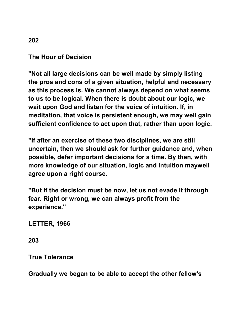## **The Hour of Decision**

**"Not all large decisions can be well made by simply listing the pros and cons of a given situation, helpful and necessary as this process is. We cannot always depend on what seems to us to be logical. When there is doubt about our logic, we wait upon God and listen for the voice of intuition. If, in meditation, that voice is persistent enough, we may well gain sufficient confidence to act upon that, rather than upon logic.** 

**"If after an exercise of these two disciplines, we are still uncertain, then we should ask for further guidance and, when possible, defer important decisions for a time. By then, with more knowledge of our situation, logic and intuition maywell agree upon a right course.** 

**"But if the decision must be now, let us not evade it through fear. Right or wrong, we can always profit from the experience."** 

**LETTER, 1966** 

**203** 

**True Tolerance** 

**Gradually we began to be able to accept the other fellow's**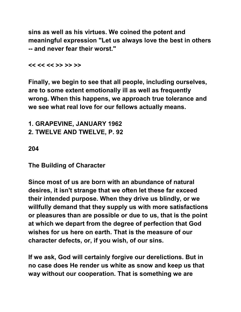**sins as well as his virtues. We coined the potent and meaningful expression "Let us always love the best in others -- and never fear their worst."** 

#### **<< << << >> >> >>**

**Finally, we begin to see that all people, including ourselves, are to some extent emotionally ill as well as frequently wrong. When this happens, we approach true tolerance and we see what real love for our fellows actually means.** 

**1. GRAPEVINE, JANUARY 1962 2. TWELVE AND TWELVE, P. 92** 

**204** 

**The Building of Character** 

**Since most of us are born with an abundance of natural desires, it isn't strange that we often let these far exceed their intended purpose. When they drive us blindly, or we willfully demand that they supply us with more satisfactions or pleasures than are possible or due to us, that is the point at which we depart from the degree of perfection that God wishes for us here on earth. That is the measure of our character defects, or, if you wish, of our sins.** 

**If we ask, God will certainly forgive our derelictions. But in no case does He render us white as snow and keep us that way without our cooperation. That is something we are**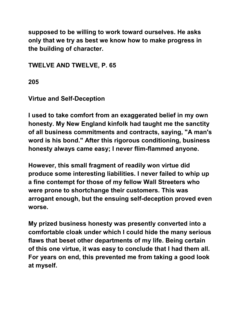**supposed to be willing to work toward ourselves. He asks only that we try as best we know how to make progress in the building of character.** 

**TWELVE AND TWELVE, P. 65** 

**205** 

**Virtue and Self-Deception** 

**I used to take comfort from an exaggerated belief in my own honesty. My New England kinfolk had taught me the sanctity of all business commitments and contracts, saying, "A man's word is his bond." After this rigorous conditioning, business honesty always came easy; I never flim-flammed anyone.** 

**However, this small fragment of readily won virtue did produce some interesting liabilities. I never failed to whip up a fine contempt for those of my fellow Wall Streeters who were prone to shortchange their customers. This was arrogant enough, but the ensuing self-deception proved even worse.** 

**My prized business honesty was presently converted into a comfortable cloak under which I could hide the many serious flaws that beset other departments of my life. Being certain of this one virtue, it was easy to conclude that I had them all. For years on end, this prevented me from taking a good look at myself.**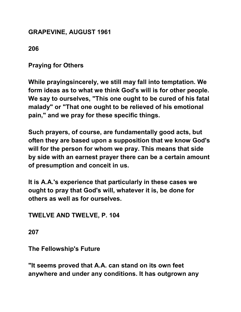## **GRAPEVINE, AUGUST 1961**

# **206**

**Praying for Others** 

**While prayingsincerely, we still may fall into temptation. We form ideas as to what we think God's will is for other people. We say to ourselves, "This one ought to be cured of his fatal malady" or "That one ought to be relieved of his emotional pain," and we pray for these specific things.** 

**Such prayers, of course, are fundamentally good acts, but often they are based upon a supposition that we know God's will for the person for whom we pray. This means that side by side with an earnest prayer there can be a certain amount of presumption and conceit in us.** 

**It is A.A.'s experience that particularly in these cases we ought to pray that God's will, whatever it is, be done for others as well as for ourselves.** 

**TWELVE AND TWELVE, P. 104** 

**207** 

**The Fellowship's Future** 

**"It seems proved that A.A. can stand on its own feet anywhere and under any conditions. It has outgrown any**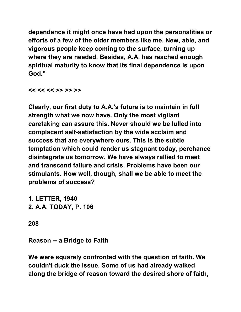**dependence it might once have had upon the personalities or efforts of a few of the older members like me. New, able, and vigorous people keep coming to the surface, turning up where they are needed. Besides, A.A. has reached enough spiritual maturity to know that its final dependence is upon God."** 

**<< << << >> >> >>** 

**Clearly, our first duty to A.A.'s future is to maintain in full strength what we now have. Only the most vigilant caretaking can assure this. Never should we be lulled into complacent self-satisfaction by the wide acclaim and success that are everywhere ours. This is the subtle temptation which could render us stagnant today, perchance disintegrate us tomorrow. We have always rallied to meet and transcend failure and crisis. Problems have been our stimulants. How well, though, shall we be able to meet the problems of success?** 

**1. LETTER, 1940 2. A.A. TODAY, P. 106** 

**208** 

**Reason -- a Bridge to Faith** 

**We were squarely confronted with the question of faith. We couldn't duck the issue. Some of us had already walked along the bridge of reason toward the desired shore of faith,**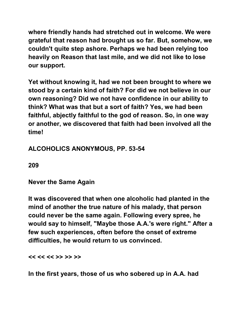**where friendly hands had stretched out in welcome. We were grateful that reason had brought us so far. But, somehow, we couldn't quite step ashore. Perhaps we had been relying too heavily on Reason that last mile, and we did not like to lose our support.** 

**Yet without knowing it, had we not been brought to where we stood by a certain kind of faith? For did we not believe in our own reasoning? Did we not have confidence in our ability to think? What was that but a sort of faith? Yes, we had been faithful, abjectly faithful to the god of reason. So, in one way or another, we discovered that faith had been involved all the time!** 

# **ALCOHOLICS ANONYMOUS, PP. 53-54**

**209** 

**Never the Same Again** 

**It was discovered that when one alcoholic had planted in the mind of another the true nature of his malady, that person could never be the same again. Following every spree, he would say to himself, "Maybe those A.A.'s were right." After a few such experiences, often before the onset of extreme difficulties, he would return to us convinced.** 

**<< << << >> >> >>** 

**In the first years, those of us who sobered up in A.A. had**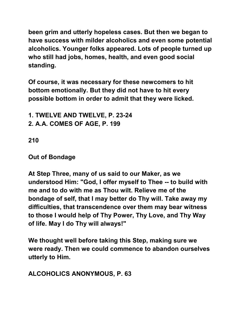**been grim and utterly hopeless cases. But then we began to have success with milder alcoholics and even some potential alcoholics. Younger folks appeared. Lots of people turned up who still had jobs, homes, health, and even good social standing.** 

**Of course, it was necessary for these newcomers to hit bottom emotionally. But they did not have to hit every possible bottom in order to admit that they were licked.** 

**1. TWELVE AND TWELVE, P. 23-24** 

**2. A.A. COMES OF AGE, P. 199** 

**210** 

**Out of Bondage** 

**At Step Three, many of us said to our Maker, as we understood Him: "God, I offer myself to Thee -- to build with me and to do with me as Thou wilt. Relieve me of the bondage of self, that I may better do Thy will. Take away my difficulties, that transcendence over them may bear witness to those I would help of Thy Power, Thy Love, and Thy Way of life. May I do Thy will always!"** 

**We thought well before taking this Step, making sure we were ready. Then we could commence to abandon ourselves utterly to Him.** 

**ALCOHOLICS ANONYMOUS, P. 63**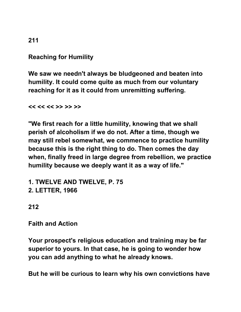# **Reaching for Humility**

**We saw we needn't always be bludgeoned and beaten into humility. It could come quite as much from our voluntary reaching for it as it could from unremitting suffering.** 

**<< << << >> >> >>** 

**"We first reach for a little humility, knowing that we shall perish of alcoholism if we do not. After a time, though we may still rebel somewhat, we commence to practice humility because this is the right thing to do. Then comes the day when, finally freed in large degree from rebellion, we practice humility because we deeply want it as a way of life."** 

**1. TWELVE AND TWELVE, P. 75 2. LETTER, 1966** 

## **212**

**Faith and Action** 

**Your prospect's religious education and training may be far superior to yours. In that case, he is going to wonder how you can add anything to what he already knows.** 

**But he will be curious to learn why his own convictions have** 

**211**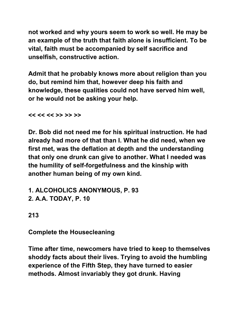**not worked and why yours seem to work so well. He may be an example of the truth that faith alone is insufficient. To be vital, faith must be accompanied by self sacrifice and unselfish, constructive action.** 

**Admit that he probably knows more about religion than you do, but remind him that, however deep his faith and knowledge, these qualities could not have served him well, or he would not be asking your help.** 

**<< << << >> >> >>** 

**Dr. Bob did not need me for his spiritual instruction. He had already had more of that than I. What he did need, when we first met, was the deflation at depth and the understanding that only one drunk can give to another. What I needed was the humility of self-forgetfulness and the kinship with another human being of my own kind.** 

**1. ALCOHOLICS ANONYMOUS, P. 93 2. A.A. TODAY, P. 10** 

**213** 

**Complete the Housecleaning** 

**Time after time, newcomers have tried to keep to themselves shoddy facts about their lives. Trying to avoid the humbling experience of the Fifth Step, they have turned to easier methods. Almost invariably they got drunk. Having**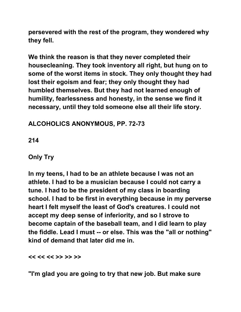**persevered with the rest of the program, they wondered why they fell.** 

**We think the reason is that they never completed their housecleaning. They took inventory all right, but hung on to some of the worst items in stock. They only thought they had lost their egoism and fear; they only thought they had humbled themselves. But they had not learned enough of humility, fearlessness and honesty, in the sense we find it necessary, until they told someone else all their life story.** 

# **ALCOHOLICS ANONYMOUS, PP. 72-73**

**214** 

# **Only Try**

**In my teens, I had to be an athlete because I was not an athlete. I had to be a musician because I could not carry a tune. I had to be the president of my class in boarding school. I had to be first in everything because in my perverse heart I felt myself the least of God's creatures. I could not accept my deep sense of inferiority, and so I strove to become captain of the baseball team, and I did learn to play the fiddle. Lead I must -- or else. This was the "all or nothing" kind of demand that later did me in.** 

**<< << << >> >> >>** 

**"I'm glad you are going to try that new job. But make sure**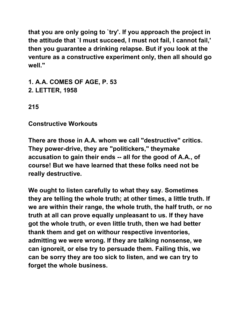**that you are only going to `try'. If you approach the project in the attitude that `I must succeed, I must not fail, I cannot fail,' then you guarantee a drinking relapse. But if you look at the venture as a constructive experiment only, then all should go well."** 

**1. A.A. COMES OF AGE, P. 53 2. LETTER, 1958** 

**215** 

**Constructive Workouts** 

**There are those in A.A. whom we call "destructive" critics. They power-drive, they are "politickers," theymake accusation to gain their ends -- all for the good of A.A., of course! But we have learned that these folks need not be really destructive.** 

**We ought to listen carefully to what they say. Sometimes they are telling the whole truth; at other times, a little truth. If we are within their range, the whole truth, the half truth, or no truth at all can prove equally unpleasant to us. If they have got the whole truth, or even little truth, then we had better thank them and get on withour respective inventories, admitting we were wrong. If they are talking nonsense, we can ignoreit, or else try to persuade them. Failing this, we can be sorry they are too sick to listen, and we can try to forget the whole business.**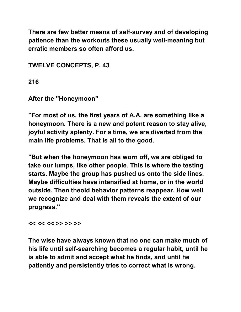**There are few better means of self-survey and of developing patience than the workouts these usually well-meaning but erratic members so often afford us.** 

**TWELVE CONCEPTS, P. 43** 

**216** 

**After the "Honeymoon"** 

**"For most of us, the first years of A.A. are something like a honeymoon. There is a new and potent reason to stay alive, joyful activity aplenty. For a time, we are diverted from the main life problems. That is all to the good.** 

**"But when the honeymoon has worn off, we are obliged to take our lumps, like other people. This is where the testing starts. Maybe the group has pushed us onto the side lines. Maybe difficulties have intensified at home, or in the world outside. Then theold behavior patterns reappear. How well we recognize and deal with them reveals the extent of our progress."** 

**<< << << >> >> >>** 

**The wise have always known that no one can make much of his life until self-searching becomes a regular habit, until he is able to admit and accept what he finds, and until he patiently and persistently tries to correct what is wrong.**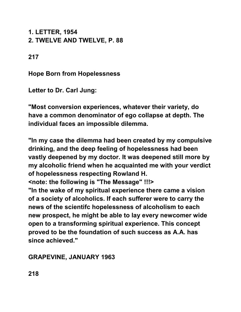**1. LETTER, 1954 2. TWELVE AND TWELVE, P. 88** 

**217** 

**Hope Born from Hopelessness** 

**Letter to Dr. Carl Jung:** 

**"Most conversion experiences, whatever their variety, do have a common denominator of ego collapse at depth. The individual faces an impossible dilemma.** 

**"In my case the dilemma had been created by my compulsive drinking, and the deep feeling of hopelessness had been vastly deepened by my doctor. It was deepened still more by my alcoholic friend when he acquainted me with your verdict of hopelessness respecting Rowland H.** 

**<note: the following is "The Message" !!!>** 

**"In the wake of my spiritual experience there came a vision of a society of alcoholics. If each sufferer were to carry the news of the scientifc hopelessness of alcoholism to each new prospect, he might be able to lay every newcomer wide open to a transforming spiritual experience. This concept proved to be the foundation of such success as A.A. has since achieved."** 

**GRAPEVINE, JANUARY 1963**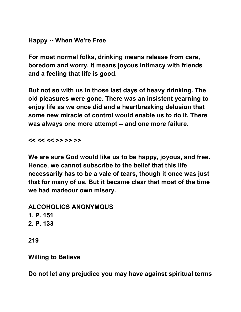## **Happy -- When We're Free**

**For most normal folks, drinking means release from care, boredom and worry. It means joyous intimacy with friends and a feeling that life is good.** 

**But not so with us in those last days of heavy drinking. The old pleasures were gone. There was an insistent yearning to enjoy life as we once did and a heartbreaking delusion that some new miracle of control would enable us to do it. There was always one more attempt -- and one more failure.** 

**<< << << >> >> >>** 

**We are sure God would like us to be happy, joyous, and free. Hence, we cannot subscribe to the belief that this life necessarily has to be a vale of tears, though it once was just that for many of us. But it became clear that most of the time we had madeour own misery.** 

**ALCOHOLICS ANONYMOUS 1. P. 151 2. P. 133** 

**219** 

## **Willing to Believe**

**Do not let any prejudice you may have against spiritual terms**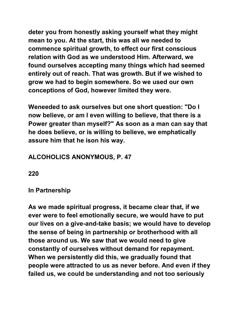**deter you from honestly asking yourself what they might mean to you. At the start, this was all we needed to commence spiritual growth, to effect our first conscious relation with God as we understood Him. Afterward, we found ourselves accepting many things which had seemed entirely out of reach. That was growth. But if we wished to grow we had to begin somewhere. So we used our own conceptions of God, however limited they were.** 

**Weneeded to ask ourselves but one short question: "Do I now believe, or am I even willing to believe, that there is a Power greater than myself?" As soon as a man can say that he does believe, or is willing to believe, we emphatically assure him that he ison his way.** 

# **ALCOHOLICS ANONYMOUS, P. 47**

**220** 

#### **In Partnership**

**As we made spiritual progress, it became clear that, if we ever were to feel emotionally secure, we would have to put our lives on a give-and-take basis; we would have to develop the sense of being in partnership or brotherhood with all those around us. We saw that we would need to give constantly of ourselves without demand for repayment. When we persistently did this, we gradually found that people were attracted to us as never before. And even if they failed us, we could be understanding and not too seriously**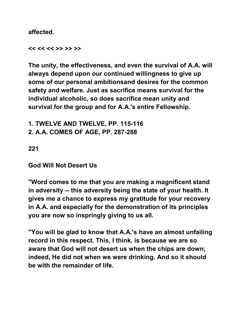**affected.** 

**<< << << >> >> >>** 

**The unity, the effectiveness, and even the survival of A.A. will always depend upon our continued willingness to give up some of our personal ambitionsand desires for the common safety and welfare. Just as sacrifice means survival for the individual alcoholic, so does sacrifice mean unity and survival for the group and for A.A.'s entire Fellowship.** 

**1. TWELVE AND TWELVE, PP. 115-116 2. A.A. COMES OF AGE, PP. 287-288** 

**221** 

**God Will Not Desert Us** 

**"Word comes to me that you are making a magnificent stand in adversity -- this adversity being the state of your health. It gives me a chance to express my gratitude for your recovery in A.A. and especially for the demonstration of its principles you are now so inspringly giving to us all.** 

**"You will be glad to know that A.A.'s have an almost unfailing record in this respect. This, I think, is because we are so aware that God will not desert us when the chips are down; indeed, He did not when we were drinking. And so it should be with the remainder of life.**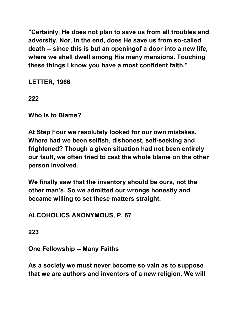**"Certainly, He does not plan to save us from all troubles and adversity. Nor, in the end, does He save us from so-called death -- since this is but an openingof a door into a new life, where we shall dwell among His many mansions. Touching these things I know you have a most confident faith."** 

**LETTER, 1966** 

**222** 

**Who Is to Blame?** 

**At Step Four we resolutely looked for our own mistakes. Where had we been selfish, dishonest, self-seeking and frightened? Though a given situation had not been entirely our fault, we often tried to cast the whole blame on the other person involved.** 

**We finally saw that the inventory should be ours, not the other man's. So we admitted our wrongs honestly and became willing to set these matters straight.** 

**ALCOHOLICS ANONYMOUS, P. 67** 

**223** 

**One Fellowship -- Many Faiths** 

**As a society we must never become so vain as to suppose that we are authors and inventors of a new religion. We will**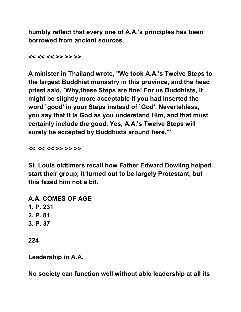**humbly reflect that every one of A.A.'s principles has been borrowed from ancient sources.** 

**<< << << >> >> >>** 

**A minister in Thailand wrote, "We took A.A.'s Twelve Steps to the largest Buddhist monastry in this province, and the head priest said, `Why,these Steps are fine! For us Buddhists, it might be slightly more acceptable if you had inserted the word `good' in your Steps instead of `God'. Nevertehless, you say that it is God as you understand Him, and that must certainly include the good. Yes, A.A.'s Twelve Steps will surely be accepted by Buddhists around here.'"** 

**<< << << >> >> >>** 

**St. Louis oldtimers recall how Father Edward Dowling helped start their group; it turned out to be largely Protestant, but this fazed him not a bit.** 

**A.A. COMES OF AGE 1. P. 231 2. P. 81 3. P. 37** 

**224** 

**Leadership in A.A.** 

**No society can function well without able leadership at all its**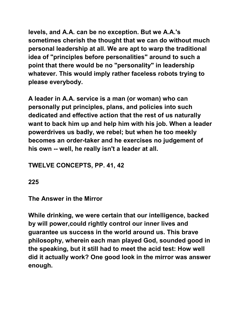**levels, and A.A. can be no exception. But we A.A.'s sometimes cherish the thought that we can do without much personal leadership at all. We are apt to warp the traditional idea of "principles before personalities" around to such a point that there would be no "personality" in leadership whatever. This would imply rather faceless robots trying to please everybody.** 

**A leader in A.A. service is a man (or woman) who can personally put principles, plans, and policies into such dedicated and effective action that the rest of us naturally want to back him up and help him with his job. When a leader powerdrives us badly, we rebel; but when he too meekly becomes an order-taker and he exercises no judgement of his own -- well, he really isn't a leader at all.** 

# **TWELVE CONCEPTS, PP. 41, 42**

**225** 

**The Answer in the Mirror** 

**While drinking, we were certain that our intelligence, backed by will power,could rightly control our inner lives and guarantee us success in the world around us. This brave philosophy, wherein each man played God, sounded good in the speaking, but it still had to meet the acid test: How well did it actually work? One good look in the mirror was answer enough.**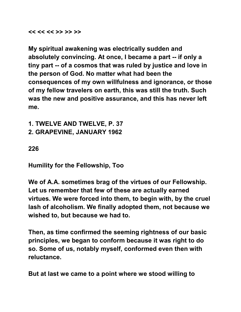#### **<< << << >> >> >>**

**My spiritual awakening was electrically sudden and absolutely convincing. At once, I became a part -- if only a tiny part -- of a cosmos that was ruled by justice and love in the person of God. No matter what had been the consequences of my own willfulness and ignorance, or those of my fellow travelers on earth, this was still the truth. Such was the new and positive assurance, and this has never left me.** 

**1. TWELVE AND TWELVE, P. 37 2. GRAPEVINE, JANUARY 1962** 

#### **226**

**Humility for the Fellowship, Too** 

**We of A.A. sometimes brag of the virtues of our Fellowship. Let us remember that few of these are actually earned virtues. We were forced into them, to begin with, by the cruel lash of alcoholism. We finally adopted them, not because we wished to, but because we had to.** 

**Then, as time confirmed the seeming rightness of our basic principles, we began to conform because it was right to do so. Some of us, notably myself, conformed even then with reluctance.** 

**But at last we came to a point where we stood willing to**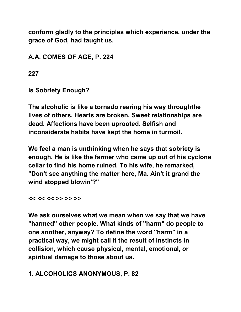**conform gladly to the principles which experience, under the grace of God, had taught us.** 

**A.A. COMES OF AGE, P. 224** 

**227** 

**Is Sobriety Enough?** 

**The alcoholic is like a tornado rearing his way throughthe lives of others. Hearts are broken. Sweet relationships are dead. Affections have been uprooted. Selfish and inconsiderate habits have kept the home in turmoil.**

**We feel a man is unthinking when he says that sobriety is enough. He is like the farmer who came up out of his cyclone cellar to find his home ruined. To his wife, he remarked, "Don't see anything the matter here, Ma. Ain't it grand the wind stopped blowin'?"** 

**<< << << >> >> >>** 

**We ask ourselves what we mean when we say that we have "harmed" other people. What kinds of "harm" do people to one another, anyway? To define the word "harm" in a practical way, we might call it the result of instincts in collision, which cause physical, mental, emotional, or spiritual damage to those about us.** 

# **1. ALCOHOLICS ANONYMOUS, P. 82**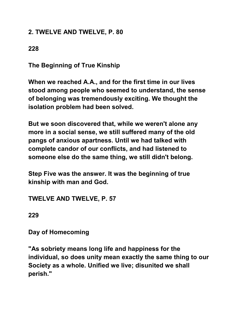# **2. TWELVE AND TWELVE, P. 80**

# **228**

**The Beginning of True Kinship** 

**When we reached A.A., and for the first time in our lives stood among people who seemed to understand, the sense of belonging was tremendously exciting. We thought the isolation problem had been solved.** 

**But we soon discovered that, while we weren't alone any more in a social sense, we still suffered many of the old pangs of anxious apartness. Until we had talked with complete candor of our conflicts, and had listened to someone else do the same thing, we still didn't belong.** 

**Step Five was the answer. It was the beginning of true kinship with man and God.** 

**TWELVE AND TWELVE, P. 57** 

**229** 

**Day of Homecoming** 

**"As sobriety means long life and happiness for the individual, so does unity mean exactly the same thing to our Society as a whole. Unified we live; disunited we shall perish."**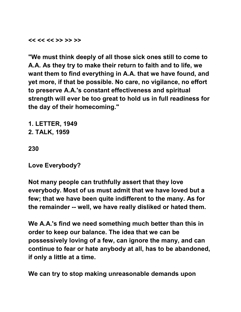**<< << << >> >> >>** 

**"We must think deeply of all those sick ones still to come to A.A. As they try to make their return to faith and to life, we want them to find everything in A.A. that we have found, and yet more, if that be possible. No care, no vigilance, no effort to preserve A.A.'s constant effectiveness and spiritual strength will ever be too great to hold us in full readiness for the day of their homecoming."** 

**1. LETTER, 1949 2. TALK, 1959** 

**230** 

**Love Everybody?** 

**Not many people can truthfully assert that they love everybody. Most of us must admit that we have loved but a few; that we have been quite indifferent to the many. As for the remainder -- well, we have really disliked or hated them.** 

**We A.A.'s find we need something much better than this in order to keep our balance. The idea that we can be possessively loving of a few, can ignore the many, and can continue to fear or hate anybody at all, has to be abandoned, if only a little at a time.** 

**We can try to stop making unreasonable demands upon**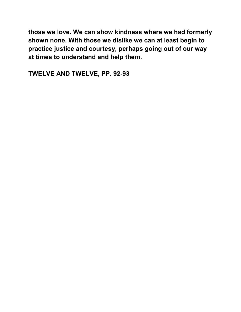**those we love. We can show kindness where we had formerly shown none. With those we dislike we can at least begin to practice justice and courtesy, perhaps going out of our way at times to understand and help them.** 

**TWELVE AND TWELVE, PP. 92-93**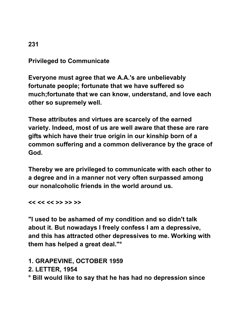# **Privileged to Communicate**

**Everyone must agree that we A.A.'s are unbelievably fortunate people; fortunate that we have suffered so much;fortunate that we can know, understand, and love each other so supremely well.** 

**These attributes and virtues are scarcely of the earned variety. Indeed, most of us are well aware that these are rare gifts which have their true origin in our kinship born of a common suffering and a common deliverance by the grace of God.** 

**Thereby we are privileged to communicate with each other to a degree and in a manner not very often surpassed among our nonalcoholic friends in the world around us.** 

**<< << << >> >> >>** 

**"I used to be ashamed of my condition and so didn't talk about it. But nowadays I freely confess I am a depressive, and this has attracted other depressives to me. Working with them has helped a great deal."°** 

### **1. GRAPEVINE, OCTOBER 1959**

**2. LETTER, 1954** 

**° Bill would like to say that he has had no depression since** 

#### **231**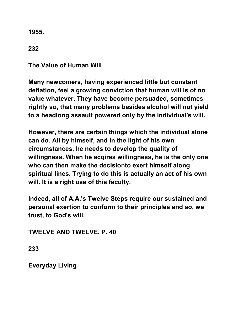**1955.** 

**232** 

**The Value of Human Will** 

**Many newcomers, having experienced little but constant deflation, feel a growing conviction that human will is of no value whatever. They have become persuaded, sometimes rightly so, that many problems besides alcohol will not yield to a headlong assault powered only by the individual's will.** 

**However, there are certain things which the individual alone can do. All by himself, and in the light of his own circumstances, he needs to develop the quality of willingness. When he acqires willingness, he is the only one who can then make the decisionto exert himself along spiritual lines. Trying to do this is actually an act of his own will. It is a right use of this faculty.** 

**Indeed, all of A.A.'s Twelve Steps require our sustained and personal exertion to conform to their principles and so, we trust, to God's will.** 

**TWELVE AND TWELVE, P. 40** 

**233** 

**Everyday Living**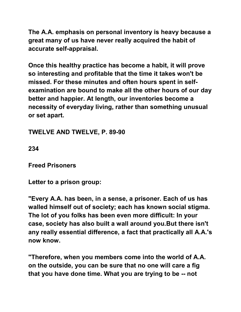**The A.A. emphasis on personal inventory is heavy because a great many of us have never really acquired the habit of accurate self-appraisal.** 

**Once this healthy practice has become a habit, it will prove so interesting and profitable that the time it takes won't be missed. For these minutes and often hours spent in selfexamination are bound to make all the other hours of our day better and happier. At length, our inventories become a necessity of everyday living, rather than something unusual or set apart.** 

**TWELVE AND TWELVE, P. 89-90** 

**234** 

**Freed Prisoners** 

**Letter to a prison group:** 

**"Every A.A. has been, in a sense, a prisoner. Each of us has walled himself out of society; each has known social stigma. The lot of you folks has been even more difficult: In your case, society has also built a wall around you.But there isn't any really essential difference, a fact that practically all A.A.'s now know.** 

**"Therefore, when you members come into the world of A.A. on the outside, you can be sure that no one will care a fig that you have done time. What you are trying to be -- not**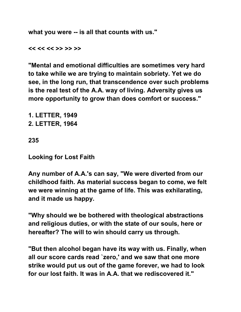**what you were -- is all that counts with us."** 

**<< << << >> >> >>** 

**"Mental and emotional difficulties are sometimes very hard to take while we are trying to maintain sobriety. Yet we do see, in the long run, that transcendence over such problems is the real test of the A.A. way of living. Adversity gives us more opportunity to grow than does comfort or success."** 

**1. LETTER, 1949 2. LETTER, 1964** 

**235** 

**Looking for Lost Faith** 

**Any number of A.A.'s can say, "We were diverted from our childhood faith. As material success began to come, we felt we were winning at the game of life. This was exhilarating, and it made us happy.** 

**"Why should we be bothered with theological abstractions and religious duties, or with the state of our souls, here or hereafter? The will to win should carry us through.**

**"But then alcohol began have its way with us. Finally, when all our score cards read `zero,' and we saw that one more strike would put us out of the game forever, we had to look for our lost faith. It was in A.A. that we rediscovered it."**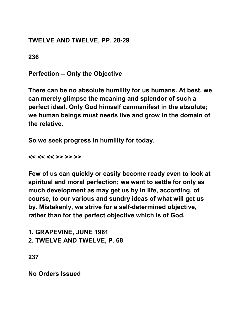# **TWELVE AND TWELVE, PP. 28-29**

**236** 

**Perfection -- Only the Objective** 

**There can be no absolute humility for us humans. At best, we can merely glimpse the meaning and splendor of such a perfect ideal. Only God himself canmanifest in the absolute; we human beings must needs live and grow in the domain of the relative.** 

**So we seek progress in humility for today.** 

**<< << << >> >> >>** 

**Few of us can quickly or easily become ready even to look at spiritual and moral perfection; we want to settle for only as much development as may get us by in life, according, of course, to our various and sundry ideas of what will get us by. Mistakenly, we strive for a self-determined objective, rather than for the perfect objective which is of God.** 

**1. GRAPEVINE, JUNE 1961 2. TWELVE AND TWELVE, P. 68** 

**237** 

**No Orders Issued**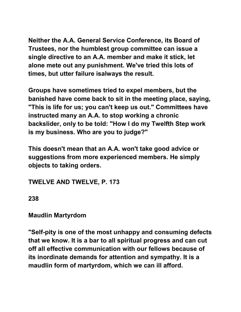**Neither the A.A. General Service Conference, its Board of Trustees, nor the humblest group committee can issue a single directive to an A.A. member and make it stick, let alone mete out any punishment. We've tried this lots of times, but utter failure isalways the result.** 

**Groups have sometimes tried to expel members, but the banished have come back to sit in the meeting place, saying, "This is life for us; you can't keep us out." Committees have instructed many an A.A. to stop working a chronic backslider, only to be told: "How I do my Twelfth Step work is my business. Who are you to judge?"** 

**This doesn't mean that an A.A. won't take good advice or suggestions from more experienced members. He simply objects to taking orders.** 

**TWELVE AND TWELVE, P. 173** 

**238** 

**Maudlin Martyrdom** 

**"Self-pity is one of the most unhappy and consuming defects that we know. It is a bar to all spiritual progress and can cut off all effective communication with our fellows because of its inordinate demands for attention and sympathy. It is a maudlin form of martyrdom, which we can ill afford.**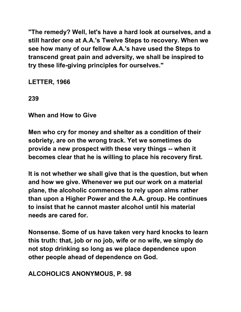**"The remedy? Well, let's have a hard look at ourselves, and a still harder one at A.A.'s Twelve Steps to recovery. When we see how many of our fellow A.A.'s have used the Steps to transcend great pain and adversity, we shall be inspired to try these life-giving principles for ourselves."** 

**LETTER, 1966** 

**239** 

**When and How to Give** 

**Men who cry for money and shelter as a condition of their sobriety, are on the wrong track. Yet we sometimes do provide a new prospect with these very things -- when it becomes clear that he is willing to place his recovery first.** 

**It is not whether we shall give that is the question, but when and how we give. Whenever we put our work on a material plane, the alcoholic commences to rely upon alms rather than upon a Higher Power and the A.A. group. He continues to insist that he cannot master alcohol until his material needs are cared for.** 

**Nonsense. Some of us have taken very hard knocks to learn this truth: that, job or no job, wife or no wife, we simply do not stop drinking so long as we place dependence upon other people ahead of dependence on God.** 

**ALCOHOLICS ANONYMOUS, P. 98**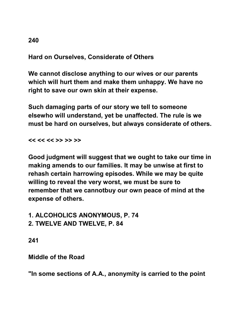# **Hard on Ourselves, Considerate of Others**

**We cannot disclose anything to our wives or our parents which will hurt them and make them unhappy. We have no right to save our own skin at their expense.** 

**Such damaging parts of our story we tell to someone elsewho will understand, yet be unaffected. The rule is we must be hard on ourselves, but always considerate of others.** 

**<< << << >> >> >>** 

**Good judgment will suggest that we ought to take our time in making amends to our families. It may be unwise at first to rehash certain harrowing episodes. While we may be quite willing to reveal the very worst, we must be sure to remember that we cannotbuy our own peace of mind at the expense of others.** 

**1. ALCOHOLICS ANONYMOUS, P. 74 2. TWELVE AND TWELVE, P. 84** 

**241** 

**Middle of the Road** 

**"In some sections of A.A., anonymity is carried to the point**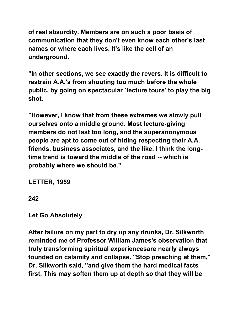**of real absurdity. Members are on such a poor basis of communication that they don't even know each other's last names or where each lives. It's like the cell of an underground.** 

**"In other sections, we see exactly the revers. It is difficult to restrain A.A.'s from shouting too much before the whole public, by going on spectacular `lecture tours' to play the big shot.** 

**"However, I know that from these extremes we slowly pull ourselves onto a middle ground. Most lecture-giving members do not last too long, and the superanonymous people are apt to come out of hiding respecting their A.A. friends, business associates, and the like. I think the longtime trend is toward the middle of the road -- which is probably where we should be."** 

**LETTER, 1959** 

**Let Go Absolutely** 

**After failure on my part to dry up any drunks, Dr. Silkworth reminded me of Professor William James's observation that truly transforming spiritual experiencesare nearly always founded on calamity and collapse. "Stop preaching at them," Dr. Silkworth said, "and give them the hard medical facts first. This may soften them up at depth so that they will be** 

**<sup>242</sup>**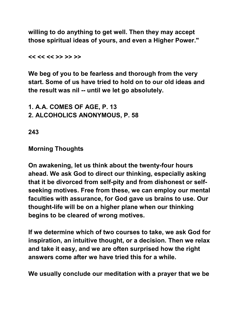**willing to do anything to get well. Then they may accept those spiritual ideas of yours, and even a Higher Power."** 

**<< << << >> >> >>** 

**We beg of you to be fearless and thorough from the very start. Some of us have tried to hold on to our old ideas and the result was nil -- until we let go absolutely.** 

**1. A.A. COMES OF AGE, P. 13 2. ALCOHOLICS ANONYMOUS, P. 58** 

**243** 

## **Morning Thoughts**

**On awakening, let us think about the twenty-four hours ahead. We ask God to direct our thinking, especially asking that it be divorced from self-pity and from dishonest or selfseeking motives. Free from these, we can employ our mental faculties with assurance, for God gave us brains to use. Our thought-life will be on a higher plane when our thinking begins to be cleared of wrong motives.** 

**If we determine which of two courses to take, we ask God for inspiration, an intuitive thought, or a decision. Then we relax and take it easy, and we are often surprised how the right answers come after we have tried this for a while.** 

**We usually conclude our meditation with a prayer that we be**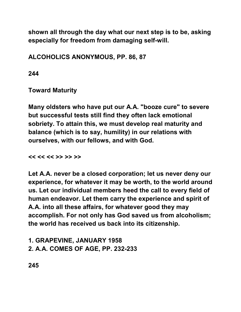**shown all through the day what our next step is to be, asking especially for freedom from damaging self-will.** 

**ALCOHOLICS ANONYMOUS, PP. 86, 87** 

**244** 

**Toward Maturity** 

**Many oldsters who have put our A.A. "booze cure" to severe but successful tests still find they often lack emotional sobriety. To attain this, we must develop real maturity and balance (which is to say, humility) in our relations with ourselves, with our fellows, and with God.** 

**<< << << >> >> >>** 

**Let A.A. never be a closed corporation; let us never deny our experience, for whatever it may be worth, to the world around us. Let our individual members heed the call to every field of human endeavor. Let them carry the experience and spirit of A.A. into all these affairs, for whatever good they may accomplish. For not only has God saved us from alcoholism; the world has received us back into its citizenship.** 

**1. GRAPEVINE, JANUARY 1958 2. A.A. COMES OF AGE, PP. 232-233** 

**245**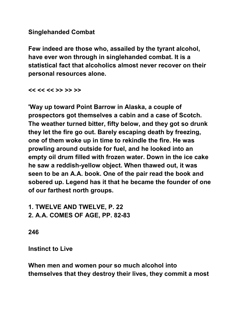## **Singlehanded Combat**

**Few indeed are those who, assailed by the tyrant alcohol, have ever won through in singlehanded combat. It is a statistical fact that alcoholics almost never recover on their personal resources alone.** 

**<< << << >> >> >>** 

**'Way up toward Point Barrow in Alaska, a couple of prospectors got themselves a cabin and a case of Scotch. The weather turned bitter, fifty below, and they got so drunk they let the fire go out. Barely escaping death by freezing, one of them woke up in time to rekindle the fire. He was prowling around outside for fuel, and he looked into an empty oil drum filled with frozen water. Down in the ice cake he saw a reddish-yellow object. When thawed out, it was seen to be an A.A. book. One of the pair read the book and sobered up. Legend has it that he became the founder of one of our farthest north groups.** 

**1. TWELVE AND TWELVE, P. 22 2. A.A. COMES OF AGE, PP. 82-83** 

**246** 

**Instinct to Live** 

**When men and women pour so much alcohol into themselves that they destroy their lives, they commit a most**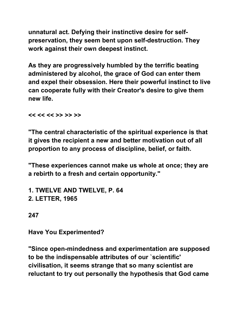**unnatural act. Defying their instinctive desire for selfpreservation, they seem bent upon self-destruction. They work against their own deepest instinct.** 

**As they are progressively humbled by the terrific beating administered by alcohol, the grace of God can enter them and expel their obsession. Here their powerful instinct to live can cooperate fully with their Creator's desire to give them new life.** 

**<< << << >> >> >>** 

**"The central characteristic of the spiritual experience is that it gives the recipient a new and better motivation out of all proportion to any process of discipline, belief, or faith.** 

**"These experiences cannot make us whole at once; they are a rebirth to a fresh and certain opportunity."** 

**1. TWELVE AND TWELVE, P. 64 2. LETTER, 1965** 

**247** 

**Have You Experimented?** 

**"Since open-mindedness and experimentation are supposed to be the indispensable attributes of our `scientific' civilisation, it seems strange that so many scientist are reluctant to try out personally the hypothesis that God came**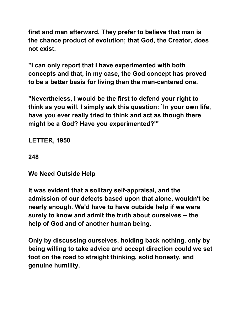**first and man afterward. They prefer to believe that man is the chance product of evolution; that God, the Creator, does not exist.** 

**"I can only report that I have experimented with both concepts and that, in my case, the God concept has proved to be a better basis for living than the man-centered one.** 

**"Nevertheless, I would be the first to defend your right to think as you will. I simply ask this question: `In your own life, have you ever really tried to think and act as though there might be a God? Have you experimented?'"** 

**LETTER, 1950** 

**248** 

**We Need Outside Help** 

**It was evident that a solitary self-appraisal, and the admission of our defects based upon that alone, wouldn't be nearly enough. We'd have to have outside help if we were surely to know and admit the truth about ourselves -- the help of God and of another human being.** 

**Only by discussing ourselves, holding back nothing, only by being willing to take advice and accept direction could we set foot on the road to straight thinking, solid honesty, and genuine humility.**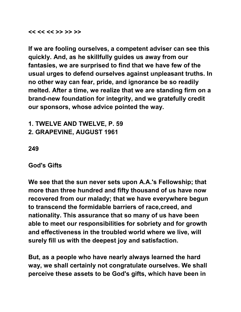#### **<< << << >> >> >>**

**If we are fooling ourselves, a competent adviser can see this quickly. And, as he skillfully guides us away from our fantasies, we are surprised to find that we have few of the usual urges to defend ourselves against unpleasant truths. In no other way can fear, pride, and ignorance be so readily melted. After a time, we realize that we are standing firm on a brand-new foundation for integrity, and we gratefully credit our sponsors, whose advice pointed the way.** 

**1. TWELVE AND TWELVE, P. 59 2. GRAPEVINE, AUGUST 1961** 

**249** 

**God's Gifts** 

**We see that the sun never sets upon A.A.'s Fellowship; that more than three hundred and fifty thousand of us have now recovered from our malady; that we have everywhere begun to transcend the formidable barriers of race,creed, and nationality. This assurance that so many of us have been able to meet our responsibilities for sobriety and for growth and effectiveness in the troubled world where we live, will surely fill us with the deepest joy and satisfaction.** 

**But, as a people who have nearly always learned the hard way, we shall certainly not congratulate ourselves. We shall perceive these assets to be God's gifts, which have been in**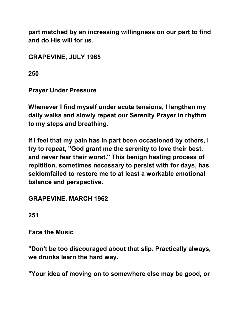**part matched by an increasing willingness on our part to find and do His will for us.** 

**GRAPEVINE, JULY 1965** 

**250** 

**Prayer Under Pressure** 

**Whenever I find myself under acute tensions, I lengthen my daily walks and slowly repeat our Serenity Prayer in rhythm to my steps and breathing.** 

**If I feel that my pain has in part been occasioned by others, I try to repeat, "God grant me the serenity to love their best, and never fear their worst." This benign healing process of repitition, sometimes necessary to persist with for days, has seldomfailed to restore me to at least a workable emotional balance and perspective.** 

**GRAPEVINE, MARCH 1962** 

**251** 

**Face the Music** 

**"Don't be too discouraged about that slip. Practically always, we drunks learn the hard way.** 

**"Your idea of moving on to somewhere else may be good, or**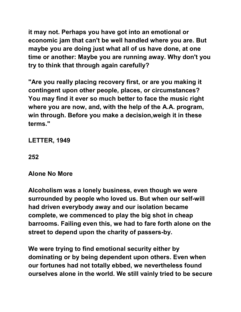**it may not. Perhaps you have got into an emotional or economic jam that can't be well handled where you are. But maybe you are doing just what all of us have done, at one time or another: Maybe you are running away. Why don't you try to think that through again carefully?** 

**"Are you really placing recovery first, or are you making it contingent upon other people, places, or circumstances? You may find it ever so much better to face the music right where you are now, and, with the help of the A.A. program, win through. Before you make a decision,weigh it in these terms."** 

**LETTER, 1949** 

### **252**

# **Alone No More**

**Alcoholism was a lonely business, even though we were surrounded by people who loved us. But when our self-will had driven everybody away and our isolation became complete, we commenced to play the big shot in cheap barrooms. Failing even this, we had to fare forth alone on the street to depend upon the charity of passers-by.** 

**We were trying to find emotional security either by dominating or by being dependent upon others. Even when our fortunes had not totally ebbed, we nevertheless found ourselves alone in the world. We still vainly tried to be secure**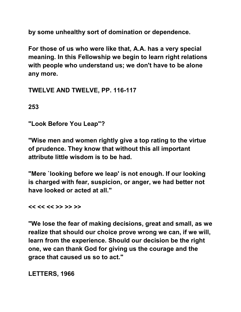**by some unhealthy sort of domination or dependence.**

**For those of us who were like that, A.A. has a very special meaning. In this Fellowship we begin to learn right relations with people who understand us; we don't have to be alone any more.** 

**TWELVE AND TWELVE, PP. 116-117** 

**253** 

**"Look Before You Leap"?** 

**"Wise men and women rightly give a top rating to the virtue of prudence. They know that without this all important attribute little wisdom is to be had.** 

**"Mere `looking before we leap' is not enough. If our looking is charged with fear, suspicion, or anger, we had better not have looked or acted at all."** 

**<< << << >> >> >>** 

**"We lose the fear of making decisions, great and small, as we realize that should our choice prove wrong we can, if we will, learn from the experience. Should our decision be the right one, we can thank God for giving us the courage and the grace that caused us so to act."** 

**LETTERS, 1966**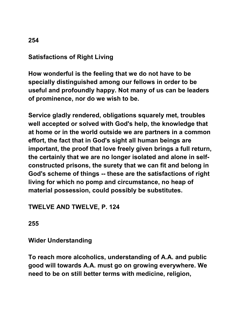# **Satisfactions of Right Living**

**How wonderful is the feeling that we do not have to be specially distinguished among our fellows in order to be useful and profoundly happy. Not many of us can be leaders of prominence, nor do we wish to be.** 

**Service gladly rendered, obligations squarely met, troubles well accepted or solved with God's help, the knowledge that at home or in the world outside we are partners in a common effort, the fact that in God's sight all human beings are important, the proof that love freely given brings a full return, the certainly that we are no longer isolated and alone in selfconstructed prisons, the surety that we can fit and belong in God's scheme of things -- these are the satisfactions of right living for which no pomp and circumstance, no heap of material possession, could possibly be substitutes.**

# **TWELVE AND TWELVE, P. 124**

**255** 

**Wider Understanding** 

**To reach more alcoholics, understanding of A.A. and public good will towards A.A. must go on growing everywhere. We need to be on still better terms with medicine, religion,**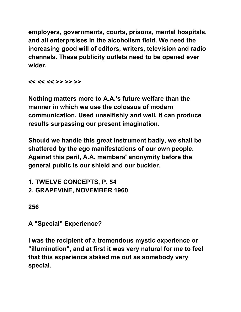**employers, governments, courts, prisons, mental hospitals, and all enterprsises in the alcoholism field. We need the increasing good will of editors, writers, television and radio channels. These publicity outlets need to be opened ever wider.** 

**<< << << >> >> >>** 

**Nothing matters more to A.A.'s future welfare than the manner in which we use the colossus of modern communication. Used unselfishly and well, it can produce results surpassing our present imagination.** 

**Should we handle this great instrument badly, we shall be shattered by the ego manifestations of our own people. Against this peril, A.A. members' anonymity before the general public is our shield and our buckler.** 

**1. TWELVE CONCEPTS, P. 54 2. GRAPEVINE, NOVEMBER 1960** 

**256** 

**A "Special" Experience?** 

**I was the recipient of a tremendous mystic experience or "illumination", and at first it was very natural for me to feel that this experience staked me out as somebody very special.**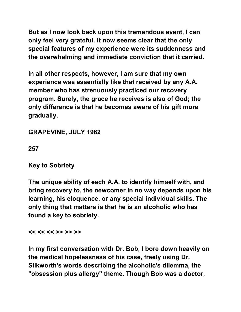**But as I now look back upon this tremendous event, I can only feel very grateful. It now seems clear that the only special features of my experience were its suddenness and the overwhelming and immediate conviction that it carried.** 

**In all other respects, however, I am sure that my own experience was essentially like that received by any A.A. member who has strenuously practiced our recovery program. Surely, the grace he receives is also of God; the only difference is that he becomes aware of his gift more gradually.** 

**GRAPEVINE, JULY 1962** 

**257** 

**Key to Sobriety** 

**The unique ability of each A.A. to identify himself with, and bring recovery to, the newcomer in no way depends upon his learning, his eloquence, or any special individual skills. The only thing that matters is that he is an alcoholic who has found a key to sobriety.** 

**<< << << >> >> >>** 

**In my first conversation with Dr. Bob, I bore down heavily on the medical hopelessness of his case, freely using Dr. Silkworth's words describing the alcoholic's dilemma, the "obsession plus allergy" theme. Though Bob was a doctor,**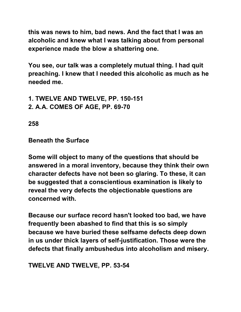**this was news to him, bad news. And the fact that I was an alcoholic and knew what I was talking about from personal experience made the blow a shattering one.** 

**You see, our talk was a completely mutual thing. I had quit preaching. I knew that I needed this alcoholic as much as he needed me.** 

- **1. TWELVE AND TWELVE, PP. 150-151**
- **2. A.A. COMES OF AGE, PP. 69-70**

**258** 

**Beneath the Surface** 

**Some will object to many of the questions that should be answered in a moral inventory, because they think their own character defects have not been so glaring. To these, it can be suggested that a conscientious examination is likely to reveal the very defects the objectionable questions are concerned with.** 

**Because our surface record hasn't looked too bad, we have frequently been abashed to find that this is so simply because we have buried these selfsame defects deep down in us under thick layers of self-justification. Those were the defects that finally ambushedus into alcoholism and misery.** 

**TWELVE AND TWELVE, PP. 53-54**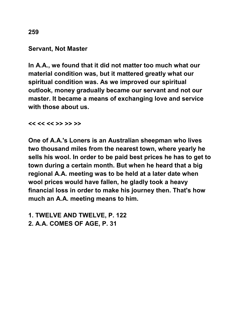#### **Servant, Not Master**

**In A.A., we found that it did not matter too much what our material condition was, but it mattered greatly what our spiritual condition was. As we improved our spiritual outlook, money gradually became our servant and not our master. It became a means of exchanging love and service with those about us.** 

**<< << << >> >> >>** 

**One of A.A.'s Loners is an Australian sheepman who lives two thousand miles from the nearest town, where yearly he sells his wool. In order to be paid best prices he has to get to town during a certain month. But when he heard that a big regional A.A. meeting was to be held at a later date when wool prices would have fallen, he gladly took a heavy financial loss in order to make his journey then. That's how much an A.A. meeting means to him.** 

**1. TWELVE AND TWELVE, P. 122** 

**2. A.A. COMES OF AGE, P. 31**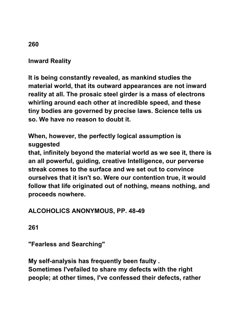# **Inward Reality**

**It is being constantly revealed, as mankind studies the material world, that its outward appearances are not inward reality at all. The prosaic steel girder is a mass of electrons whirling around each other at incredible speed, and these tiny bodies are governed by precise laws. Science tells us so. We have no reason to doubt it.** 

**When, however, the perfectly logical assumption is suggested** 

**that, infinitely beyond the material world as we see it, there is an all powerful, guiding, creative Intelligence, our perverse streak comes to the surface and we set out to convince ourselves that it isn't so. Were our contention true, it would follow that life originated out of nothing, means nothing, and proceeds nowhere.** 

**ALCOHOLICS ANONYMOUS, PP. 48-49** 

**261** 

**"Fearless and Searching"** 

**My self-analysis has frequently been faulty . Sometimes I'vefailed to share my defects with the right people; at other times, I've confessed their defects, rather** 

### **260**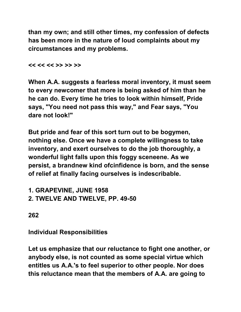**than my own; and still other times, my confession of defects has been more in the nature of loud complaints about my circumstances and my problems.** 

**<< << << >> >> >>** 

**When A.A. suggests a fearless moral inventory, it must seem to every newcomer that more is being asked of him than he he can do. Every time he tries to look within himself, Pride says, "You need not pass this way," and Fear says, "You dare not look!"** 

**But pride and fear of this sort turn out to be bogymen, nothing else. Once we have a complete willingness to take inventory, and exert ourselves to do the job thoroughly, a wonderful light falls upon this foggy sceneene. As we persist, a brandnew kind ofcinfidence is born, and the sense of relief at finally facing ourselves is indescribable.** 

**1. GRAPEVINE, JUNE 1958 2. TWELVE AND TWELVE, PP. 49-50** 

**262** 

**Individual Responsibilities** 

**Let us emphasize that our reluctance to fight one another, or anybody else, is not counted as some special virtue which entitles us A.A.'s to feel superior to other people. Nor does this reluctance mean that the members of A.A. are going to**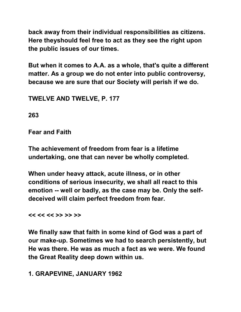**back away from their individual responsibilities as citizens. Here theyshould feel free to act as they see the right upon the public issues of our times.** 

**But when it comes to A.A. as a whole, that's quite a different matter. As a group we do not enter into public controversy, because we are sure that our Society will perish if we do.** 

**TWELVE AND TWELVE, P. 177** 

**263** 

**Fear and Faith** 

**The achievement of freedom from fear is a lifetime undertaking, one that can never be wholly completed.** 

**When under heavy attack, acute illness, or in other conditions of serious insecurity, we shall all react to this emotion -- well or badly, as the case may be. Only the selfdeceived will claim perfect freedom from fear.** 

**<< << << >> >> >>** 

**We finally saw that faith in some kind of God was a part of our make-up. Sometimes we had to search persistently, but He was there. He was as much a fact as we were. We found the Great Reality deep down within us.** 

**1. GRAPEVINE, JANUARY 1962**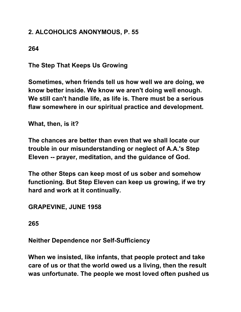# **2. ALCOHOLICS ANONYMOUS, P. 55**

**264** 

**The Step That Keeps Us Growing** 

**Sometimes, when friends tell us how well we are doing, we know better inside. We know we aren't doing well enough. We still can't handle life, as life is. There must be a serious flaw somewhere in our spiritual practice and development.** 

**What, then, is it?** 

**The chances are better than even that we shall locate our trouble in our misunderstanding or neglect of A.A.'s Step Eleven -- prayer, meditation, and the guidance of God.** 

**The other Steps can keep most of us sober and somehow functioning. But Step Eleven can keep us growing, if we try hard and work at it continually.** 

**GRAPEVINE, JUNE 1958** 

**265** 

**Neither Dependence nor Self-Sufficiency** 

**When we insisted, like infants, that people protect and take care of us or that the world owed us a living, then the result was unfortunate. The people we most loved often pushed us**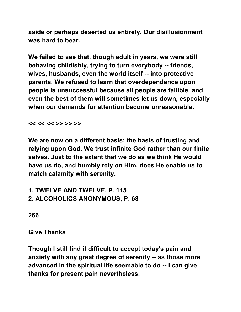**aside or perhaps deserted us entirely. Our disillusionment was hard to bear.** 

**We failed to see that, though adult in years, we were still behaving childishly, trying to turn everybody -- friends, wives, husbands, even the world itself -- into protective parents. We refused to learn that overdependence upon people is unsuccessful because all people are fallible, and even the best of them will sometimes let us down, especially when our demands for attention become unreasonable.**

**<< << << >> >> >>** 

**We are now on a different basis: the basis of trusting and relying upon God. We trust infinite God rather than our finite selves. Just to the extent that we do as we think He would have us do, and humbly rely on Him, does He enable us to match calamity with serenity.** 

**1. TWELVE AND TWELVE, P. 115 2. ALCOHOLICS ANONYMOUS, P. 68** 

**266** 

**Give Thanks** 

**Though I still find it difficult to accept today's pain and anxiety with any great degree of serenity -- as those more advanced in the spiritual life seemable to do -- I can give thanks for present pain nevertheless.**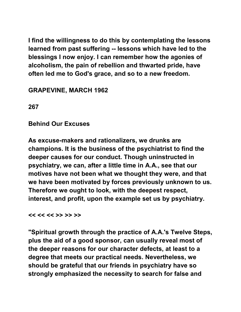**I find the willingness to do this by contemplating the lessons learned from past suffering -- lessons which have led to the blessings I now enjoy. I can remember how the agonies of alcoholism, the pain of rebellion and thwarted pride, have often led me to God's grace, and so to a new freedom.** 

**GRAPEVINE, MARCH 1962** 

**267** 

**Behind Our Excuses** 

**As excuse-makers and rationalizers, we drunks are champions. It is the business of the psychiatrist to find the deeper causes for our conduct. Though uninstructed in psychiatry, we can, after a little time in A.A., see that our motives have not been what we thought they were, and that we have been motivated by forces previously unknown to us. Therefore we ought to look, with the deepest respect, interest, and profit, upon the example set us by psychiatry.** 

**<< << << >> >> >>** 

**"Spiritual growth through the practice of A.A.'s Twelve Steps, plus the aid of a good sponsor, can usually reveal most of the deeper reasons for our character defects, at least to a degree that meets our practical needs. Nevertheless, we should be grateful that our friends in psychiatry have so strongly emphasized the necessity to search for false and**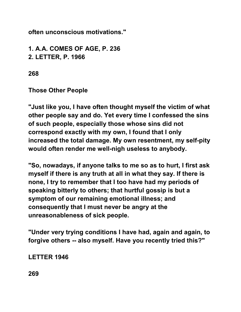**often unconscious motivations."** 

**1. A.A. COMES OF AGE, P. 236 2. LETTER, P. 1966** 

**268** 

**Those Other People** 

**"Just like you, I have often thought myself the victim of what other people say and do. Yet every time I confessed the sins of such people, especially those whose sins did not correspond exactly with my own, I found that I only increased the total damage. My own resentment, my self-pity would often render me well-nigh useless to anybody.**

**"So, nowadays, if anyone talks to me so as to hurt, I first ask myself if there is any truth at all in what they say. If there is none, I try to remember that I too have had my periods of speaking bitterly to others; that hurtful gossip is but a symptom of our remaining emotional illness; and consequently that I must never be angry at the unreasonableness of sick people.** 

**"Under very trying conditions I have had, again and again, to forgive others -- also myself. Have you recently tried this?"** 

**LETTER 1946** 

**269**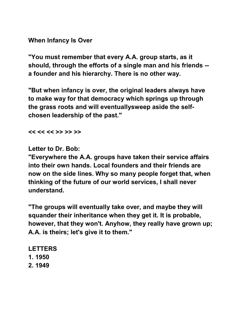**When Infancy Is Over** 

**"You must remember that every A.A. group starts, as it should, through the efforts of a single man and his friends - a founder and his hierarchy. There is no other way.**

**"But when infancy is over, the original leaders always have to make way for that democracy which springs up through the grass roots and will eventuallysweep aside the selfchosen leadership of the past."** 

**<< << << >> >> >>** 

**Letter to Dr. Bob:** 

**"Everywhere the A.A. groups have taken their service affairs into their own hands. Local founders and their friends are now on the side lines. Why so many people forget that, when thinking of the future of our world services, I shall never understand.** 

**"The groups will eventually take over, and maybe they will squander their inheritance when they get it. It is probable, however, that they won't. Anyhow, they really have grown up; A.A. is theirs; let's give it to them."** 

**LETTERS 1. 1950 2. 1949**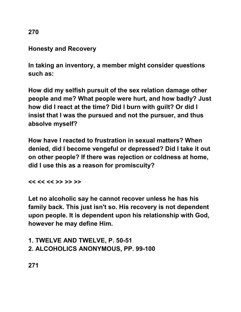#### **Honesty and Recovery**

**In taking an inventory, a member might consider questions such as:** 

**How did my selfish pursuit of the sex relation damage other people and me? What people were hurt, and how badly? Just how did I react at the time? Did I burn with guilt? Or did I insist that I was the pursued and not the pursuer, and thus absolve myself?** 

**How have I reacted to frustration in sexual matters? When denied, did I become vengeful or depressed? Did I take it out on other people? If there was rejection or coldness at home, did I use this as a reason for promiscuity?** 

**<< << << >> >> >>** 

**Let no alcoholic say he cannot recover unless he has his family back. This just isn't so. His recovery is not dependent upon people. It is dependent upon his relationship with God, however he may define Him.** 

## **1. TWELVE AND TWELVE, P. 50-51 2. ALCOHOLICS ANONYMOUS, PP. 99-100**

**271** 

**270**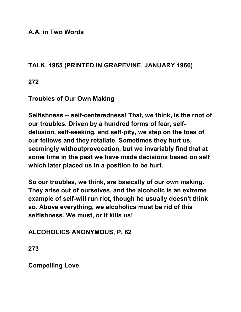**A.A. in Two Words** 

#### **TALK, 1965 (PRINTED IN GRAPEVINE, JANUARY 1966)**

**272** 

**Troubles of Our Own Making** 

**Selfishness -- self-centeredness! That, we think, is the root of our troubles. Driven by a hundred forms of fear, selfdelusion, self-seeking, and self-pity, we step on the toes of our fellows and they retaliate. Sometimes they hurt us, seemingly withoutprovocation, but we invariably find that at some time in the past we have made decisions based on self which later placed us in a position to be hurt.** 

**So our troubles, we think, are basically of our own making. They arise out of ourselves, and the alcoholic is an extreme example of self-will run riot, though he usually doesn't think so. Above everything, we alcoholics must be rid of this selfishness. We must, or it kills us!** 

**ALCOHOLICS ANONYMOUS, P. 62** 

**273** 

**Compelling Love**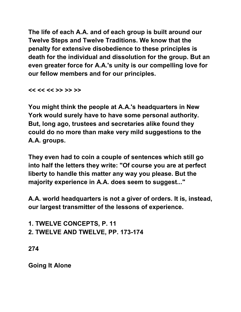**The life of each A.A. and of each group is built around our Twelve Steps and Twelve Traditions. We know that the penalty for extensive disobedience to these principles is death for the individual and dissolution for the group. But an even greater force for A.A.'s unity is our compelling love for our fellow members and for our principles.** 

**<< << << >> >> >>** 

**You might think the people at A.A.'s headquarters in New York would surely have to have some personal authority. But, long ago, trustees and secretaries alike found they could do no more than make very mild suggestions to the A.A. groups.** 

**They even had to coin a couple of sentences which still go into half the letters they write: "Of course you are at perfect liberty to handle this matter any way you please. But the majority experience in A.A. does seem to suggest..."** 

**A.A. world headquarters is not a giver of orders. It is, instead, our largest transmitter of the lessons of experience.** 

**1. TWELVE CONCEPTS, P. 11 2. TWELVE AND TWELVE, PP. 173-174** 

**274** 

**Going It Alone**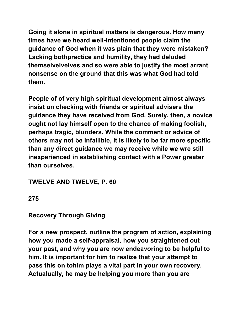**Going it alone in spiritual matters is dangerous. How many times have we heard well-intentioned people claim the guidance of God when it was plain that they were mistaken? Lacking bothpractice and humility, they had deluded themselvelvelves and so were able to justify the most arrant nonsense on the ground that this was what God had told them.** 

**People of of very high spiritual development almost always insist on checking with friends or spiritual advisers the guidance they have received from God. Surely, then, a novice ought not lay himself open to the chance of making foolish, perhaps tragic, blunders. While the comment or advice of others may not be infallible, it is likely to be far more specific than any direct guidance we may receive while we wre still inexperienced in establishing contact with a Power greater than ourselves.** 

**TWELVE AND TWELVE, P. 60** 

**275** 

**Recovery Through Giving** 

**For a new prospect, outline the program of action, explaining how you made a self-appraisal, how you straightened out your past, and why you are now endeavoring to be helpful to him. It is important for him to realize that your attempt to pass this on tohim plays a vital part in your own recovery. Actualually, he may be helping you more than you are**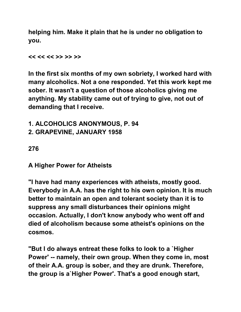**helping him. Make it plain that he is under no obligation to you.** 

**<< << << >> >> >>** 

**In the first six months of my own sobriety, I worked hard with many alcoholics. Not a one responded. Yet this work kept me sober. It wasn't a question of those alcoholics giving me anything. My stability came out of trying to give, not out of demanding that I receive.** 

**1. ALCOHOLICS ANONYMOUS, P. 94 2. GRAPEVINE, JANUARY 1958** 

**276** 

**A Higher Power for Atheists** 

**"I have had many experiences with atheists, mostly good. Everybody in A.A. has the right to his own opinion. It is much better to maintain an open and tolerant society than it is to suppress any small disturbances their opinions might occasion. Actually, I don't know anybody who went off and died of alcoholism because some atheist's opinions on the cosmos.** 

**"But I do always entreat these folks to look to a `Higher Power' -- namely, their own group. When they come in, most of their A.A. group is sober, and they are drunk. Therefore, the group is a`Higher Power'. That's a good enough start,**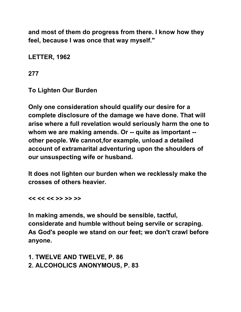**and most of them do progress from there. I know how they feel, because I was once that way myself."** 

**LETTER, 1962** 

**277** 

**To Lighten Our Burden** 

**Only one consideration should qualify our desire for a complete disclosure of the damage we have done. That will arise where a full revelation would seriously harm the one to whom we are making amends. Or -- quite as important - other people. We cannot,for example, unload a detailed account of extramarital adventuring upon the shoulders of our unsuspecting wife or husband.** 

**It does not lighten our burden when we recklessly make the crosses of others heavier.** 

**<< << << >> >> >>** 

**In making amends, we should be sensible, tactful, considerate and humble without being servile or scraping. As God's people we stand on our feet; we don't crawl before anyone.** 

**1. TWELVE AND TWELVE, P. 86 2. ALCOHOLICS ANONYMOUS, P. 83**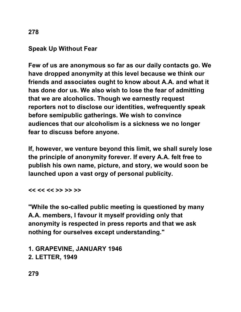## **Speak Up Without Fear**

**Few of us are anonymous so far as our daily contacts go. We have dropped anonymity at this level because we think our friends and associates ought to know about A.A. and what it has done dor us. We also wish to lose the fear of admitting that we are alcoholics. Though we earnestly request reporters not to disclose our identities, wefrequently speak before semipublic gatherings. We wish to convince audiences that our alcoholism is a sickness we no longer fear to discuss before anyone.** 

**If, however, we venture beyond this limit, we shall surely lose the principle of anonymity forever. If every A.A. felt free to publish his own name, picture, and story, we would soon be launched upon a vast orgy of personal publicity.** 

**<< << << >> >> >>** 

**"While the so-called public meeting is questioned by many A.A. members, I favour it myself providing only that anonymity is respected in press reports and that we ask nothing for ourselves except understanding."** 

**1. GRAPEVINE, JANUARY 1946 2. LETTER, 1949**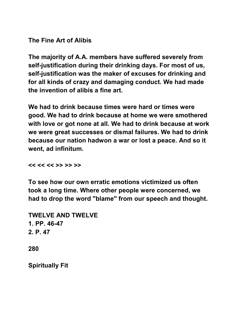**The Fine Art of Alibis** 

**The majority of A.A. members have suffered severely from self-justification during their drinking days. For most of us, self-justification was the maker of excuses for drinking and for all kinds of crazy and damaging conduct. We had made the invention of alibis a fine art.** 

**We had to drink because times were hard or times were good. We had to drink because at home we were smothered with love or got none at all. We had to drink because at work we were great successes or dismal failures. We had to drink because our nation hadwon a war or lost a peace. And so it went, ad infinitum.** 

**<< << << >> >> >>** 

**To see how our own erratic emotions victimized us often took a long time. Where other people were concerned, we had to drop the word "blame" from our speech and thought.** 

**TWELVE AND TWELVE 1. PP. 46-47 2. P. 47 280** 

**Spiritually Fit**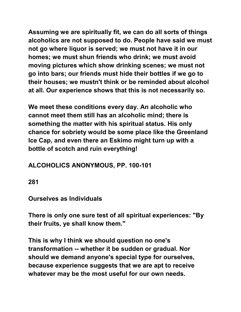**Assuming we are spiritually fit, we can do all sorts of things alcoholics are not supposed to do. People have said we must not go where liquor is served; we must not have it in our homes; we must shun friends who drink; we must avoid moving pictures which show drinking scenes; we must not go into bars; our friends must hide their bottles if we go to their houses; we mustn't think or be reminded about alcohol at all. Our experience shows that this is not necessarily so.** 

**We meet these conditions every day. An alcoholic who cannot meet them still has an alcoholic mind; there is something the matter with his spiritual status. His only chance for sobriety would be some place like the Greenland Ice Cap, and even there an Eskimo might turn up with a bottle of scotch and ruin everything!** 

# **ALCOHOLICS ANONYMOUS, PP. 100-101**

**281** 

## **Ourselves as Individuals**

**There is only one sure test of all spiritual experiences: "By their fruits, ye shall know them."** 

**This is why I think we should question no one's transformation -- whether it be sudden or gradual. Nor should we demand anyone's special type for ourselves, because experience suggests that we are apt to receive whatever may be the most useful for our own needs.**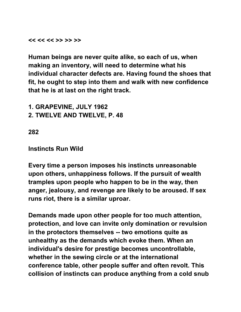**<< << << >> >> >>** 

**Human beings are never quite alike, so each of us, when making an inventory, will need to determine what his individual character defects are. Having found the shoes that fit, he ought to step into them and walk with new confidence that he is at last on the right track.** 

**1. GRAPEVINE, JULY 1962 2. TWELVE AND TWELVE, P. 48** 

**282** 

#### **Instincts Run Wild**

**Every time a person imposes his instincts unreasonable upon others, unhappiness follows. If the pursuit of wealth tramples upon people who happen to be in the way, then anger, jealousy, and revenge are likely to be aroused. If sex runs riot, there is a similar uproar.** 

**Demands made upon other people for too much attention, protection, and love can invite only domination or revulsion in the protectors themselves -- two emotions quite as unhealthy as the demands which evoke them. When an individual's desire for prestige becomes uncontrollable, whether in the sewing circle or at the international conference table, other people suffer and often revolt. This collision of instincts can produce anything from a cold snub**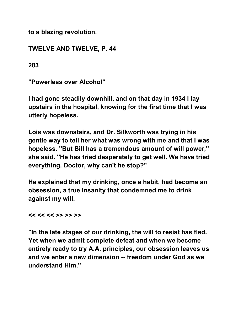**to a blazing revolution.** 

**TWELVE AND TWELVE, P. 44** 

**283** 

**"Powerless over Alcohol"** 

**I had gone steadily downhill, and on that day in 1934 I lay upstairs in the hospital, knowing for the first time that I was utterly hopeless.** 

**Lois was downstairs, and Dr. Silkworth was trying in his gentle way to tell her what was wrong with me and that I was hopeless. "But Bill has a tremendous amount of will power," she said. "He has tried desperately to get well. We have tried everything. Doctor, why can't he stop?"** 

**He explained that my drinking, once a habit, had become an obsession, a true insanity that condemned me to drink against my will.** 

**<< << << >> >> >>** 

**"In the late stages of our drinking, the will to resist has fled. Yet when we admit complete defeat and when we become entirely ready to try A.A. principles, our obsession leaves us and we enter a new dimension -- freedom under God as we understand Him."**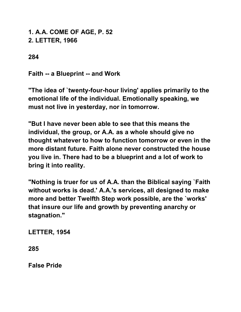**1. A.A. COME OF AGE, P. 52 2. LETTER, 1966** 

**284** 

**Faith -- a Blueprint -- and Work** 

**"The idea of `twenty-four-hour living' applies primarily to the emotional life of the individual. Emotionally speaking, we must not live in yesterday, nor in tomorrow.** 

**"But I have never been able to see that this means the individual, the group, or A.A. as a whole should give no thought whatever to how to function tomorrow or even in the more distant future. Faith alone never constructed the house you live in. There had to be a blueprint and a lot of work to bring it into reality.** 

**"Nothing is truer for us of A.A. than the Biblical saying `Faith without works is dead.' A.A.'s services, all designed to make more and better Twelfth Step work possible, are the `works' that insure our life and growth by preventing anarchy or stagnation."** 

**LETTER, 1954** 

**285** 

**False Pride**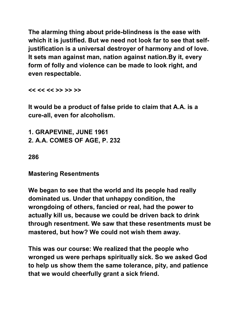**The alarming thing about pride-blindness is the ease with which it is justified. But we need not look far to see that selfjustification is a universal destroyer of harmony and of love. It sets man against man, nation against nation.By it, every form of folly and violence can be made to look right, and even respectable.** 

**<< << << >> >> >>** 

**It would be a product of false pride to claim that A.A. is a cure-all, even for alcoholism.** 

**1. GRAPEVINE, JUNE 1961 2. A.A. COMES OF AGE, P. 232** 

**286** 

**Mastering Resentments** 

**We began to see that the world and its people had really dominated us. Under that unhappy condition, the wrongdoing of others, fancied or real, had the power to actually kill us, because we could be driven back to drink through resentment. We saw that these resentments must be mastered, but how? We could not wish them away.** 

**This was our course: We realized that the people who wronged us were perhaps spiritually sick. So we asked God to help us show them the same tolerance, pity, and patience that we would cheerfully grant a sick friend.**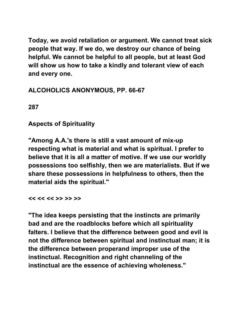**Today, we avoid retaliation or argument. We cannot treat sick people that way. If we do, we destroy our chance of being helpful. We cannot be helpful to all people, but at least God will show us how to take a kindly and tolerant view of each and every one.** 

# **ALCOHOLICS ANONYMOUS, PP. 66-67**

**287** 

# **Aspects of Spirituality**

**"Among A.A.'s there is still a vast amount of mix-up respecting what is material and what is spiritual. I prefer to believe that it is all a matter of motive. If we use our worldly possessions too selfishly, then we are materialists. But if we share these possessions in helpfulness to others, then the material aids the spiritual."** 

#### **<< << << >> >> >>**

**"The idea keeps persisting that the instincts are primarily bad and are the roadblocks before which all spirituality falters. I believe that the difference between good and evil is not the difference between spiritual and instinctual man; it is the difference between properand improper use of the instinctual. Recognition and right channeling of the instinctual are the essence of achieving wholeness."**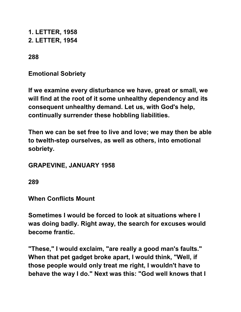**1. LETTER, 1958 2. LETTER, 1954** 

**288** 

**Emotional Sobriety** 

**If we examine every disturbance we have, great or small, we will find at the root of it some unhealthy dependency and its consequent unhealthy demand. Let us, with God's help, continually surrender these hobbling liabilities.** 

**Then we can be set free to live and love; we may then be able to twelth-step ourselves, as well as others, into emotional sobriety.** 

**GRAPEVINE, JANUARY 1958** 

**289** 

**When Conflicts Mount** 

**Sometimes I would be forced to look at situations where I was doing badly. Right away, the search for excuses would become frantic.** 

**"These," I would exclaim, "are really a good man's faults." When that pet gadget broke apart, I would think, "Well, if those people would only treat me right, I wouldn't have to behave the way I do." Next was this: "God well knows that I**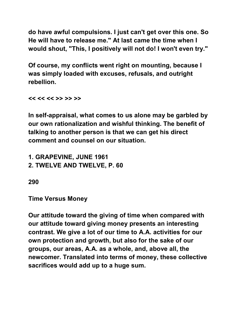**do have awful compulsions. I just can't get over this one. So He will have to release me." At last came the time when I would shout, "This, I positively will not do! I won't even try."** 

**Of course, my conflicts went right on mounting, because I was simply loaded with excuses, refusals, and outright rebellion.** 

**<< << << >> >> >>** 

**In self-appraisal, what comes to us alone may be garbled by our own rationalization and wishful thinking. The benefit of talking to another person is that we can get his direct comment and counsel on our situation.** 

**1. GRAPEVINE, JUNE 1961 2. TWELVE AND TWELVE, P. 60** 

**290** 

**Time Versus Money** 

**Our attitude toward the giving of time when compared with our attitude toward giving money presents an interesting contrast. We give a lot of our time to A.A. activities for our own protection and growth, but also for the sake of our groups, our areas, A.A. as a whole, and, above all, the newcomer. Translated into terms of money, these collective sacrifices would add up to a huge sum.**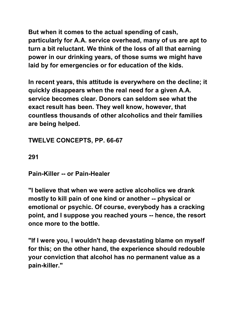**But when it comes to the actual spending of cash, particularly for A.A. service overhead, many of us are apt to turn a bit reluctant. We think of the loss of all that earning power in our drinking years, of those sums we might have laid by for emergencies or for education of the kids.** 

**In recent years, this attitude is everywhere on the decline; it quickly disappears when the real need for a given A.A. service becomes clear. Donors can seldom see what the exact result has been. They well know, however, that countless thousands of other alcoholics and their families are being helped.** 

**TWELVE CONCEPTS, PP. 66-67** 

**291** 

**Pain-Killer -- or Pain-Healer** 

**"I believe that when we were active alcoholics we drank mostly to kill pain of one kind or another -- physical or emotional or psychic. Of course, everybody has a cracking point, and I suppose you reached yours -- hence, the resort once more to the bottle.** 

**"If I were you, I wouldn't heap devastating blame on myself for this; on the other hand, the experience should redouble your conviction that alcohol has no permanent value as a pain-killer."**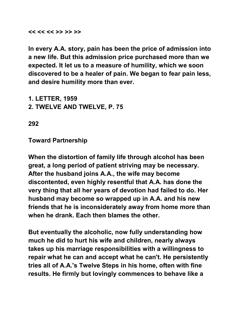#### **<< << << >> >> >>**

**In every A.A. story, pain has been the price of admission into a new life. But this admission price purchased more than we expected. It let us to a measure of humility, which we soon discovered to be a healer of pain. We began to fear pain less, and desire humility more than ever.** 

- **1. LETTER, 1959**
- **2. TWELVE AND TWELVE, P. 75**

**292** 

**Toward Partnership** 

**When the distortion of family life through alcohol has been great, a long period of patient striving may be necessary. After the husband joins A.A., the wife may become discontented, even highly resentful that A.A. has done the very thing that all her years of devotion had failed to do. Her husband may become so wrapped up in A.A. and his new friends that he is inconsiderately away from home more than when he drank. Each then blames the other.** 

**But eventually the alcoholic, now fully understanding how much he did to hurt his wife and children, nearly always takes up his marriage responsibilities with a willingness to repair what he can and accept what he can't. He persistently tries all of A.A.'s Twelve Steps in his home, often with fine results. He firmly but lovingly commences to behave like a**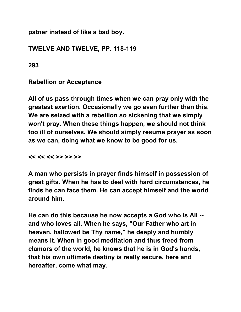**patner instead of like a bad boy.** 

#### **TWELVE AND TWELVE, PP. 118-119**

**293** 

#### **Rebellion or Acceptance**

**All of us pass through times when we can pray only with the greatest exertion. Occasionally we go even further than this. We are seized with a rebellion so sickening that we simply won't pray. When these things happen, we should not think too ill of ourselves. We should simply resume prayer as soon as we can, doing what we know to be good for us.** 

**<< << << >> >> >>** 

**A man who persists in prayer finds himself in possession of great gifts. When he has to deal with hard circumstances, he finds he can face them. He can accept himself and the world around him.** 

**He can do this because he now accepts a God who is All - and who loves all. When he says, "Our Father who art in heaven, hallowed be Thy name," he deeply and humbly means it. When in good meditation and thus freed from clamors of the world, he knows that he is in God's hands, that his own ultimate destiny is really secure, here and hereafter, come what may.**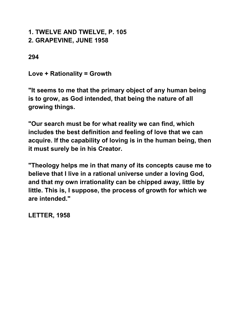#### **1. TWELVE AND TWELVE, P. 105 2. GRAPEVINE, JUNE 1958**

**294** 

**Love + Rationality = Growth** 

**"It seems to me that the primary object of any human being is to grow, as God intended, that being the nature of all growing things.** 

**"Our search must be for what reality we can find, which includes the best definition and feeling of love that we can acquire. If the capability of loving is in the human being, then it must surely be in his Creator.** 

**"Theology helps me in that many of its concepts cause me to believe that I live in a rational universe under a loving God, and that my own irrationality can be chipped away, little by little. This is, I suppose, the process of growth for which we are intended."** 

**LETTER, 1958**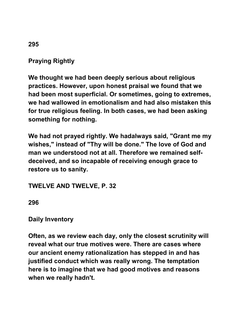# **Praying Rightly**

**We thought we had been deeply serious about religious practices. However, upon honest praisal we found that we had been most superficial. Or sometimes, going to extremes, we had wallowed in emotionalism and had also mistaken this for true religious feeling. In both cases, we had been asking something for nothing.** 

**We had not prayed rightly. We hadalways said, "Grant me my wishes," instead of "Thy will be done." The love of God and man we understood not at all. Therefore we remained selfdeceived, and so incapable of receiving enough grace to restore us to sanity.** 

**TWELVE AND TWELVE, P. 32** 

**296** 

#### **Daily Inventory**

**Often, as we review each day, only the closest scrutinity will reveal what our true motives were. There are cases where our ancient enemy rationalization has stepped in and has justified conduct which was really wrong. The temptation here is to imagine that we had good motives and reasons when we really hadn't.** 

#### **295**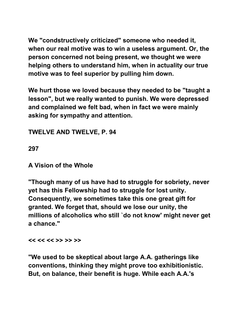**We "condstructively criticized" someone who needed it, when our real motive was to win a useless argument. Or, the person concerned not being present, we thought we were helping others to understand him, when in actuality our true motive was to feel superior by pulling him down.** 

**We hurt those we loved because they needed to be "taught a lesson", but we really wanted to punish. We were depressed and complained we felt bad, when in fact we were mainly asking for sympathy and attention.** 

**TWELVE AND TWELVE, P. 94** 

**297** 

**A Vision of the Whole** 

**"Though many of us have had to struggle for sobriety, never yet has this Fellowship had to struggle for lost unity. Consequently, we sometimes take this one great gift for granted. We forget that, should we lose our unity, the millions of alcoholics who still `do not know' might never get a chance."** 

**<< << << >> >> >>** 

**"We used to be skeptical about large A.A. gatherings like conventions, thinking they might prove too exhibitionistic. But, on balance, their benefit is huge. While each A.A.'s**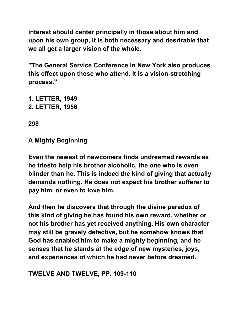**interest should center principally in those about him and upon his own group, it is both necessary and desrirable that we all get a larger vision of the whole.** 

**"The General Service Conference in New York also produces this effect upon those who attend. It is a vision-stretching process."** 

- **1. LETTER, 1949**
- **2. LETTER, 1956**

**298** 

## **A Mighty Beginning**

**Even the newest of newcomers finds undreamed rewards as he triesto help his brother alcoholic, the one who is even blinder than he. This is indeed the kind of giving that actually demands nothing. He does not expect his brother sufferer to pay him, or even to love him.** 

**And then he discovers that through the divine paradox of this kind of giving he has found his own reward, whether or not his brother has yet received anything. His own character may still be gravely defective, but he somehow knows that God has enabled him to make a mighty beginning, and he senses that he stands at the edge of new mysteries, joys, and experiences of which he had never before dreamed.** 

## **TWELVE AND TWELVE, PP. 109-110**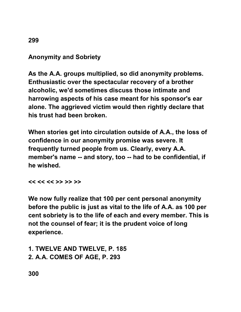# **Anonymity and Sobriety**

**As the A.A. groups multiplied, so did anonymity problems. Enthusiastic over the spectacular recovery of a brother alcoholic, we'd sometimes discuss those intimate and harrowing aspects of his case meant for his sponsor's ear alone. The aggrieved victim would then rightly declare that his trust had been broken.** 

**When stories get into circulation outside of A.A., the loss of confidence in our anonymity promise was severe. It frequently turned people from us. Clearly, every A.A. member's name -- and story, too -- had to be confidential, if he wished.** 

**<< << << >> >> >>** 

**We now fully realize that 100 per cent personal anonymity before the public is just as vital to the life of A.A. as 100 per cent sobriety is to the life of each and every member. This is not the counsel of fear; it is the prudent voice of long experience.** 

**1. TWELVE AND TWELVE, P. 185 2. A.A. COMES OF AGE, P. 293** 

**300** 

**299**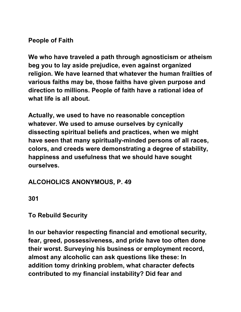#### **People of Faith**

**We who have traveled a path through agnosticism or atheism beg you to lay aside prejudice, even against organized religion. We have learned that whatever the human frailties of various faiths may be, those faiths have given purpose and direction to millions. People of faith have a rational idea of what life is all about.** 

**Actually, we used to have no reasonable conception whatever. We used to amuse ourselves by cynically dissecting spiritual beliefs and practices, when we might have seen that many spiritually-minded persons of all races, colors, and creeds were demonstrating a degree of stability, happiness and usefulness that we should have sought ourselves.** 

## **ALCOHOLICS ANONYMOUS, P. 49**

**301** 

**To Rebuild Security** 

**In our behavior respecting financial and emotional security, fear, greed, possessiveness, and pride have too often done their worst. Surveying his business or employment record, almost any alcoholic can ask questions like these: In addition tomy drinking problem, what character defects contributed to my financial instability? Did fear and**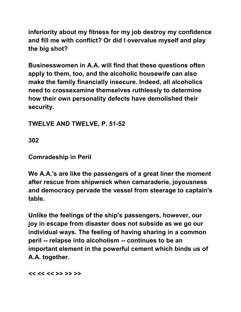**inferiority about my fitness for my job destroy my confidence and fill me with conflict? Or did I overvalue myself and play the big shot?** 

**Businesswomen in A.A. will find that these questions often apply to them, too, and the alcoholic housewife can also make the family financially insecure. Indeed, all alcoholics need to crossexamine themselves ruthlessly to determine how their own personality defects have demolished their security.** 

**TWELVE AND TWELVE, P. 51-52** 

**302** 

**Comradeship in Peril** 

**We A.A.'s are like the passengers of a great liner the moment after rescue from shipwreck when camaraderie, joyousness and democracy pervade the vessel from steerage to captain's table.** 

**Unlike the feelings of the ship's passengers, however, our joy in escape from disaster does not subside as we go our individual ways. The feeling of having sharing in a common peril -- relapse into alcoholism -- continues to be an important element in the powerful cement which binds us of A.A. together.** 

**<< << << >> >> >>**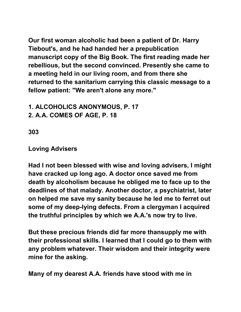**Our first woman alcoholic had been a patient of Dr. Harry Tiebout's, and he had handed her a prepublication manuscript copy of the Big Book. The first reading made her rebellious, but the second convinced. Presently she came to a meeting held in our living room, and from there she returned to the sanitarium carrying this classic message to a fellow patient: "We aren't alone any more."** 

**1. ALCOHOLICS ANONYMOUS, P. 17 2. A.A. COMES OF AGE, P. 18** 

**303** 

**Loving Advisers** 

**Had I not been blessed with wise and loving advisers, I might have cracked up long ago. A doctor once saved me from death by alcoholism because he obliged me to face up to the deadlines of that malady. Another doctor, a psychiatrist, later on helped me save my sanity because he led me to ferret out some of my deep-lying defects. From a clergyman I acquired the truthful principles by which we A.A.'s now try to live.** 

**But these precious friends did far more thansupply me with their professional skills. I learned that I could go to them with any problem whatever. Their wisdom and their integrity were mine for the asking.** 

**Many of my dearest A.A. friends have stood with me in**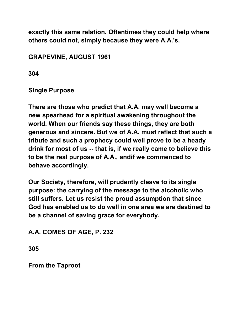**exactly this same relation. Oftentimes they could help where others could not, simply because they were A.A.'s.** 

# **GRAPEVINE, AUGUST 1961**

**304** 

**Single Purpose** 

**There are those who predict that A.A. may well become a new spearhead for a spiritual awakening throughout the world. When our friends say these things, they are both generous and sincere. But we of A.A. must reflect that such a tribute and such a prophecy could well prove to be a heady drink for most of us -- that is, if we really came to believe this to be the real purpose of A.A., andif we commenced to behave accordingly.** 

**Our Society, therefore, will prudently cleave to its single purpose: the carrying of the message to the alcoholic who still suffers. Let us resist the proud assumption that since God has enabled us to do well in one area we are destined to be a channel of saving grace for everybody.** 

# **A.A. COMES OF AGE, P. 232**

**305** 

**From the Taproot**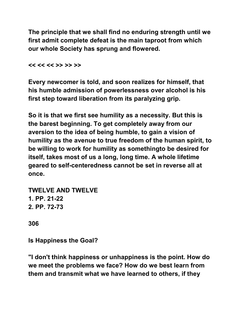**The principle that we shall find no enduring strength until we first admit complete defeat is the main taproot from which our whole Society has sprung and flowered.** 

**<< << << >> >> >>** 

**Every newcomer is told, and soon realizes for himself, that his humble admission of powerlessness over alcohol is his first step toward liberation from its paralyzing grip.** 

**So it is that we first see humility as a necessity. But this is the barest beginning. To get completely away from our aversion to the idea of being humble, to gain a vision of humility as the avenue to true freedom of the human spirit, to be willing to work for humility as somethingto be desired for itself, takes most of us a long, long time. A whole lifetime geared to self-centeredness cannot be set in reverse all at once.** 

**TWELVE AND TWELVE 1. PP. 21-22 2. PP. 72-73** 

**306** 

**Is Happiness the Goal?** 

**"I don't think happiness or unhappiness is the point. How do we meet the problems we face? How do we best learn from them and transmit what we have learned to others, if they**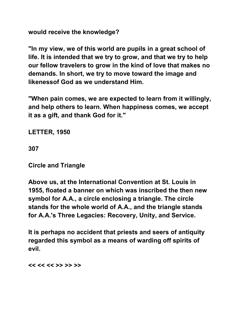**would receive the knowledge?** 

**"In my view, we of this world are pupils in a great school of life. It is intended that we try to grow, and that we try to help our fellow travelers to grow in the kind of love that makes no demands. In short, we try to move toward the image and likenessof God as we understand Him.** 

**"When pain comes, we are expected to learn from it willingly, and help others to learn. When happiness comes, we accept it as a gift, and thank God for it."** 

**LETTER, 1950** 

**307** 

**Circle and Triangle** 

**Above us, at the International Convention at St. Louis in 1955, floated a banner on which was inscribed the then new symbol for A.A., a circle enclosing a triangle. The circle stands for the whole world of A.A., and the triangle stands for A.A.'s Three Legacies: Recovery, Unity, and Service.** 

**It is perhaps no accident that priests and seers of antiquity regarded this symbol as a means of warding off spirits of evil.** 

**<< << << >> >> >>**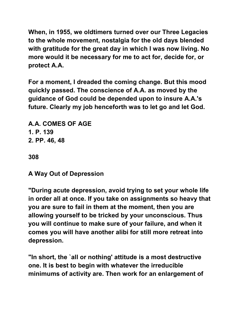**When, in 1955, we oldtimers turned over our Three Legacies to the whole movement, nostalgia for the old days blended with gratitude for the great day in which I was now living. No more would it be necessary for me to act for, decide for, or protect A.A.** 

**For a moment, I dreaded the coming change. But this mood quickly passed. The conscience of A.A. as moved by the guidance of God could be depended upon to insure A.A.'s future. Clearly my job henceforth was to let go and let God.** 

**A.A. COMES OF AGE 1. P. 139 2. PP. 46, 48** 

**308** 

**A Way Out of Depression** 

**"During acute depression, avoid trying to set your whole life in order all at once. If you take on assignments so heavy that you are sure to fail in them at the moment, then you are allowing yourself to be tricked by your unconscious. Thus you will continue to make sure of your failure, and when it comes you will have another alibi for still more retreat into depression.** 

**"In short, the `all or nothing' attitude is a most destructive one. It is best to begin with whatever the irreducible minimums of activity are. Then work for an enlargement of**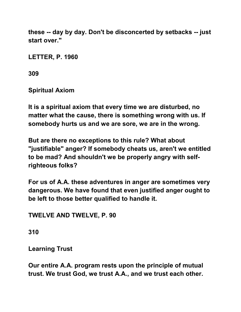**these -- day by day. Don't be disconcerted by setbacks -- just start over."** 

**LETTER, P. 1960** 

**309** 

**Spiritual Axiom** 

**It is a spiritual axiom that every time we are disturbed, no matter what the cause, there is something wrong with us. If somebody hurts us and we are sore, we are in the wrong.** 

**But are there no exceptions to this rule? What about "justifiable" anger? If somebody cheats us, aren't we entitled to be mad? And shouldn't we be properly angry with selfrighteous folks?** 

**For us of A.A. these adventures in anger are sometimes very dangerous. We have found that even justified anger ought to be left to those better qualified to handle it.** 

**TWELVE AND TWELVE, P. 90** 

**310** 

**Learning Trust** 

**Our entire A.A. program rests upon the principle of mutual trust. We trust God, we trust A.A., and we trust each other.**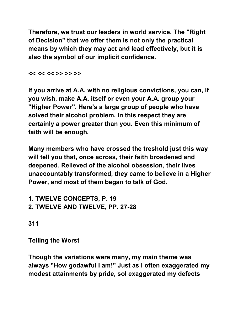**Therefore, we trust our leaders in world service. The "Right of Decision" that we offer them is not only the practical means by which they may act and lead effectively, but it is also the symbol of our implicit confidence.** 

**<< << << >> >> >>** 

**If you arrive at A.A. with no religious convictions, you can, if you wish, make A.A. itself or even your A.A. group your "Higher Power". Here's a large group of people who have solved their alcohol problem. In this respect they are certainly a power greater than you. Even this minimum of faith will be enough.** 

**Many members who have crossed the treshold just this way will tell you that, once across, their faith broadened and deepened. Relieved of the alcohol obsession, their lives unaccountably transformed, they came to believe in a Higher Power, and most of them began to talk of God.** 

**1. TWELVE CONCEPTS, P. 19 2. TWELVE AND TWELVE, PP. 27-28** 

**311** 

**Telling the Worst** 

**Though the variations were many, my main theme was always "How godawful I am!" Just as I often exaggerated my modest attainments by pride, soI exaggerated my defects**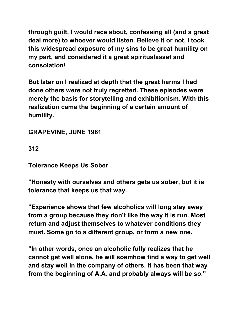**through guilt. I would race about, confessing all (and a great deal more) to whoever would listen. Believe it or not, I took this widespread exposure of my sins to be great humility on my part, and considered it a great spiritualasset and consolation!** 

**But later on I realized at depth that the great harms I had done others were not truly regretted. These episodes were merely the basis for storytelling and exhibitionism. With this realization came the beginning of a certain amount of humility.** 

**GRAPEVINE, JUNE 1961** 

**312** 

**Tolerance Keeps Us Sober** 

**"Honesty with ourselves and others gets us sober, but it is tolerance that keeps us that way.** 

**"Experience shows that few alcoholics will long stay away from a group because they don't like the way it is run. Most return and adjust themselves to whatever conditions they must. Some go to a different group, or form a new one.** 

**"In other words, once an alcoholic fully realizes that he cannot get well alone, he will soemhow find a way to get well and stay well in the company of others. It has been that way from the beginning of A.A. and probably always will be so."**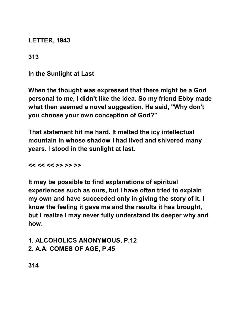**LETTER, 1943** 

**313** 

**In the Sunlight at Last** 

**When the thought was expressed that there might be a God personal to me, I didn't like the idea. So my friend Ebby made what then seemed a novel suggestion. He said, "Why don't you choose your own conception of God?"** 

**That statement hit me hard. It melted the icy intellectual mountain in whose shadow I had lived and shivered many years. I stood in the sunlight at last.** 

**<< << << >> >> >>** 

**It may be possible to find explanations of spiritual experiences such as ours, but I have often tried to explain my own and have succeeded only in giving the story of it. I know the feeling it gave me and the results it has brought, but I realize I may never fully understand its deeper why and how.** 

**1. ALCOHOLICS ANONYMOUS, P.12 2. A.A. COMES OF AGE, P.45** 

**314**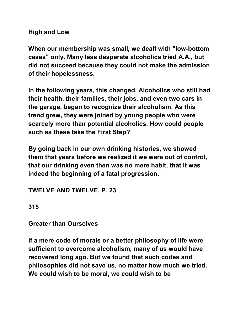**High and Low** 

**When our membership was small, we dealt with "low-bottom cases" only. Many less desperate alcoholics tried A.A., but did not succeed because they could not make the admission of their hopelessness.** 

**In the following years, this changed. Alcoholics who still had their health, their families, their jobs, and even two cars in the garage, began to recognize their alcoholism. As this trend grew, they were joined by young people who were scarcely more than potential alcoholics. How could people such as these take the First Step?** 

**By going back in our own drinking histories, we showed them that years before we realized it we were out of control, that our drinking even then was no mere habit, that it was indeed the beginning of a fatal progression.** 

**TWELVE AND TWELVE, P. 23** 

**315** 

**Greater than Ourselves** 

**If a mere code of morals or a better philosophy of life were sufficient to overcome alcoholism, many of us would have recovered long ago. But we found that such codes and philosophies did not save us, no matter how much we tried. We could wish to be moral, we could wish to be**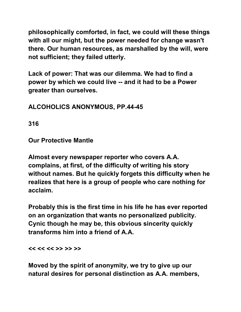**philosophically comforted, in fact, we could will these things with all our might, but the power needed for change wasn't there. Our human resources, as marshalled by the will, were not sufficient; they failed utterly.** 

**Lack of power: That was our dilemma. We had to find a power by which we could live -- and it had to be a Power greater than ourselves.** 

**ALCOHOLICS ANONYMOUS, PP.44-45** 

**316** 

**Our Protective Mantle** 

**Almost every newspaper reporter who covers A.A. complains, at first, of the difficulty of writing his story without names. But he quickly forgets this difficulty when he realizes that here is a group of people who care nothing for acclaim.** 

**Probably this is the first time in his life he has ever reported on an organization that wants no personalized publicity. Cynic though he may be, this obvious sincerity quickly transforms him into a friend of A.A.** 

**<< << << >> >> >>** 

**Moved by the spirit of anonymity, we try to give up our natural desires for personal distinction as A.A. members,**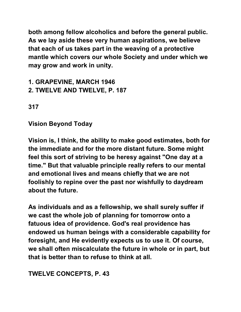**both among fellow alcoholics and before the general public. As we lay aside these very human aspirations, we believe that each of us takes part in the weaving of a protective mantle which covers our whole Society and under which we may grow and work in unity.** 

## **1. GRAPEVINE, MARCH 1946 2. TWELVE AND TWELVE, P. 187**

**317** 

**Vision Beyond Today** 

**Vision is, I think, the ability to make good estimates, both for the immediate and for the more distant future. Some might feel this sort of striving to be heresy against "One day at a time." But that valuable principle really refers to our mental and emotional lives and means chiefly that we are not foolishly to repine over the past nor wishfully to daydream about the future.** 

**As individuals and as a fellowship, we shall surely suffer if we cast the whole job of planning for tomorrow onto a fatuous idea of providence. God's real providence has endowed us human beings with a considerable capability for foresight, and He evidently expects us to use it. Of course, we shall often miscalculate the future in whole or in part, but that is better than to refuse to think at all.** 

### **TWELVE CONCEPTS, P. 43**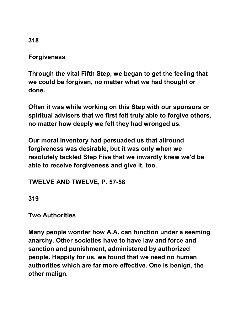### **Forgiveness**

**Through the vital Fifth Step, we began to get the feeling that we could be forgiven, no matter what we had thought or done.** 

**Often it was while working on this Step with our sponsors or spiritual advisers that we first felt truly able to forgive others, no matter how deeply we felt they had wronged us.** 

**Our moral inventory had persuaded us that allround forgiveness was desirable, but it was only when we resolutely tackled Step Five that we inwardly knew we'd be able to receive forgiveness and give it, too.** 

#### **TWELVE AND TWELVE, P. 57-58**

**319** 

## **Two Authorities**

**Many people wonder how A.A. can function under a seeming anarchy. Other societies have to have law and force and sanction and punishment, administered by authorized people. Happily for us, we found that we need no human authorities which are far more effective. One is benign, the other malign.** 

**318**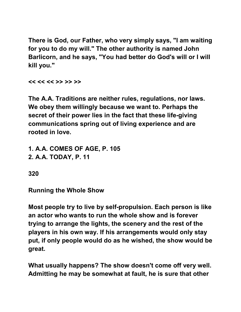**There is God, our Father, who very simply says, "I am waiting for you to do my will." The other authority is named John Barlicorn, and he says, "You had better do God's will or I will kill you."** 

**<< << << >> >> >>** 

**The A.A. Traditions are neither rules, regulations, nor laws. We obey them willingly because we want to. Perhaps the secret of their power lies in the fact that these life-giving communications spring out of living experience and are rooted in love.** 

**1. A.A. COMES OF AGE, P. 105 2. A.A. TODAY, P. 11** 

**320** 

**Running the Whole Show** 

**Most people try to live by self-propulsion. Each person is like an actor who wants to run the whole show and is forever trying to arrange the lights, the scenery and the rest of the players in his own way. If his arrangements would only stay put, if only people would do as he wished, the show would be great.** 

**What usually happens? The show doesn't come off very well. Admitting he may be somewhat at fault, he is sure that other**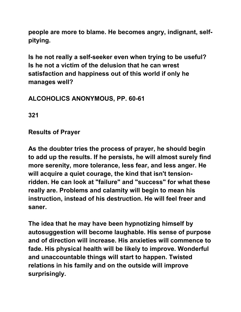**people are more to blame. He becomes angry, indignant, selfpitying.** 

**Is he not really a self-seeker even when trying to be useful? Is he not a victim of the delusion that he can wrest satisfaction and happiness out of this world if only he manages well?** 

# **ALCOHOLICS ANONYMOUS, PP. 60-61**

**321** 

**Results of Prayer** 

**As the doubter tries the process of prayer, he should begin to add up the results. If he persists, he will almost surely find more serenity, more tolerance, less fear, and less anger. He will acquire a quiet courage, the kind that isn't tensionridden. He can look at "failure" and "success" for what these really are. Problems and calamity will begin to mean his instruction, instead of his destruction. He will feel freer and saner.** 

**The idea that he may have been hypnotizing himself by autosuggestion will become laughable. His sense of purpose and of direction will increase. His anxieties will commence to fade. His physical health will be likely to improve. Wonderful and unaccountable things will start to happen. Twisted relations in his family and on the outside will improve surprisingly.**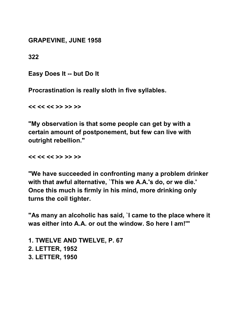**GRAPEVINE, JUNE 1958** 

**322** 

**Easy Does It -- but Do It** 

**Procrastination is really sloth in five syllables.** 

**<< << << >> >> >>** 

**"My observation is that some people can get by with a certain amount of postponement, but few can live with outright rebellion."** 

**<< << << >> >> >>** 

**"We have succeeded in confronting many a problem drinker with that awful alternative, `This we A.A.'s do, or we die.' Once this much is firmly in his mind, more drinking only turns the coil tighter.** 

**"As many an alcoholic has said, `I came to the place where it was either into A.A. or out the window. So here I am!'"** 

**1. TWELVE AND TWELVE, P. 67 2. LETTER, 1952 3. LETTER, 1950**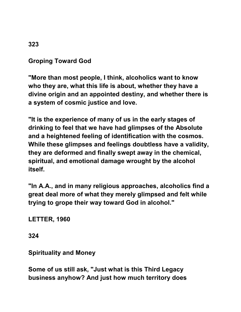### **Groping Toward God**

**"More than most people, I think, alcoholics want to know who they are, what this life is about, whether they have a divine origin and an appointed destiny, and whether there is a system of cosmic justice and love.** 

**"It is the experience of many of us in the early stages of drinking to feel that we have had glimpses of the Absolute and a heightened feeling of identification with the cosmos. While these glimpses and feelings doubtless have a validity, they are deformed and finally swept away in the chemical, spiritual, and emotional damage wrought by the alcohol itself.** 

**"In A.A., and in many religious approaches, alcoholics find a great deal more of what they merely glimpsed and felt while trying to grope their way toward God in alcohol."** 

**LETTER, 1960** 

**324** 

**Spirituality and Money** 

**Some of us still ask, "Just what is this Third Legacy business anyhow? And just how much territory does**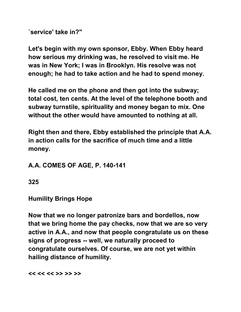**`service' take in?"** 

**Let's begin with my own sponsor, Ebby. When Ebby heard how serious my drinking was, he resolved to visit me. He was in New York; I was in Brooklyn. His resolve was not enough; he had to take action and he had to spend money.** 

**He called me on the phone and then got into the subway; total cost, ten cents. At the level of the telephone booth and subway turnstile, spirituality and money began to mix. One without the other would have amounted to nothing at all.** 

**Right then and there, Ebby established the principle that A.A. in action calls for the sacrifice of much time and a little money.** 

### **A.A. COMES OF AGE, P. 140-141**

**325** 

**Humility Brings Hope** 

**Now that we no longer patronize bars and bordellos, now that we bring home the pay checks, now that we are so very active in A.A., and now that people congratulate us on these signs of progress -- well, we naturally proceed to congratulate ourselves. Of course, we are not yet within hailing distance of humility.** 

**<< << << >> >> >>**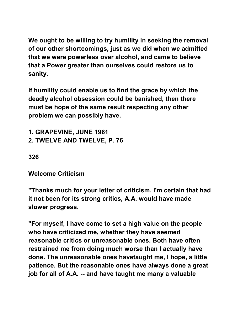**We ought to be willing to try humility in seeking the removal of our other shortcomings, just as we did when we admitted that we were powerless over alcohol, and came to believe that a Power greater than ourselves could restore us to sanity.** 

**If humility could enable us to find the grace by which the deadly alcohol obsession could be banished, then there must be hope of the same result respecting any other problem we can possibly have.** 

**1. GRAPEVINE, JUNE 1961 2. TWELVE AND TWELVE, P. 76** 

### **326**

**Welcome Criticism** 

**"Thanks much for your letter of criticism. I'm certain that had it not been for its strong critics, A.A. would have made slower progress.** 

**"For myself, I have come to set a high value on the people who have criticized me, whether they have seemed reasonable critics or unreasonable ones. Both have often restrained me from doing much worse than I actually have done. The unreasonable ones havetaught me, I hope, a little patience. But the reasonable ones have always done a great job for all of A.A. -- and have taught me many a valuable**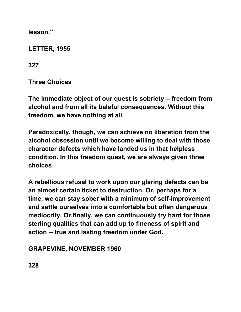**lesson."** 

**LETTER, 1955** 

**327** 

**Three Choices** 

**The immediate object of our quest is sobriety -- freedom from alcohol and from all its baleful consequences. Without this freedom, we have nothing at all.** 

**Paradoxically, though, we can achieve no liberation from the alcohol obsession until we become willing to deal with those character defects which have landed us in that helpless condition. In this freedom quest, we are always given three choices.** 

**A rebellious refusal to work upon our glaring defects can be an almost certain ticket to destruction. Or, perhaps for a time, we can stay sober with a minimum of self-improvement and settle ourselves into a comfortable but often dangerous mediocrity. Or,finally, we can continuously try hard for those sterling qualities that can add up to fineness of spirit and action -- true and lasting freedom under God.** 

### **GRAPEVINE, NOVEMBER 1960**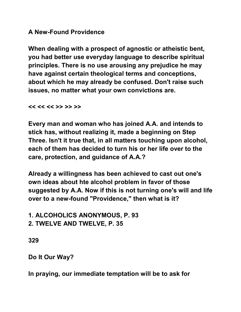#### **A New-Found Providence**

**When dealing with a prospect of agnostic or atheistic bent, you had better use everyday language to describe spiritual principles. There is no use arousing any prejudice he may have against certain theological terms and conceptions, about which he may already be confused. Don't raise such issues, no matter what your own convictions are.** 

**<< << << >> >> >>** 

**Every man and woman who has joined A.A. and intends to stick has, without realizing it, made a beginning on Step Three. Isn't it true that, in all matters touching upon alcohol, each of them has decided to turn his or her life over to the care, protection, and guidance of A.A.?** 

**Already a willingness has been achieved to cast out one's own ideas about hte alcohol problem in favor of those suggested by A.A. Now if this is not turning one's will and life over to a new-found "Providence," then what is it?** 

**1. ALCOHOLICS ANONYMOUS, P. 93 2. TWELVE AND TWELVE, P. 35** 

**329** 

**Do It Our Way?** 

**In praying, our immediate temptation will be to ask for**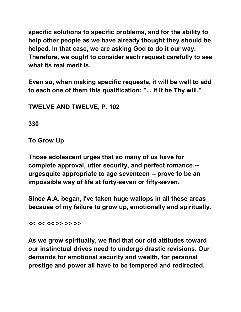**specific solutions to specific problems, and for the ability to help other people as we have already thought they should be helped. In that case, we are asking God to do it our way. Therefore, we ought to consider each request carefully to see what its real merit is.** 

**Even so, when making specific requests, it will be well to add to each one of them this qualification: "... if it be Thy will."** 

**TWELVE AND TWELVE, P. 102** 

**330** 

**To Grow Up** 

**Those adolescent urges that so many of us have for complete approval, utter security, and perfect romance - urgesquite appropriate to age seventeen -- prove to be an impossible way of life at forty-seven or fifty-seven.** 

**Since A.A. began, I've taken huge wallops in all these areas because of my failure to grow up, emotionally and spiritually.** 

**<< << << >> >> >>** 

**As we grow spiritually, we find that our old attitudes toward our instinctual drives need to undergo drastic revisions. Our demands for emotional security and wealth, for personal prestige and power all have to be tempered and redirected.**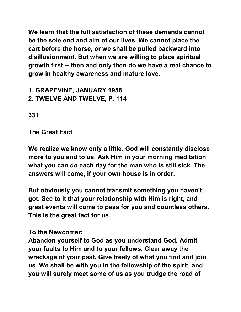**We learn that the full satisfaction of these demands cannot be the sole end and aim of our lives. We cannot place the cart before the horse, or we shall be pulled backward into disillusionment. But when we are willing to place spiritual growth first -- then and only then do we have a real chance to grow in healthy awareness and mature love.** 

**1. GRAPEVINE, JANUARY 1958 2. TWELVE AND TWELVE, P. 114** 

**331** 

**The Great Fact** 

**We realize we know only a little. God will constantly disclose more to you and to us. Ask Him in your morning meditation what you can do each day for the man who is still sick. The answers will come, if your own house is in order.** 

**But obviously you cannot transmit something you haven't got. See to it that your relationship with Him is right, and great events will come to pass for you and countless others. This is the great fact for us.** 

#### **To the Newcomer:**

**Abandon yourself to God as you understand God. Admit your faults to Him and to your fellows. Clear away the wreckage of your past. Give freely of what you find and join us. We shall be with you in the fellowship of the spirit, and you will surely meet some of us as you trudge the road of**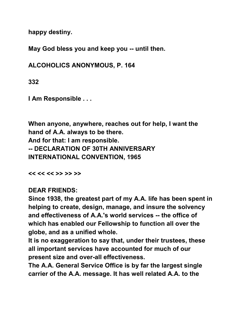**happy destiny.** 

**May God bless you and keep you -- until then.** 

**ALCOHOLICS ANONYMOUS, P. 164** 

**332** 

**I Am Responsible . . .** 

**When anyone, anywhere, reaches out for help, I want the hand of A.A. always to be there. And for that: I am responsible. -- DECLARATION OF 30TH ANNIVERSARY INTERNATIONAL CONVENTION, 1965** 

**<< << << >> >> >>** 

**DEAR FRIENDS:** 

**Since 1938, the greatest part of my A.A. life has been spent in helping to create, design, manage, and insure the solvency and effectiveness of A.A.'s world services -- the office of which has enabled our Fellowship to function all over the globe, and as a unified whole.** 

**It is no exaggeration to say that, under their trustees, these all important services have accounted for much of our present size and over-all effectiveness.** 

**The A.A. General Service Office is by far the largest single carrier of the A.A. message. It has well related A.A. to the**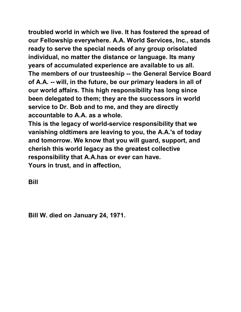**troubled world in which we live. It has fostered the spread of our Fellowship everywhere. A.A. World Services, Inc., stands ready to serve the special needs of any group orisolated individual, no matter the distance or language. Its many years of accumulated experience are available to us all. The members of our trusteeship -- the General Service Board of A.A. -- will, in the future, be our primary leaders in all of our world affairs. This high responsibility has long since been delegated to them; they are the successors in world service to Dr. Bob and to me, and they are directly accountable to A.A. as a whole.** 

**This is the legacy of world-service responsibility that we vanishing oldtimers are leaving to you, the A.A.'s of today and tomorrow. We know that you will guard, support, and cherish this world legacy as the greatest collective responsibility that A.A.has or ever can have. Yours in trust, and in affection,** 

**Bill** 

**Bill W. died on January 24, 1971.**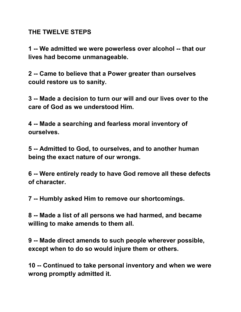#### **THE TWELVE STEPS**

**1 -- We admitted we were powerless over alcohol -- that our lives had become unmanageable.** 

**2 -- Came to believe that a Power greater than ourselves could restore us to sanity.** 

**3 -- Made a decision to turn our will and our lives over to the care of God as we understood Him.** 

**4 -- Made a searching and fearless moral inventory of ourselves.** 

**5 -- Admitted to God, to ourselves, and to another human being the exact nature of our wrongs.** 

**6 -- Were entirely ready to have God remove all these defects of character.** 

**7 -- Humbly asked Him to remove our shortcomings.** 

**8 -- Made a list of all persons we had harmed, and became willing to make amends to them all.** 

**9 -- Made direct amends to such people wherever possible, except when to do so would injure them or others.** 

**10 -- Continued to take personal inventory and when we were wrong promptly admitted it.**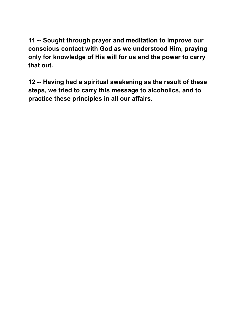**11 -- Sought through prayer and meditation to improve our conscious contact with God as we understood Him, praying only for knowledge of His will for us and the power to carry that out.** 

**12 -- Having had a spiritual awakening as the result of these steps, we tried to carry this message to alcoholics, and to practice these principles in all our affairs.**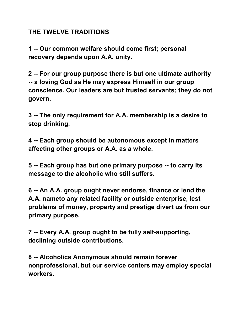### **THE TWELVE TRADITIONS**

**1 -- Our common welfare should come first; personal recovery depends upon A.A. unity.** 

**2 -- For our group purpose there is but one ultimate authority -- a loving God as He may express Himself in our group conscience. Our leaders are but trusted servants; they do not govern.** 

**3 -- The only requirement for A.A. membership is a desire to stop drinking.** 

**4 -- Each group should be autonomous except in matters affecting other groups or A.A. as a whole.** 

**5 -- Each group has but one primary purpose -- to carry its message to the alcoholic who still suffers.** 

**6 -- An A.A. group ought never endorse, finance or lend the A.A. nameto any related facility or outside enterprise, lest problems of money, property and prestige divert us from our primary purpose.** 

**7 -- Every A.A. group ought to be fully self-supporting, declining outside contributions.** 

**8 -- Alcoholics Anonymous should remain forever nonprofessional, but our service centers may employ special workers.**